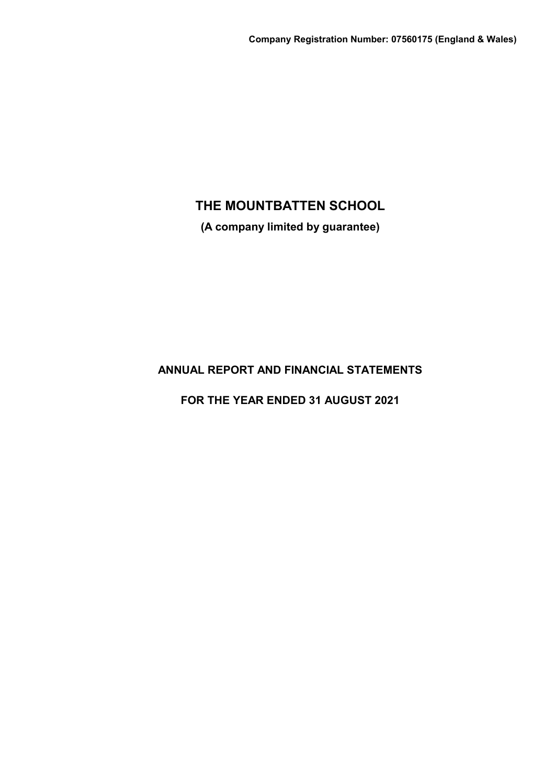**(A company limited by guarantee)**

# **ANNUAL REPORT AND FINANCIAL STATEMENTS**

**FOR THE YEAR ENDED 31 AUGUST 2021**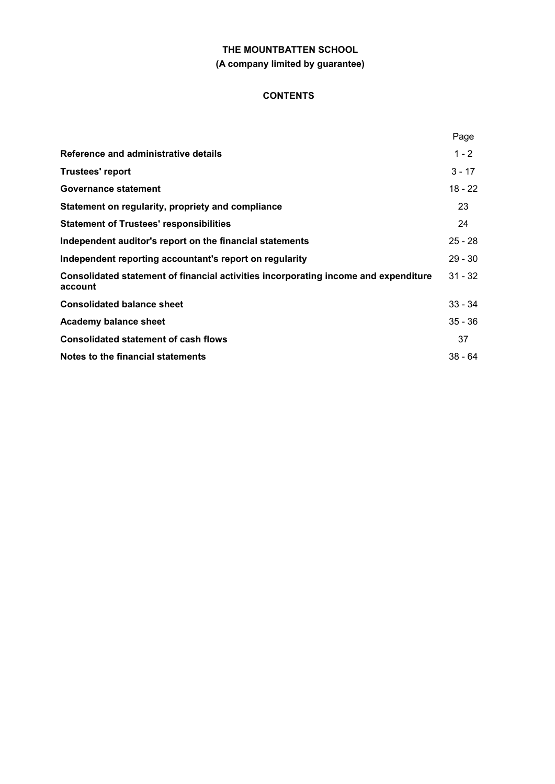# **THE MOUNTBATTEN SCHOOL (A company limited by guarantee)**

# **CONTENTS**

|                                                                                                | Page      |
|------------------------------------------------------------------------------------------------|-----------|
| Reference and administrative details                                                           | $1 - 2$   |
| <b>Trustees' report</b>                                                                        | $3 - 17$  |
| Governance statement                                                                           | $18 - 22$ |
| Statement on regularity, propriety and compliance                                              | 23        |
| <b>Statement of Trustees' responsibilities</b>                                                 | 24        |
| Independent auditor's report on the financial statements                                       | $25 - 28$ |
| Independent reporting accountant's report on regularity                                        | $29 - 30$ |
| Consolidated statement of financial activities incorporating income and expenditure<br>account | $31 - 32$ |
| <b>Consolidated balance sheet</b>                                                              | $33 - 34$ |
| Academy balance sheet                                                                          | $35 - 36$ |
| <b>Consolidated statement of cash flows</b>                                                    | 37        |
| Notes to the financial statements                                                              | $38 - 64$ |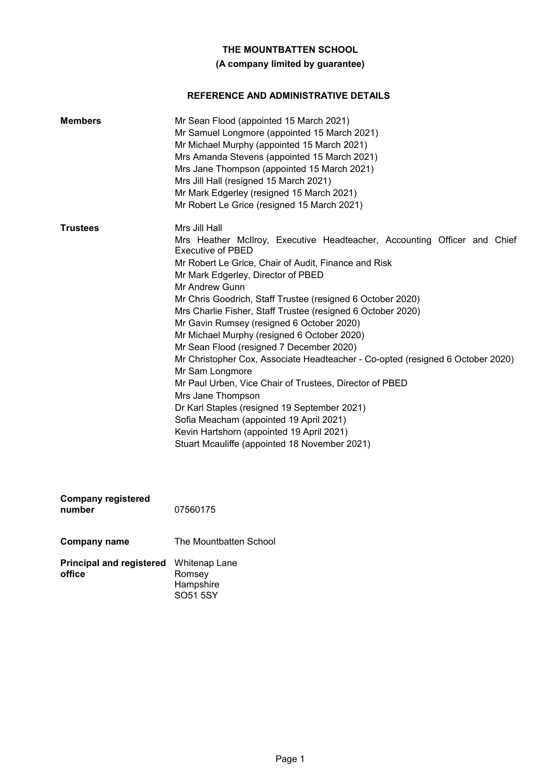# **(A company limited by guarantee)**

# **REFERENCE AND ADMINISTRATIVE DETAILS**

| <b>Members</b>                      | Mr Sean Flood (appointed 15 March 2021)<br>Mr Samuel Longmore (appointed 15 March 2021)<br>Mr Michael Murphy (appointed 15 March 2021)<br>Mrs Amanda Stevens (appointed 15 March 2021)<br>Mrs Jane Thompson (appointed 15 March 2021)<br>Mrs Jill Hall (resigned 15 March 2021)<br>Mr Mark Edgerley (resigned 15 March 2021)<br>Mr Robert Le Grice (resigned 15 March 2021)                                                                                                                                                                                                                                                                                                                                                                                                                                                                                                       |
|-------------------------------------|-----------------------------------------------------------------------------------------------------------------------------------------------------------------------------------------------------------------------------------------------------------------------------------------------------------------------------------------------------------------------------------------------------------------------------------------------------------------------------------------------------------------------------------------------------------------------------------------------------------------------------------------------------------------------------------------------------------------------------------------------------------------------------------------------------------------------------------------------------------------------------------|
| <b>Trustees</b>                     | Mrs Jill Hall<br>Mrs Heather McIlroy, Executive Headteacher, Accounting Officer and Chief<br>Executive of PBED<br>Mr Robert Le Grice, Chair of Audit, Finance and Risk<br>Mr Mark Edgerley, Director of PBED<br>Mr Andrew Gunn<br>Mr Chris Goodrich, Staff Trustee (resigned 6 October 2020)<br>Mrs Charlie Fisher, Staff Trustee (resigned 6 October 2020)<br>Mr Gavin Rumsey (resigned 6 October 2020)<br>Mr Michael Murphy (resigned 6 October 2020)<br>Mr Sean Flood (resigned 7 December 2020)<br>Mr Christopher Cox, Associate Headteacher - Co-opted (resigned 6 October 2020)<br>Mr Sam Longmore<br>Mr Paul Urben, Vice Chair of Trustees, Director of PBED<br>Mrs Jane Thompson<br>Dr Karl Staples (resigned 19 September 2021)<br>Sofia Meacham (appointed 19 April 2021)<br>Kevin Hartshorn (appointed 19 April 2021)<br>Stuart Mcauliffe (appointed 18 November 2021) |
| <b>Company registered</b><br>number | 07560175                                                                                                                                                                                                                                                                                                                                                                                                                                                                                                                                                                                                                                                                                                                                                                                                                                                                          |
| <b>Company name</b>                 | The Mountbatten School                                                                                                                                                                                                                                                                                                                                                                                                                                                                                                                                                                                                                                                                                                                                                                                                                                                            |

| <b>Principal and registered</b> Whitenap Lane<br>office | Romsey                |  |
|---------------------------------------------------------|-----------------------|--|
|                                                         | Hampshire<br>SO51 5SY |  |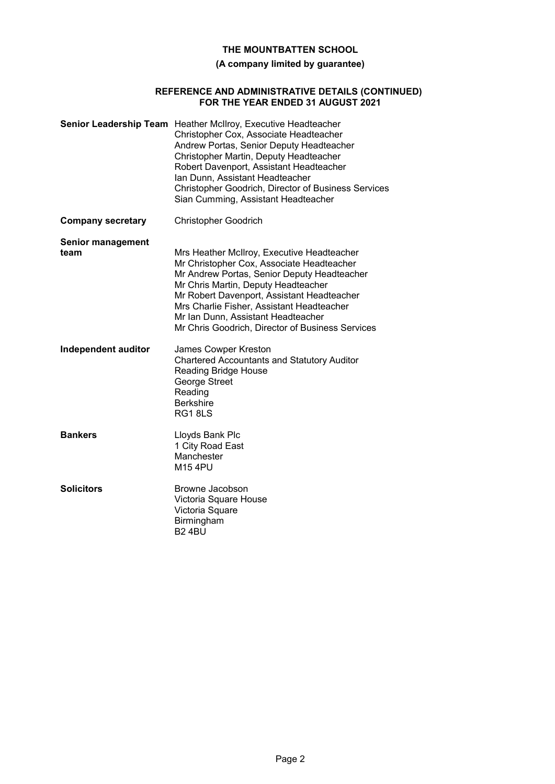# **(A company limited by guarantee)**

### **REFERENCE AND ADMINISTRATIVE DETAILS (CONTINUED) FOR THE YEAR ENDED 31 AUGUST 2021**

|                                  | Senior Leadership Team Heather McIlroy, Executive Headteacher<br>Christopher Cox, Associate Headteacher<br>Andrew Portas, Senior Deputy Headteacher<br>Christopher Martin, Deputy Headteacher<br>Robert Davenport, Assistant Headteacher<br>Ian Dunn, Assistant Headteacher<br>Christopher Goodrich, Director of Business Services<br>Sian Cumming, Assistant Headteacher |
|----------------------------------|---------------------------------------------------------------------------------------------------------------------------------------------------------------------------------------------------------------------------------------------------------------------------------------------------------------------------------------------------------------------------|
| <b>Company secretary</b>         | <b>Christopher Goodrich</b>                                                                                                                                                                                                                                                                                                                                               |
| <b>Senior management</b><br>team | Mrs Heather McIlroy, Executive Headteacher<br>Mr Christopher Cox, Associate Headteacher<br>Mr Andrew Portas, Senior Deputy Headteacher<br>Mr Chris Martin, Deputy Headteacher<br>Mr Robert Davenport, Assistant Headteacher<br>Mrs Charlie Fisher, Assistant Headteacher<br>Mr Ian Dunn, Assistant Headteacher<br>Mr Chris Goodrich, Director of Business Services        |
| Independent auditor              | James Cowper Kreston<br><b>Chartered Accountants and Statutory Auditor</b><br>Reading Bridge House<br>George Street<br>Reading<br><b>Berkshire</b><br>RG18LS                                                                                                                                                                                                              |
| <b>Bankers</b>                   | Lloyds Bank Plc<br>1 City Road East<br>Manchester<br><b>M154PU</b>                                                                                                                                                                                                                                                                                                        |
| <b>Solicitors</b>                | Browne Jacobson<br>Victoria Square House<br>Victoria Square<br>Birmingham<br><b>B24BU</b>                                                                                                                                                                                                                                                                                 |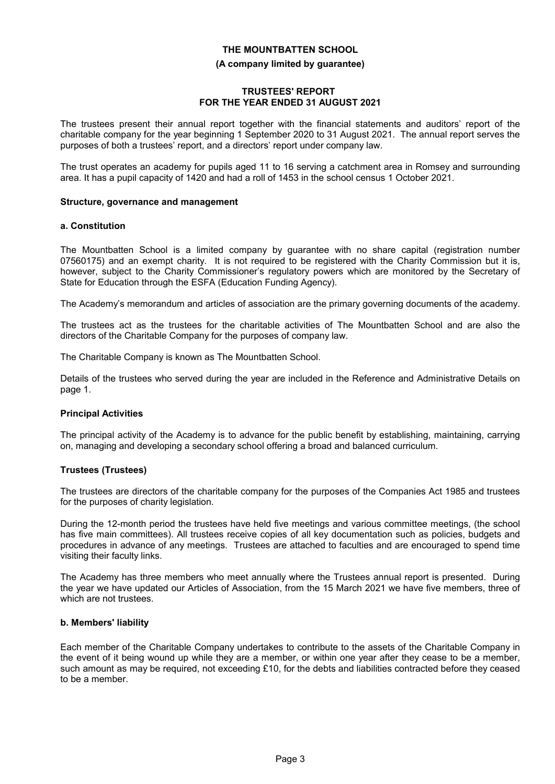# **THE MOUNTBATTEN SCHOOL (A company limited by guarantee)**

# **TRUSTEES' REPORT FOR THE YEAR ENDED 31 AUGUST 2021**

The trustees present their annual report together with the financial statements and auditors' report of the charitable company for the year beginning 1 September 2020 to 31 August 2021. The annual report serves the purposes of both a trustees' report, and a directors' report under company law.

The trust operates an academy for pupils aged 11 to 16 serving a catchment area in Romsey and surrounding area. It has a pupil capacity of 1420 and had a roll of 1453 in the school census 1 October 2021.

#### **Structure, governance and management**

#### **a. Constitution**

The Mountbatten School is a limited company by guarantee with no share capital (registration number 07560175) and an exempt charity. It is not required to be registered with the Charity Commission but it is, however, subject to the Charity Commissioner's regulatory powers which are monitored by the Secretary of State for Education through the ESFA (Education Funding Agency).

The Academy's memorandum and articles of association are the primary governing documents of the academy.

The trustees act as the trustees for the charitable activities of The Mountbatten School and are also the directors of the Charitable Company for the purposes of company law.

The Charitable Company is known as The Mountbatten School.

Details of the trustees who served during the year are included in the Reference and Administrative Details on page 1.

#### **Principal Activities**

The principal activity of the Academy is to advance for the public benefit by establishing, maintaining, carrying on, managing and developing a secondary school offering a broad and balanced curriculum.

# **Trustees (Trustees)**

The trustees are directors of the charitable company for the purposes of the Companies Act 1985 and trustees for the purposes of charity legislation.

During the 12-month period the trustees have held five meetings and various committee meetings, (the school has five main committees). All trustees receive copies of all key documentation such as policies, budgets and procedures in advance of any meetings. Trustees are attached to faculties and are encouraged to spend time visiting their faculty links.

The Academy has three members who meet annually where the Trustees annual report is presented. During the year we have updated our Articles of Association, from the 15 March 2021 we have five members, three of which are not trustees.

#### **b. Members' liability**

Each member of the Charitable Company undertakes to contribute to the assets of the Charitable Company in the event of it being wound up while they are a member, or within one year after they cease to be a member, such amount as may be required, not exceeding £10, for the debts and liabilities contracted before they ceased to be a member.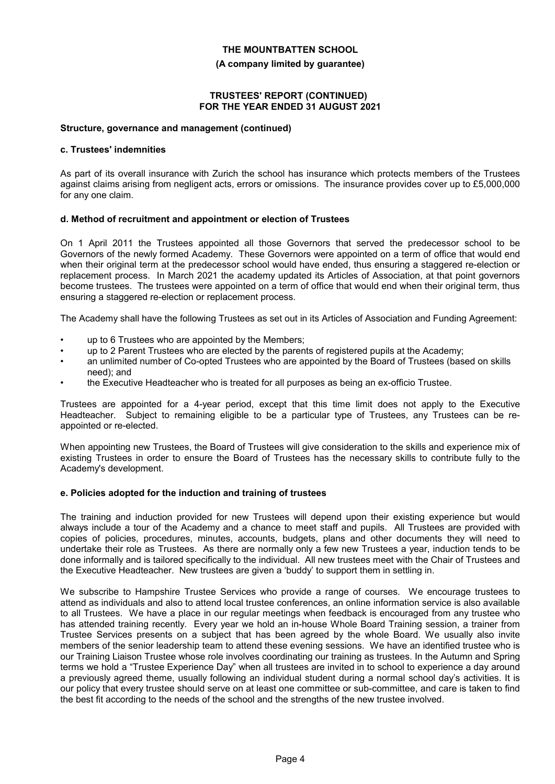#### **(A company limited by guarantee)**

#### **TRUSTEES' REPORT (CONTINUED) FOR THE YEAR ENDED 31 AUGUST 2021**

#### **Structure, governance and management (continued)**

#### **c. Trustees' indemnities**

As part of its overall insurance with Zurich the school has insurance which protects members of the Trustees against claims arising from negligent acts, errors or omissions. The insurance provides cover up to £5,000,000 for any one claim.

#### **d. Method of recruitment and appointment or election of Trustees**

On 1 April 2011 the Trustees appointed all those Governors that served the predecessor school to be Governors of the newly formed Academy. These Governors were appointed on a term of office that would end when their original term at the predecessor school would have ended, thus ensuring a staggered re-election or replacement process. In March 2021 the academy updated its Articles of Association, at that point governors become trustees. The trustees were appointed on a term of office that would end when their original term, thus ensuring a staggered re-election or replacement process.

The Academy shall have the following Trustees as set out in its Articles of Association and Funding Agreement:

- up to 6 Trustees who are appointed by the Members;
- up to 2 Parent Trustees who are elected by the parents of registered pupils at the Academy;
- an unlimited number of Co-opted Trustees who are appointed by the Board of Trustees (based on skills need); and
- the Executive Headteacher who is treated for all purposes as being an ex-officio Trustee.

Trustees are appointed for a 4-year period, except that this time limit does not apply to the Executive Headteacher. Subject to remaining eligible to be a particular type of Trustees, any Trustees can be reappointed or re-elected.

When appointing new Trustees, the Board of Trustees will give consideration to the skills and experience mix of existing Trustees in order to ensure the Board of Trustees has the necessary skills to contribute fully to the Academy's development.

#### **e. Policies adopted for the induction and training of trustees**

The training and induction provided for new Trustees will depend upon their existing experience but would always include a tour of the Academy and a chance to meet staff and pupils. All Trustees are provided with copies of policies, procedures, minutes, accounts, budgets, plans and other documents they will need to undertake their role as Trustees. As there are normally only a few new Trustees a year, induction tends to be done informally and is tailored specifically to the individual. All new trustees meet with the Chair of Trustees and the Executive Headteacher. New trustees are given a 'buddy' to support them in settling in.

We subscribe to Hampshire Trustee Services who provide a range of courses. We encourage trustees to attend as individuals and also to attend local trustee conferences, an online information service is also available to all Trustees. We have a place in our regular meetings when feedback is encouraged from any trustee who has attended training recently. Every year we hold an in-house Whole Board Training session, a trainer from Trustee Services presents on a subject that has been agreed by the whole Board. We usually also invite members of the senior leadership team to attend these evening sessions. We have an identified trustee who is our Training Liaison Trustee whose role involves coordinating our training as trustees. In the Autumn and Spring terms we hold a "Trustee Experience Day" when all trustees are invited in to school to experience a day around a previously agreed theme, usually following an individual student during a normal school day's activities. It is our policy that every trustee should serve on at least one committee or sub-committee, and care is taken to find the best fit according to the needs of the school and the strengths of the new trustee involved.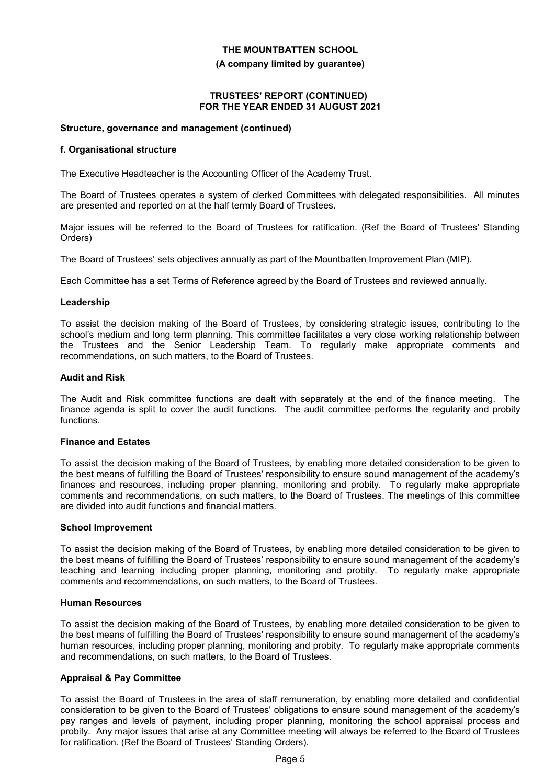#### **(A company limited by guarantee)**

#### **TRUSTEES' REPORT (CONTINUED) FOR THE YEAR ENDED 31 AUGUST 2021**

#### **Structure, governance and management (continued)**

#### **f. Organisational structure**

The Executive Headteacher is the Accounting Officer of the Academy Trust.

The Board of Trustees operates a system of clerked Committees with delegated responsibilities. All minutes are presented and reported on at the half termly Board of Trustees.

Major issues will be referred to the Board of Trustees for ratification. (Ref the Board of Trustees' Standing Orders)

The Board of Trustees' sets objectives annually as part of the Mountbatten Improvement Plan (MIP).

Each Committee has a set Terms of Reference agreed by the Board of Trustees and reviewed annually.

#### **Leadership**

To assist the decision making of the Board of Trustees, by considering strategic issues, contributing to the school's medium and long term planning. This committee facilitates a very close working relationship between the Trustees and the Senior Leadership Team. To regularly make appropriate comments and recommendations, on such matters, to the Board of Trustees.

#### **Audit and Risk**

The Audit and Risk committee functions are dealt with separately at the end of the finance meeting. The finance agenda is split to cover the audit functions. The audit committee performs the regularity and probity functions.

#### **Finance and Estates**

To assist the decision making of the Board of Trustees, by enabling more detailed consideration to be given to the best means of fulfilling the Board of Trustees' responsibility to ensure sound management of the academy's finances and resources, including proper planning, monitoring and probity. To regularly make appropriate comments and recommendations, on such matters, to the Board of Trustees. The meetings of this committee are divided into audit functions and financial matters.

#### **School Improvement**

To assist the decision making of the Board of Trustees, by enabling more detailed consideration to be given to the best means of fulfilling the Board of Trustees' responsibility to ensure sound management of the academy's teaching and learning including proper planning, monitoring and probity. To regularly make appropriate comments and recommendations, on such matters, to the Board of Trustees.

#### **Human Resources**

To assist the decision making of the Board of Trustees, by enabling more detailed consideration to be given to the best means of fulfilling the Board of Trustees' responsibility to ensure sound management of the academy's human resources, including proper planning, monitoring and probity. To regularly make appropriate comments and recommendations, on such matters, to the Board of Trustees.

# **Appraisal & Pay Committee**

To assist the Board of Trustees in the area of staff remuneration, by enabling more detailed and confidential consideration to be given to the Board of Trustees' obligations to ensure sound management of the academy's pay ranges and levels of payment, including proper planning, monitoring the school appraisal process and probity. Any major issues that arise at any Committee meeting will always be referred to the Board of Trustees for ratification. (Ref the Board of Trustees' Standing Orders).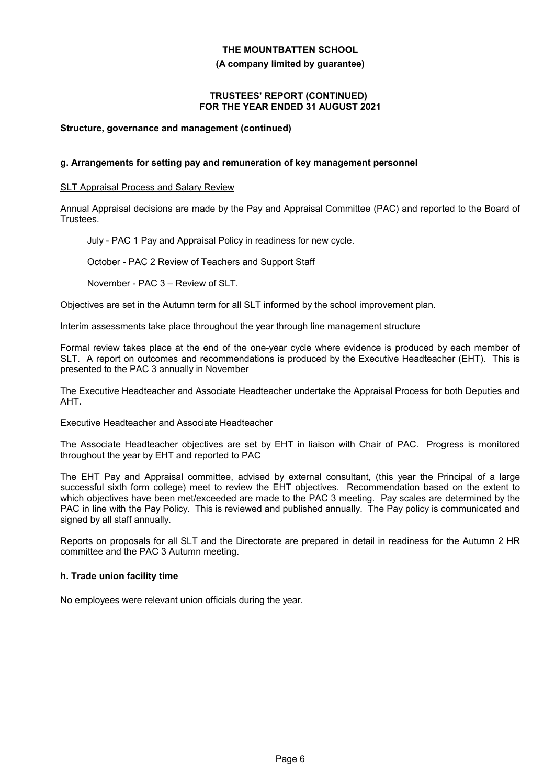#### **(A company limited by guarantee)**

#### **TRUSTEES' REPORT (CONTINUED) FOR THE YEAR ENDED 31 AUGUST 2021**

### **Structure, governance and management (continued)**

#### **g. Arrangements for setting pay and remuneration of key management personnel**

#### **SLT Appraisal Process and Salary Review**

Annual Appraisal decisions are made by the Pay and Appraisal Committee (PAC) and reported to the Board of Trustees.

July - PAC 1 Pay and Appraisal Policy in readiness for new cycle.

October - PAC 2 Review of Teachers and Support Staff

November - PAC 3 – Review of SLT.

Objectives are set in the Autumn term for all SLT informed by the school improvement plan.

Interim assessments take place throughout the year through line management structure

Formal review takes place at the end of the one-year cycle where evidence is produced by each member of SLT. A report on outcomes and recommendations is produced by the Executive Headteacher (EHT). This is presented to the PAC 3 annually in November

The Executive Headteacher and Associate Headteacher undertake the Appraisal Process for both Deputies and AHT.

#### Executive Headteacher and Associate Headteacher

The Associate Headteacher objectives are set by EHT in liaison with Chair of PAC. Progress is monitored throughout the year by EHT and reported to PAC

The EHT Pay and Appraisal committee, advised by external consultant, (this year the Principal of a large successful sixth form college) meet to review the EHT objectives. Recommendation based on the extent to which objectives have been met/exceeded are made to the PAC 3 meeting. Pay scales are determined by the PAC in line with the Pay Policy. This is reviewed and published annually. The Pay policy is communicated and signed by all staff annually.

Reports on proposals for all SLT and the Directorate are prepared in detail in readiness for the Autumn 2 HR committee and the PAC 3 Autumn meeting.

# **h. Trade union facility time**

No employees were relevant union officials during the year.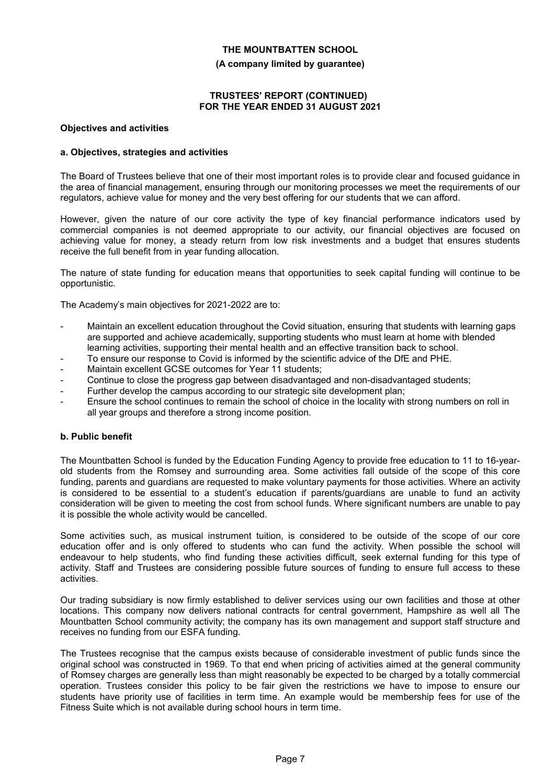**(A company limited by guarantee)**

#### **TRUSTEES' REPORT (CONTINUED) FOR THE YEAR ENDED 31 AUGUST 2021**

#### **Objectives and activities**

#### **a. Objectives, strategies and activities**

The Board of Trustees believe that one of their most important roles is to provide clear and focused guidance in the area of financial management, ensuring through our monitoring processes we meet the requirements of our regulators, achieve value for money and the very best offering for our students that we can afford.

However, given the nature of our core activity the type of key financial performance indicators used by commercial companies is not deemed appropriate to our activity, our financial objectives are focused on achieving value for money, a steady return from low risk investments and a budget that ensures students receive the full benefit from in year funding allocation.

The nature of state funding for education means that opportunities to seek capital funding will continue to be opportunistic.

The Academy's main objectives for 2021-2022 are to:

- Maintain an excellent education throughout the Covid situation, ensuring that students with learning gaps are supported and achieve academically, supporting students who must learn at home with blended learning activities, supporting their mental health and an effective transition back to school.
- To ensure our response to Covid is informed by the scientific advice of the DfE and PHE.
- Maintain excellent GCSE outcomes for Year 11 students;
- Continue to close the progress gap between disadvantaged and non-disadvantaged students;
- Further develop the campus according to our strategic site development plan;
- Ensure the school continues to remain the school of choice in the locality with strong numbers on roll in all year groups and therefore a strong income position.

#### **b. Public benefit**

The Mountbatten School is funded by the Education Funding Agency to provide free education to 11 to 16-yearold students from the Romsey and surrounding area. Some activities fall outside of the scope of this core funding, parents and guardians are requested to make voluntary payments for those activities. Where an activity is considered to be essential to a student's education if parents/guardians are unable to fund an activity consideration will be given to meeting the cost from school funds. Where significant numbers are unable to pay it is possible the whole activity would be cancelled.

Some activities such, as musical instrument tuition, is considered to be outside of the scope of our core education offer and is only offered to students who can fund the activity. When possible the school will endeavour to help students, who find funding these activities difficult, seek external funding for this type of activity. Staff and Trustees are considering possible future sources of funding to ensure full access to these activities.

Our trading subsidiary is now firmly established to deliver services using our own facilities and those at other locations. This company now delivers national contracts for central government, Hampshire as well all The Mountbatten School community activity; the company has its own management and support staff structure and receives no funding from our ESFA funding.

The Trustees recognise that the campus exists because of considerable investment of public funds since the original school was constructed in 1969. To that end when pricing of activities aimed at the general community of Romsey charges are generally less than might reasonably be expected to be charged by a totally commercial operation. Trustees consider this policy to be fair given the restrictions we have to impose to ensure our students have priority use of facilities in term time. An example would be membership fees for use of the Fitness Suite which is not available during school hours in term time.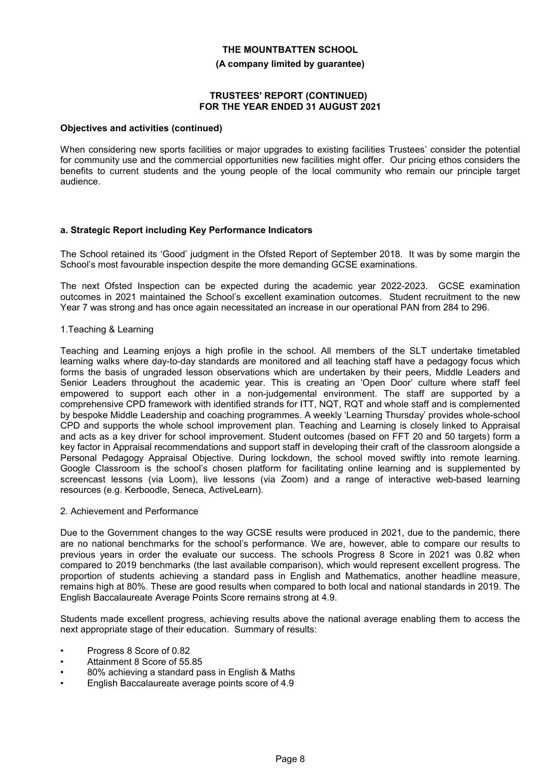#### **(A company limited by guarantee)**

#### **TRUSTEES' REPORT (CONTINUED) FOR THE YEAR ENDED 31 AUGUST 2021**

#### **Objectives and activities (continued)**

When considering new sports facilities or major upgrades to existing facilities Trustees' consider the potential for community use and the commercial opportunities new facilities might offer. Our pricing ethos considers the benefits to current students and the young people of the local community who remain our principle target audience.

#### **a. Strategic Report including Key Performance Indicators**

The School retained its 'Good' judgment in the Ofsted Report of September 2018. It was by some margin the School's most favourable inspection despite the more demanding GCSE examinations.

The next Ofsted Inspection can be expected during the academic year 2022-2023. GCSE examination outcomes in 2021 maintained the School's excellent examination outcomes. Student recruitment to the new Year 7 was strong and has once again necessitated an increase in our operational PAN from 284 to 296.

#### 1.Teaching & Learning

Teaching and Learning enjoys a high profile in the school. All members of the SLT undertake timetabled learning walks where day-to-day standards are monitored and all teaching staff have a pedagogy focus which forms the basis of ungraded lesson observations which are undertaken by their peers, Middle Leaders and Senior Leaders throughout the academic year. This is creating an 'Open Door' culture where staff feel empowered to support each other in a non-judgemental environment. The staff are supported by a comprehensive CPD framework with identified strands for ITT, NQT, RQT and whole staff and is complemented by bespoke Middle Leadership and coaching programmes. A weekly 'Learning Thursday' provides whole-school CPD and supports the whole school improvement plan. Teaching and Learning is closely linked to Appraisal and acts as a key driver for school improvement. Student outcomes (based on FFT 20 and 50 targets) form a key factor in Appraisal recommendations and support staff in developing their craft of the classroom alongside a Personal Pedagogy Appraisal Objective. During lockdown, the school moved swiftly into remote learning. Google Classroom is the school's chosen platform for facilitating online learning and is supplemented by screencast lessons (via Loom), live lessons (via Zoom) and a range of interactive web-based learning resources (e.g. Kerboodle, Seneca, ActiveLearn).

#### 2. Achievement and Performance

Due to the Government changes to the way GCSE results were produced in 2021, due to the pandemic, there are no national benchmarks for the school's performance. We are, however, able to compare our results to previous years in order the evaluate our success. The schools Progress 8 Score in 2021 was 0.82 when compared to 2019 benchmarks (the last available comparison), which would represent excellent progress. The proportion of students achieving a standard pass in English and Mathematics, another headline measure, remains high at 80%. These are good results when compared to both local and national standards in 2019. The English Baccalaureate Average Points Score remains strong at 4.9.

Students made excellent progress, achieving results above the national average enabling them to access the next appropriate stage of their education. Summary of results:

- Progress 8 Score of 0.82
- Attainment 8 Score of 55.85
- 80% achieving a standard pass in English & Maths
- English Baccalaureate average points score of 4.9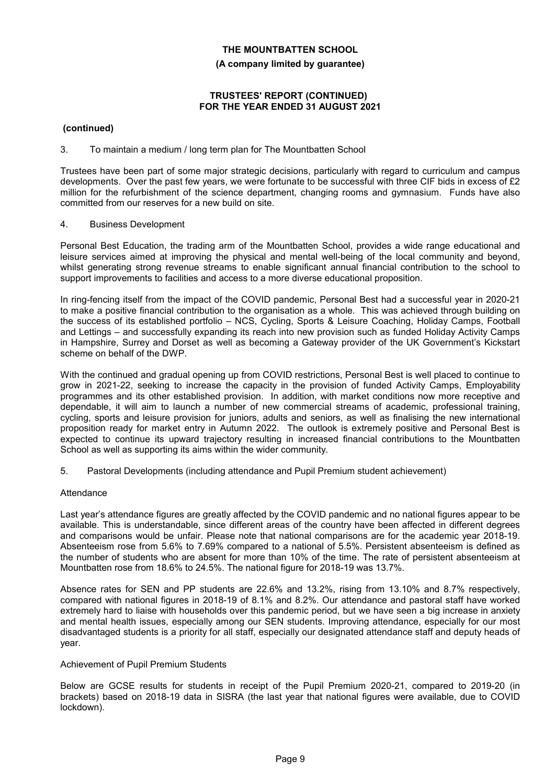#### **(A company limited by guarantee)**

### **TRUSTEES' REPORT (CONTINUED) FOR THE YEAR ENDED 31 AUGUST 2021**

# **(continued)**

# 3. To maintain a medium / long term plan for The Mountbatten School

Trustees have been part of some major strategic decisions, particularly with regard to curriculum and campus developments. Over the past few years, we were fortunate to be successful with three CIF bids in excess of £2 million for the refurbishment of the science department, changing rooms and gymnasium. Funds have also committed from our reserves for a new build on site.

# 4. Business Development

Personal Best Education, the trading arm of the Mountbatten School, provides a wide range educational and leisure services aimed at improving the physical and mental well-being of the local community and beyond, whilst generating strong revenue streams to enable significant annual financial contribution to the school to support improvements to facilities and access to a more diverse educational proposition.

In ring-fencing itself from the impact of the COVID pandemic, Personal Best had a successful year in 2020-21 to make a positive financial contribution to the organisation as a whole. This was achieved through building on the success of its established portfolio – NCS, Cycling, Sports & Leisure Coaching, Holiday Camps, Football and Lettings – and successfully expanding its reach into new provision such as funded Holiday Activity Camps in Hampshire, Surrey and Dorset as well as becoming a Gateway provider of the UK Government's Kickstart scheme on behalf of the DWP.

With the continued and gradual opening up from COVID restrictions, Personal Best is well placed to continue to grow in 2021-22, seeking to increase the capacity in the provision of funded Activity Camps, Employability programmes and its other established provision. In addition, with market conditions now more receptive and dependable, it will aim to launch a number of new commercial streams of academic, professional training, cycling, sports and leisure provision for juniors, adults and seniors, as well as finalising the new international proposition ready for market entry in Autumn 2022. The outlook is extremely positive and Personal Best is expected to continue its upward trajectory resulting in increased financial contributions to the Mountbatten School as well as supporting its aims within the wider community.

5. Pastoral Developments (including attendance and Pupil Premium student achievement)

# Attendance

Last year's attendance figures are greatly affected by the COVID pandemic and no national figures appear to be available. This is understandable, since different areas of the country have been affected in different degrees and comparisons would be unfair. Please note that national comparisons are for the academic year 2018-19. Absenteeism rose from 5.6% to 7.69% compared to a national of 5.5%. Persistent absenteeism is defined as the number of students who are absent for more than 10% of the time. The rate of persistent absenteeism at Mountbatten rose from 18.6% to 24.5%. The national figure for 2018-19 was 13.7%.

Absence rates for SEN and PP students are 22.6% and 13.2%, rising from 13.10% and 8.7% respectively, compared with national figures in 2018-19 of 8.1% and 8.2%. Our attendance and pastoral staff have worked extremely hard to liaise with households over this pandemic period, but we have seen a big increase in anxiety and mental health issues, especially among our SEN students. Improving attendance, especially for our most disadvantaged students is a priority for all staff, especially our designated attendance staff and deputy heads of year.

# Achievement of Pupil Premium Students

Below are GCSE results for students in receipt of the Pupil Premium 2020-21, compared to 2019-20 (in brackets) based on 2018-19 data in SISRA (the last year that national figures were available, due to COVID lockdown).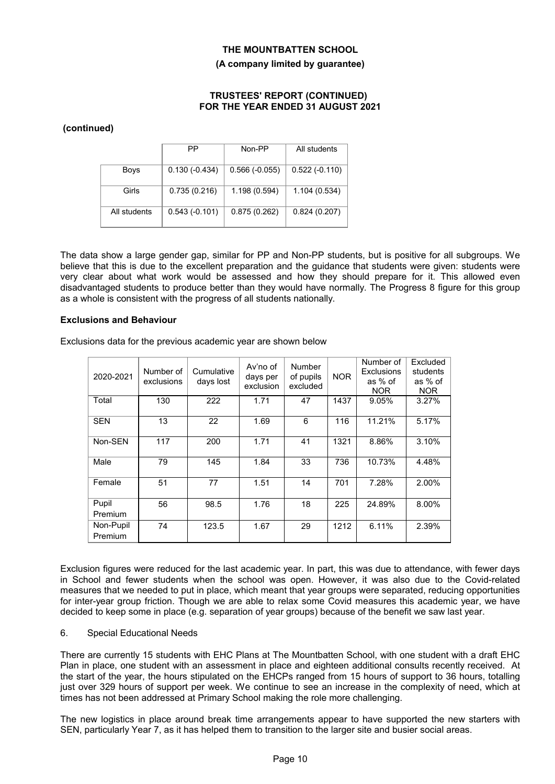#### **(A company limited by guarantee)**

#### **TRUSTEES' REPORT (CONTINUED) FOR THE YEAR ENDED 31 AUGUST 2021**

# **(continued)**

|              | PP              | Non-PP          | All students    |
|--------------|-----------------|-----------------|-----------------|
| <b>Boys</b>  | $0.130(-0.434)$ | $0.566(-0.055)$ | $0.522(-0.110)$ |
| Girls        | 0.735(0.216)    | 1.198(0.594)    | 1.104(0.534)    |
| All students | $0.543(-0.101)$ | 0.875(0.262)    | 0.824(0.207)    |

The data show a large gender gap, similar for PP and Non-PP students, but is positive for all subgroups. We believe that this is due to the excellent preparation and the guidance that students were given: students were very clear about what work would be assessed and how they should prepare for it. This allowed even disadvantaged students to produce better than they would have normally. The Progress 8 figure for this group as a whole is consistent with the progress of all students nationally.

#### **Exclusions and Behaviour**

Exclusions data for the previous academic year are shown below

| 2020-2021            | Number of<br>exclusions | Cumulative<br>days lost | Av'no of<br>days per<br>exclusion | <b>Number</b><br>of pupils<br>excluded | <b>NOR</b> | Number of<br><b>Exclusions</b><br>as % of<br><b>NOR</b> | Excluded<br>students<br>as % of<br><b>NOR</b> |
|----------------------|-------------------------|-------------------------|-----------------------------------|----------------------------------------|------------|---------------------------------------------------------|-----------------------------------------------|
| Total                | 130                     | 222                     | 1.71                              | 47                                     | 1437       | 9.05%                                                   | 3.27%                                         |
| <b>SEN</b>           | 13                      | 22                      | 1.69                              | 6                                      | 116        | 11.21%                                                  | 5.17%                                         |
| Non-SEN              | 117                     | 200                     | 1.71                              | 41                                     | 1321       | 8.86%                                                   | 3.10%                                         |
| Male                 | 79                      | 145                     | 1.84                              | 33                                     | 736        | 10.73%                                                  | 4.48%                                         |
| Female               | 51                      | 77                      | 1.51                              | 14                                     | 701        | 7.28%                                                   | 2.00%                                         |
| Pupil<br>Premium     | 56                      | 98.5                    | 1.76                              | 18                                     | 225        | 24.89%                                                  | 8.00%                                         |
| Non-Pupil<br>Premium | 74                      | 123.5                   | 1.67                              | 29                                     | 1212       | 6.11%                                                   | 2.39%                                         |

Exclusion figures were reduced for the last academic year. In part, this was due to attendance, with fewer days in School and fewer students when the school was open. However, it was also due to the Covid-related measures that we needed to put in place, which meant that year groups were separated, reducing opportunities for inter-year group friction. Though we are able to relax some Covid measures this academic year, we have decided to keep some in place (e.g. separation of year groups) because of the benefit we saw last year.

#### 6. Special Educational Needs

There are currently 15 students with EHC Plans at The Mountbatten School, with one student with a draft EHC Plan in place, one student with an assessment in place and eighteen additional consults recently received. At the start of the year, the hours stipulated on the EHCPs ranged from 15 hours of support to 36 hours, totalling just over 329 hours of support per week. We continue to see an increase in the complexity of need, which at times has not been addressed at Primary School making the role more challenging.

The new logistics in place around break time arrangements appear to have supported the new starters with SEN, particularly Year 7, as it has helped them to transition to the larger site and busier social areas.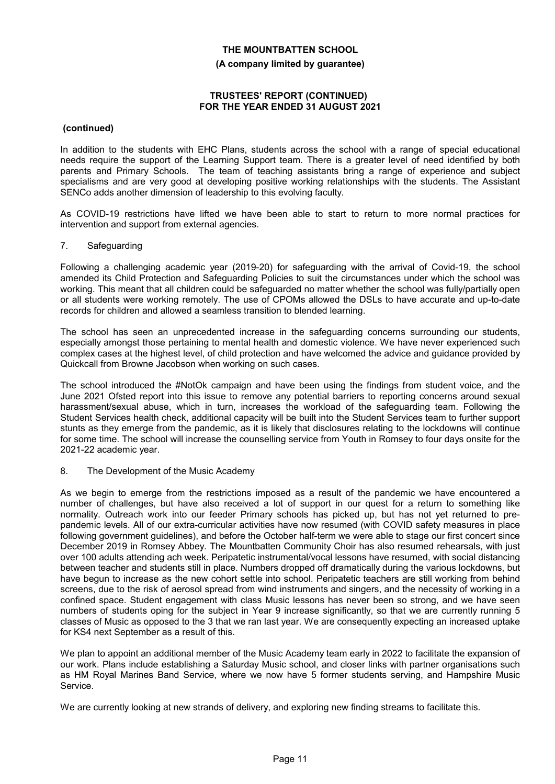#### **(A company limited by guarantee)**

#### **TRUSTEES' REPORT (CONTINUED) FOR THE YEAR ENDED 31 AUGUST 2021**

### **(continued)**

In addition to the students with EHC Plans, students across the school with a range of special educational needs require the support of the Learning Support team. There is a greater level of need identified by both parents and Primary Schools. The team of teaching assistants bring a range of experience and subject specialisms and are very good at developing positive working relationships with the students. The Assistant SENCo adds another dimension of leadership to this evolving faculty.

As COVID-19 restrictions have lifted we have been able to start to return to more normal practices for intervention and support from external agencies.

#### 7. Safeguarding

Following a challenging academic year (2019-20) for safeguarding with the arrival of Covid-19, the school amended its Child Protection and Safeguarding Policies to suit the circumstances under which the school was working. This meant that all children could be safeguarded no matter whether the school was fully/partially open or all students were working remotely. The use of CPOMs allowed the DSLs to have accurate and up-to-date records for children and allowed a seamless transition to blended learning.

The school has seen an unprecedented increase in the safeguarding concerns surrounding our students, especially amongst those pertaining to mental health and domestic violence. We have never experienced such complex cases at the highest level, of child protection and have welcomed the advice and guidance provided by Quickcall from Browne Jacobson when working on such cases.

The school introduced the #NotOk campaign and have been using the findings from student voice, and the June 2021 Ofsted report into this issue to remove any potential barriers to reporting concerns around sexual harassment/sexual abuse, which in turn, increases the workload of the safeguarding team. Following the Student Services health check, additional capacity will be built into the Student Services team to further support stunts as they emerge from the pandemic, as it is likely that disclosures relating to the lockdowns will continue for some time. The school will increase the counselling service from Youth in Romsey to four days onsite for the 2021-22 academic year.

#### 8. The Development of the Music Academy

As we begin to emerge from the restrictions imposed as a result of the pandemic we have encountered a number of challenges, but have also received a lot of support in our quest for a return to something like normality. Outreach work into our feeder Primary schools has picked up, but has not yet returned to prepandemic levels. All of our extra-curricular activities have now resumed (with COVID safety measures in place following government guidelines), and before the October half-term we were able to stage our first concert since December 2019 in Romsey Abbey. The Mountbatten Community Choir has also resumed rehearsals, with just over 100 adults attending ach week. Peripatetic instrumental/vocal lessons have resumed, with social distancing between teacher and students still in place. Numbers dropped off dramatically during the various lockdowns, but have begun to increase as the new cohort settle into school. Peripatetic teachers are still working from behind screens, due to the risk of aerosol spread from wind instruments and singers, and the necessity of working in a confined space. Student engagement with class Music lessons has never been so strong, and we have seen numbers of students oping for the subject in Year 9 increase significantly, so that we are currently running 5 classes of Music as opposed to the 3 that we ran last year. We are consequently expecting an increased uptake for KS4 next September as a result of this.

We plan to appoint an additional member of the Music Academy team early in 2022 to facilitate the expansion of our work. Plans include establishing a Saturday Music school, and closer links with partner organisations such as HM Royal Marines Band Service, where we now have 5 former students serving, and Hampshire Music Service.

We are currently looking at new strands of delivery, and exploring new finding streams to facilitate this.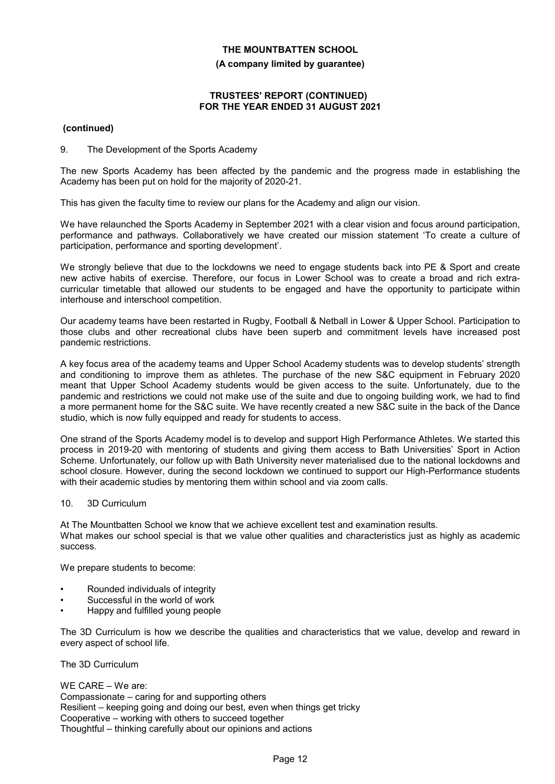**(A company limited by guarantee)**

### **TRUSTEES' REPORT (CONTINUED) FOR THE YEAR ENDED 31 AUGUST 2021**

# **(continued)**

# 9. The Development of the Sports Academy

The new Sports Academy has been affected by the pandemic and the progress made in establishing the Academy has been put on hold for the majority of 2020-21.

This has given the faculty time to review our plans for the Academy and align our vision.

We have relaunched the Sports Academy in September 2021 with a clear vision and focus around participation, performance and pathways. Collaboratively we have created our mission statement 'To create a culture of participation, performance and sporting development'.

We strongly believe that due to the lockdowns we need to engage students back into PE & Sport and create new active habits of exercise. Therefore, our focus in Lower School was to create a broad and rich extracurricular timetable that allowed our students to be engaged and have the opportunity to participate within interhouse and interschool competition.

Our academy teams have been restarted in Rugby, Football & Netball in Lower & Upper School. Participation to those clubs and other recreational clubs have been superb and commitment levels have increased post pandemic restrictions.

A key focus area of the academy teams and Upper School Academy students was to develop students' strength and conditioning to improve them as athletes. The purchase of the new S&C equipment in February 2020 meant that Upper School Academy students would be given access to the suite. Unfortunately, due to the pandemic and restrictions we could not make use of the suite and due to ongoing building work, we had to find a more permanent home for the S&C suite. We have recently created a new S&C suite in the back of the Dance studio, which is now fully equipped and ready for students to access.

One strand of the Sports Academy model is to develop and support High Performance Athletes. We started this process in 2019-20 with mentoring of students and giving them access to Bath Universities' Sport in Action Scheme. Unfortunately, our follow up with Bath University never materialised due to the national lockdowns and school closure. However, during the second lockdown we continued to support our High-Performance students with their academic studies by mentoring them within school and via zoom calls.

# 10. 3D Curriculum

At The Mountbatten School we know that we achieve excellent test and examination results. What makes our school special is that we value other qualities and characteristics just as highly as academic success.

We prepare students to become:

- Rounded individuals of integrity
- Successful in the world of work
- Happy and fulfilled young people

The 3D Curriculum is how we describe the qualities and characteristics that we value, develop and reward in every aspect of school life.

The 3D Curriculum

WE CARE – We are: Compassionate – caring for and supporting others Resilient – keeping going and doing our best, even when things get tricky Cooperative – working with others to succeed together Thoughtful – thinking carefully about our opinions and actions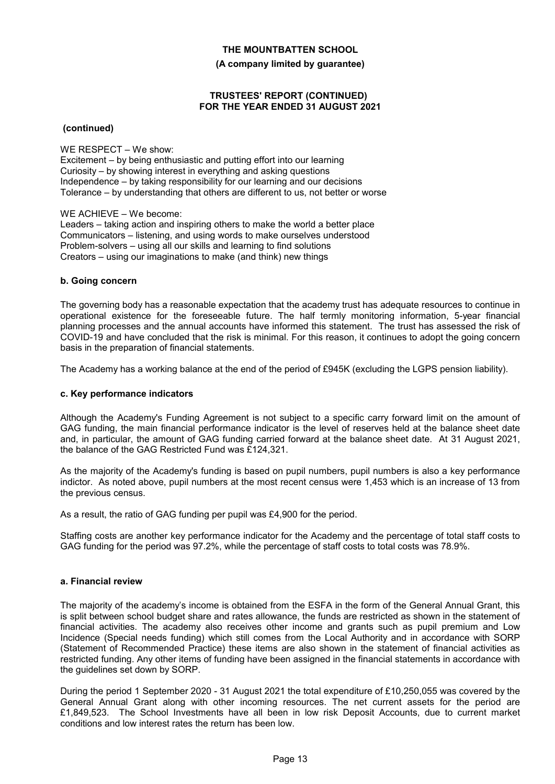**(A company limited by guarantee)**

### **TRUSTEES' REPORT (CONTINUED) FOR THE YEAR ENDED 31 AUGUST 2021**

 **(continued)**

WE RESPECT – We show:

Excitement – by being enthusiastic and putting effort into our learning Curiosity – by showing interest in everything and asking questions Independence – by taking responsibility for our learning and our decisions Tolerance – by understanding that others are different to us, not better or worse

WE ACHIEVE – We become:

Leaders – taking action and inspiring others to make the world a better place Communicators – listening, and using words to make ourselves understood Problem-solvers – using all our skills and learning to find solutions Creators – using our imaginations to make (and think) new things

#### **b. Going concern**

The governing body has a reasonable expectation that the academy trust has adequate resources to continue in operational existence for the foreseeable future. The half termly monitoring information, 5-year financial planning processes and the annual accounts have informed this statement. The trust has assessed the risk of COVID-19 and have concluded that the risk is minimal. For this reason, it continues to adopt the going concern basis in the preparation of financial statements.

The Academy has a working balance at the end of the period of £945K (excluding the LGPS pension liability).

### **c. Key performance indicators**

Although the Academy's Funding Agreement is not subject to a specific carry forward limit on the amount of GAG funding, the main financial performance indicator is the level of reserves held at the balance sheet date and, in particular, the amount of GAG funding carried forward at the balance sheet date. At 31 August 2021, the balance of the GAG Restricted Fund was £124,321.

As the majority of the Academy's funding is based on pupil numbers, pupil numbers is also a key performance indictor. As noted above, pupil numbers at the most recent census were 1,453 which is an increase of 13 from the previous census.

As a result, the ratio of GAG funding per pupil was £4,900 for the period.

Staffing costs are another key performance indicator for the Academy and the percentage of total staff costs to GAG funding for the period was 97.2%, while the percentage of staff costs to total costs was 78.9%.

#### **a. Financial review**

The majority of the academy's income is obtained from the ESFA in the form of the General Annual Grant, this is split between school budget share and rates allowance, the funds are restricted as shown in the statement of financial activities. The academy also receives other income and grants such as pupil premium and Low Incidence (Special needs funding) which still comes from the Local Authority and in accordance with SORP (Statement of Recommended Practice) these items are also shown in the statement of financial activities as restricted funding. Any other items of funding have been assigned in the financial statements in accordance with the guidelines set down by SORP.

During the period 1 September 2020 - 31 August 2021 the total expenditure of £10,250,055 was covered by the General Annual Grant along with other incoming resources. The net current assets for the period are £1,849,523. The School Investments have all been in low risk Deposit Accounts, due to current market conditions and low interest rates the return has been low.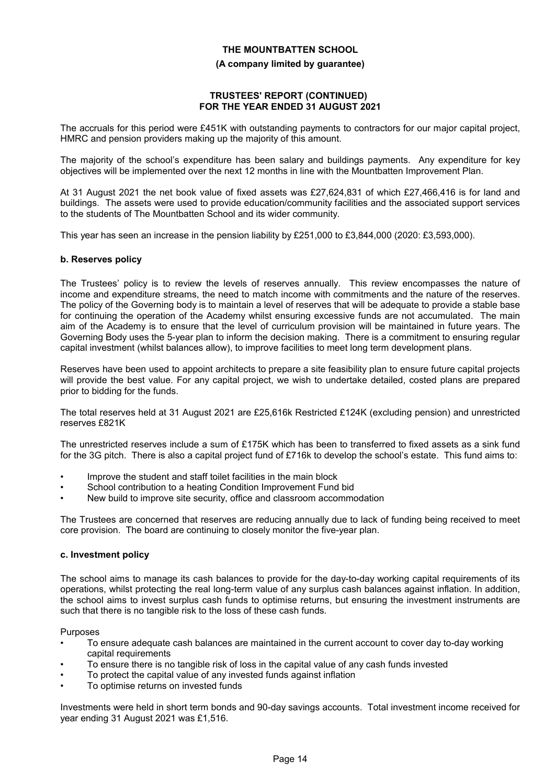#### **(A company limited by guarantee)**

#### **TRUSTEES' REPORT (CONTINUED) FOR THE YEAR ENDED 31 AUGUST 2021**

The accruals for this period were £451K with outstanding payments to contractors for our major capital project, HMRC and pension providers making up the majority of this amount.

The majority of the school's expenditure has been salary and buildings payments. Any expenditure for key objectives will be implemented over the next 12 months in line with the Mountbatten Improvement Plan.

At 31 August 2021 the net book value of fixed assets was £27,624,831 of which £27,466,416 is for land and buildings. The assets were used to provide education/community facilities and the associated support services to the students of The Mountbatten School and its wider community.

This year has seen an increase in the pension liability by £251,000 to £3,844,000 (2020: £3,593,000).

#### **b. Reserves policy**

The Trustees' policy is to review the levels of reserves annually. This review encompasses the nature of income and expenditure streams, the need to match income with commitments and the nature of the reserves. The policy of the Governing body is to maintain a level of reserves that will be adequate to provide a stable base for continuing the operation of the Academy whilst ensuring excessive funds are not accumulated. The main aim of the Academy is to ensure that the level of curriculum provision will be maintained in future years. The Governing Body uses the 5-year plan to inform the decision making. There is a commitment to ensuring regular capital investment (whilst balances allow), to improve facilities to meet long term development plans.

Reserves have been used to appoint architects to prepare a site feasibility plan to ensure future capital projects will provide the best value. For any capital project, we wish to undertake detailed, costed plans are prepared prior to bidding for the funds.

The total reserves held at 31 August 2021 are £25,616k Restricted £124K (excluding pension) and unrestricted reserves £821K

The unrestricted reserves include a sum of £175K which has been to transferred to fixed assets as a sink fund for the 3G pitch. There is also a capital project fund of £716k to develop the school's estate. This fund aims to:

- Improve the student and staff toilet facilities in the main block
- School contribution to a heating Condition Improvement Fund bid
- New build to improve site security, office and classroom accommodation

The Trustees are concerned that reserves are reducing annually due to lack of funding being received to meet core provision. The board are continuing to closely monitor the five-year plan.

#### **c. Investment policy**

The school aims to manage its cash balances to provide for the day-to-day working capital requirements of its operations, whilst protecting the real long-term value of any surplus cash balances against inflation. In addition, the school aims to invest surplus cash funds to optimise returns, but ensuring the investment instruments are such that there is no tangible risk to the loss of these cash funds.

Purposes

- To ensure adequate cash balances are maintained in the current account to cover day to-day working capital requirements
- To ensure there is no tangible risk of loss in the capital value of any cash funds invested
- To protect the capital value of any invested funds against inflation
- To optimise returns on invested funds

Investments were held in short term bonds and 90-day savings accounts. Total investment income received for year ending 31 August 2021 was £1,516.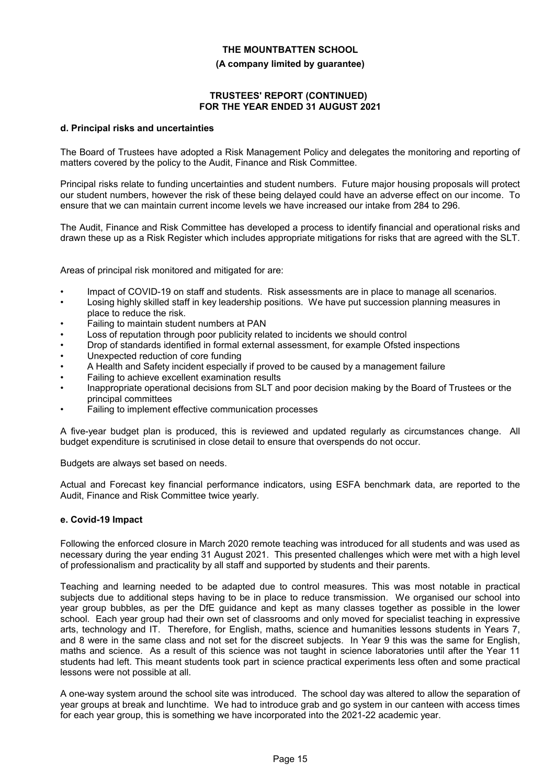#### **(A company limited by guarantee)**

#### **TRUSTEES' REPORT (CONTINUED) FOR THE YEAR ENDED 31 AUGUST 2021**

#### **d. Principal risks and uncertainties**

The Board of Trustees have adopted a Risk Management Policy and delegates the monitoring and reporting of matters covered by the policy to the Audit, Finance and Risk Committee.

Principal risks relate to funding uncertainties and student numbers. Future major housing proposals will protect our student numbers, however the risk of these being delayed could have an adverse effect on our income. To ensure that we can maintain current income levels we have increased our intake from 284 to 296.

The Audit, Finance and Risk Committee has developed a process to identify financial and operational risks and drawn these up as a Risk Register which includes appropriate mitigations for risks that are agreed with the SLT.

Areas of principal risk monitored and mitigated for are:

- Impact of COVID-19 on staff and students. Risk assessments are in place to manage all scenarios.
- Losing highly skilled staff in key leadership positions. We have put succession planning measures in place to reduce the risk.
- Failing to maintain student numbers at PAN
- Loss of reputation through poor publicity related to incidents we should control
- Drop of standards identified in formal external assessment, for example Ofsted inspections
- Unexpected reduction of core funding
- A Health and Safety incident especially if proved to be caused by a management failure
- Failing to achieve excellent examination results
- Inappropriate operational decisions from SLT and poor decision making by the Board of Trustees or the principal committees
- Failing to implement effective communication processes

A five-year budget plan is produced, this is reviewed and updated regularly as circumstances change. All budget expenditure is scrutinised in close detail to ensure that overspends do not occur.

Budgets are always set based on needs.

Actual and Forecast key financial performance indicators, using ESFA benchmark data, are reported to the Audit, Finance and Risk Committee twice yearly.

#### **e. Covid-19 Impact**

Following the enforced closure in March 2020 remote teaching was introduced for all students and was used as necessary during the year ending 31 August 2021. This presented challenges which were met with a high level of professionalism and practicality by all staff and supported by students and their parents.

Teaching and learning needed to be adapted due to control measures. This was most notable in practical subjects due to additional steps having to be in place to reduce transmission. We organised our school into year group bubbles, as per the DfE guidance and kept as many classes together as possible in the lower school. Each year group had their own set of classrooms and only moved for specialist teaching in expressive arts, technology and IT. Therefore, for English, maths, science and humanities lessons students in Years 7, and 8 were in the same class and not set for the discreet subjects. In Year 9 this was the same for English, maths and science. As a result of this science was not taught in science laboratories until after the Year 11 students had left. This meant students took part in science practical experiments less often and some practical lessons were not possible at all.

A one-way system around the school site was introduced. The school day was altered to allow the separation of year groups at break and lunchtime. We had to introduce grab and go system in our canteen with access times for each year group, this is something we have incorporated into the 2021-22 academic year.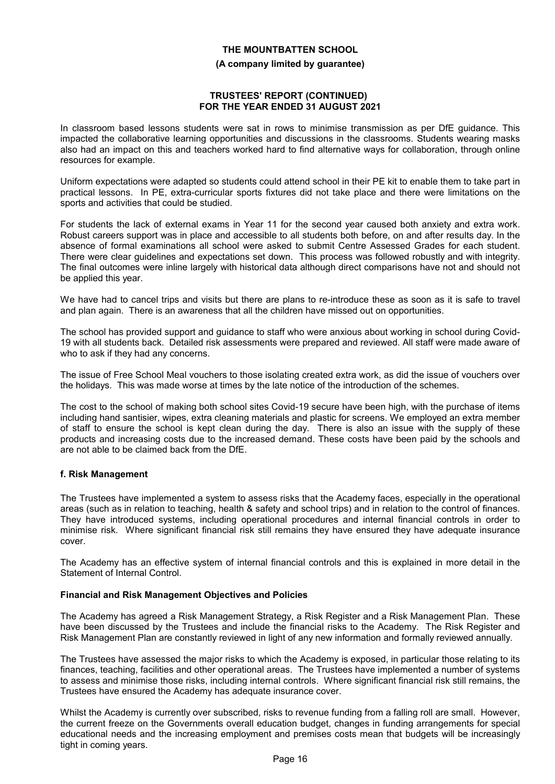**(A company limited by guarantee)**

#### **TRUSTEES' REPORT (CONTINUED) FOR THE YEAR ENDED 31 AUGUST 2021**

In classroom based lessons students were sat in rows to minimise transmission as per DfE guidance. This impacted the collaborative learning opportunities and discussions in the classrooms. Students wearing masks also had an impact on this and teachers worked hard to find alternative ways for collaboration, through online resources for example.

Uniform expectations were adapted so students could attend school in their PE kit to enable them to take part in practical lessons. In PE, extra-curricular sports fixtures did not take place and there were limitations on the sports and activities that could be studied.

For students the lack of external exams in Year 11 for the second year caused both anxiety and extra work. Robust careers support was in place and accessible to all students both before, on and after results day. In the absence of formal examinations all school were asked to submit Centre Assessed Grades for each student. There were clear guidelines and expectations set down. This process was followed robustly and with integrity. The final outcomes were inline largely with historical data although direct comparisons have not and should not be applied this year.

We have had to cancel trips and visits but there are plans to re-introduce these as soon as it is safe to travel and plan again. There is an awareness that all the children have missed out on opportunities.

The school has provided support and guidance to staff who were anxious about working in school during Covid-19 with all students back. Detailed risk assessments were prepared and reviewed. All staff were made aware of who to ask if they had any concerns.

The issue of Free School Meal vouchers to those isolating created extra work, as did the issue of vouchers over the holidays. This was made worse at times by the late notice of the introduction of the schemes.

The cost to the school of making both school sites Covid-19 secure have been high, with the purchase of items including hand santisier, wipes, extra cleaning materials and plastic for screens. We employed an extra member of staff to ensure the school is kept clean during the day. There is also an issue with the supply of these products and increasing costs due to the increased demand. These costs have been paid by the schools and are not able to be claimed back from the DfE.

# **f. Risk Management**

The Trustees have implemented a system to assess risks that the Academy faces, especially in the operational areas (such as in relation to teaching, health & safety and school trips) and in relation to the control of finances. They have introduced systems, including operational procedures and internal financial controls in order to minimise risk. Where significant financial risk still remains they have ensured they have adequate insurance cover.

The Academy has an effective system of internal financial controls and this is explained in more detail in the Statement of Internal Control.

#### **Financial and Risk Management Objectives and Policies**

The Academy has agreed a Risk Management Strategy, a Risk Register and a Risk Management Plan. These have been discussed by the Trustees and include the financial risks to the Academy. The Risk Register and Risk Management Plan are constantly reviewed in light of any new information and formally reviewed annually.

The Trustees have assessed the major risks to which the Academy is exposed, in particular those relating to its finances, teaching, facilities and other operational areas. The Trustees have implemented a number of systems to assess and minimise those risks, including internal controls. Where significant financial risk still remains, the Trustees have ensured the Academy has adequate insurance cover.

Whilst the Academy is currently over subscribed, risks to revenue funding from a falling roll are small. However, the current freeze on the Governments overall education budget, changes in funding arrangements for special educational needs and the increasing employment and premises costs mean that budgets will be increasingly tight in coming years.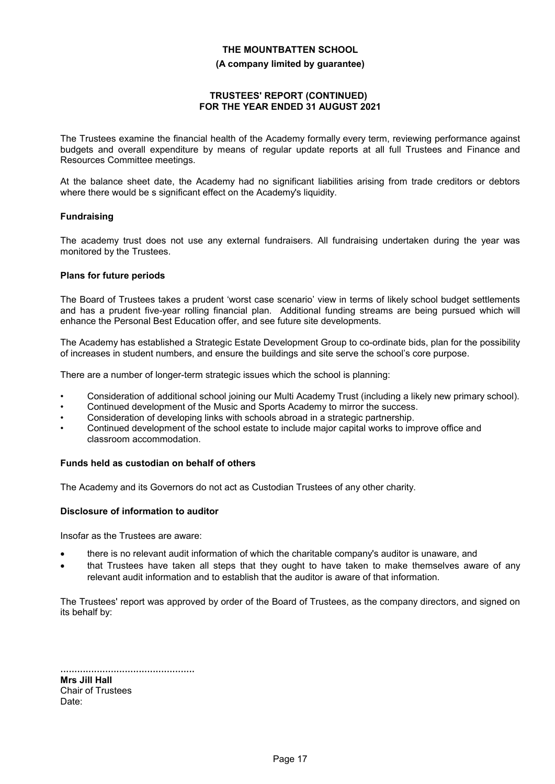#### **(A company limited by guarantee)**

#### **TRUSTEES' REPORT (CONTINUED) FOR THE YEAR ENDED 31 AUGUST 2021**

The Trustees examine the financial health of the Academy formally every term, reviewing performance against budgets and overall expenditure by means of regular update reports at all full Trustees and Finance and Resources Committee meetings.

At the balance sheet date, the Academy had no significant liabilities arising from trade creditors or debtors where there would be s significant effect on the Academy's liquidity.

#### **Fundraising**

The academy trust does not use any external fundraisers. All fundraising undertaken during the year was monitored by the Trustees.

#### **Plans for future periods**

The Board of Trustees takes a prudent 'worst case scenario' view in terms of likely school budget settlements and has a prudent five-year rolling financial plan. Additional funding streams are being pursued which will enhance the Personal Best Education offer, and see future site developments.

The Academy has established a Strategic Estate Development Group to co-ordinate bids, plan for the possibility of increases in student numbers, and ensure the buildings and site serve the school's core purpose.

There are a number of longer-term strategic issues which the school is planning:

- Consideration of additional school joining our Multi Academy Trust (including a likely new primary school).
- Continued development of the Music and Sports Academy to mirror the success.
- Consideration of developing links with schools abroad in a strategic partnership.
- Continued development of the school estate to include major capital works to improve office and classroom accommodation.

#### **Funds held as custodian on behalf of others**

The Academy and its Governors do not act as Custodian Trustees of any other charity.

#### **Disclosure of information to auditor**

Insofar as the Trustees are aware:

- there is no relevant audit information of which the charitable company's auditor is unaware, and
- that Trustees have taken all steps that they ought to have taken to make themselves aware of any relevant audit information and to establish that the auditor is aware of that information.

The Trustees' report was approved by order of the Board of Trustees, as the company directors, and signed on its behalf by:

| Mrs Jill Hall     |
|-------------------|
| Chair of Trustees |
| Date:             |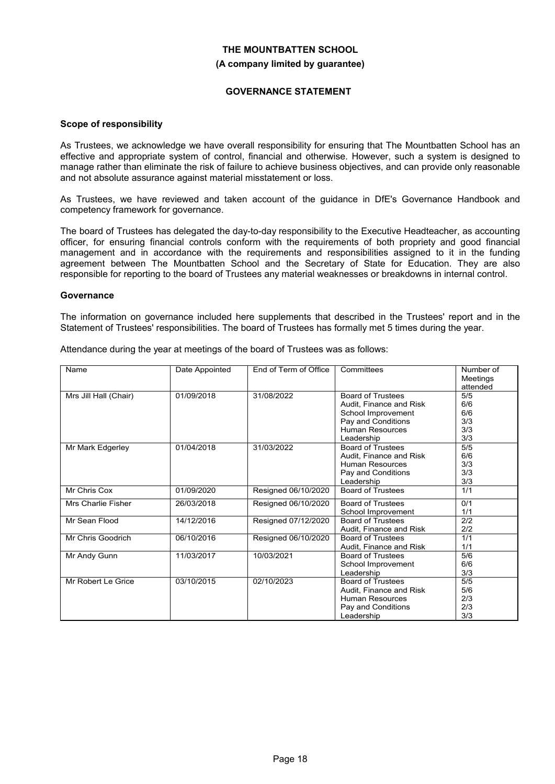#### **(A company limited by guarantee)**

#### **GOVERNANCE STATEMENT**

#### **Scope of responsibility**

As Trustees, we acknowledge we have overall responsibility for ensuring that The Mountbatten School has an effective and appropriate system of control, financial and otherwise. However, such a system is designed to manage rather than eliminate the risk of failure to achieve business objectives, and can provide only reasonable and not absolute assurance against material misstatement or loss.

As Trustees, we have reviewed and taken account of the guidance in DfE's Governance Handbook and competency framework for governance.

The board of Trustees has delegated the day-to-day responsibility to the Executive Headteacher, as accounting officer, for ensuring financial controls conform with the requirements of both propriety and good financial management and in accordance with the requirements and responsibilities assigned to it in the funding agreement between The Mountbatten School and the Secretary of State for Education. They are also responsible for reporting to the board of Trustees any material weaknesses or breakdowns in internal control.

#### **Governance**

The information on governance included here supplements that described in the Trustees' report and in the Statement of Trustees' responsibilities. The board of Trustees has formally met 5 times during the year.

Attendance during the year at meetings of the board of Trustees was as follows:

| Name                      | Date Appointed | End of Term of Office | Committees                                                                                                                              | Number of<br>Meetings<br>attended      |
|---------------------------|----------------|-----------------------|-----------------------------------------------------------------------------------------------------------------------------------------|----------------------------------------|
| Mrs Jill Hall (Chair)     | 01/09/2018     | 31/08/2022            | <b>Board of Trustees</b><br>Audit, Finance and Risk<br>School Improvement<br>Pay and Conditions<br><b>Human Resources</b><br>Leadership | 5/5<br>6/6<br>6/6<br>3/3<br>3/3<br>3/3 |
| Mr Mark Edgerley          | 01/04/2018     | 31/03/2022            | <b>Board of Trustees</b><br>Audit, Finance and Risk<br><b>Human Resources</b><br>Pay and Conditions<br>Leadership                       | 5/5<br>6/6<br>3/3<br>3/3<br>3/3        |
| Mr Chris Cox              | 01/09/2020     | Resigned 06/10/2020   | <b>Board of Trustees</b>                                                                                                                | 1/1                                    |
| <b>Mrs Charlie Fisher</b> | 26/03/2018     | Resigned 06/10/2020   | <b>Board of Trustees</b><br>School Improvement                                                                                          | 0/1<br>1/1                             |
| Mr Sean Flood             | 14/12/2016     | Resigned 07/12/2020   | <b>Board of Trustees</b><br>Audit, Finance and Risk                                                                                     | 2/2<br>2/2                             |
| Mr Chris Goodrich         | 06/10/2016     | Resigned 06/10/2020   | <b>Board of Trustees</b><br>Audit, Finance and Risk                                                                                     | 1/1<br>1/1                             |
| Mr Andy Gunn              | 11/03/2017     | 10/03/2021            | <b>Board of Trustees</b><br>School Improvement<br>Leadership                                                                            | 5/6<br>6/6<br>3/3                      |
| Mr Robert Le Grice        | 03/10/2015     | 02/10/2023            | <b>Board of Trustees</b><br>Audit, Finance and Risk<br><b>Human Resources</b><br>Pay and Conditions<br>Leadership                       | 5/5<br>5/6<br>2/3<br>2/3<br>3/3        |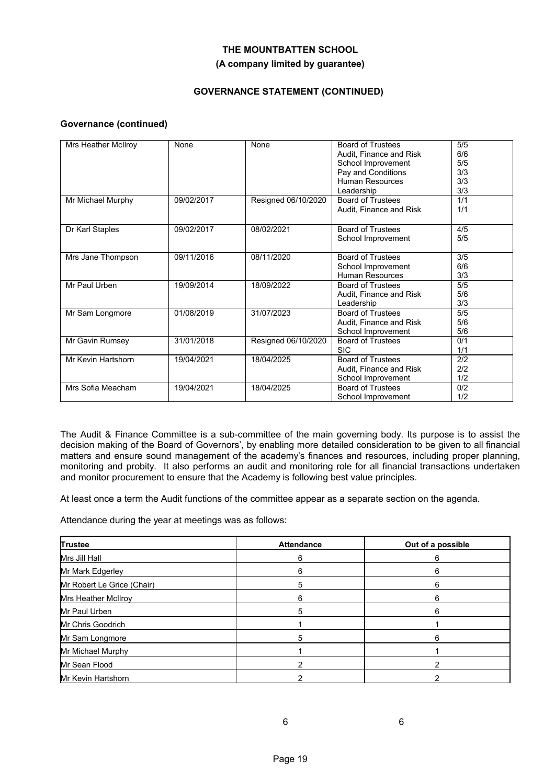# **(A company limited by guarantee)**

# **GOVERNANCE STATEMENT (CONTINUED)**

### **Governance (continued)**

| Mrs Heather McIlroy | None       | None                | <b>Board of Trustees</b><br>Audit, Finance and Risk<br>School Improvement<br>Pay and Conditions<br>Human Resources | 5/5<br>6/6<br>5/5<br>3/3<br>3/3 |
|---------------------|------------|---------------------|--------------------------------------------------------------------------------------------------------------------|---------------------------------|
|                     |            |                     | Leadership                                                                                                         | 3/3                             |
| Mr Michael Murphy   | 09/02/2017 | Resigned 06/10/2020 | <b>Board of Trustees</b>                                                                                           | 1/1                             |
|                     |            |                     | Audit, Finance and Risk                                                                                            | 1/1                             |
| Dr Karl Staples     | 09/02/2017 | 08/02/2021          | <b>Board of Trustees</b>                                                                                           | 4/5                             |
|                     |            |                     | School Improvement                                                                                                 | 5/5                             |
| Mrs Jane Thompson   | 09/11/2016 | 08/11/2020          | <b>Board of Trustees</b>                                                                                           | 3/5                             |
|                     |            |                     | School Improvement                                                                                                 | 6/6                             |
|                     |            |                     | <b>Human Resources</b>                                                                                             | 3/3                             |
| Mr Paul Urben       | 19/09/2014 | 18/09/2022          | <b>Board of Trustees</b>                                                                                           | 5/5                             |
|                     |            |                     | Audit, Finance and Risk                                                                                            | 5/6                             |
|                     |            |                     | Leadership                                                                                                         | 3/3                             |
| Mr Sam Longmore     | 01/08/2019 | 31/07/2023          | <b>Board of Trustees</b>                                                                                           | 5/5                             |
|                     |            |                     | Audit, Finance and Risk                                                                                            | 5/6                             |
|                     |            |                     | School Improvement                                                                                                 | 5/6                             |
| Mr Gavin Rumsey     | 31/01/2018 | Resigned 06/10/2020 | <b>Board of Trustees</b>                                                                                           | 0/1                             |
|                     |            |                     | <b>SIC</b>                                                                                                         | 1/1                             |
| Mr Kevin Hartshorn  | 19/04/2021 | 18/04/2025          | <b>Board of Trustees</b>                                                                                           | 2/2                             |
|                     |            |                     | Audit, Finance and Risk                                                                                            | 2/2                             |
|                     |            |                     | School Improvement                                                                                                 | 1/2                             |
| Mrs Sofia Meacham   | 19/04/2021 | 18/04/2025          | <b>Board of Trustees</b>                                                                                           | 0/2                             |
|                     |            |                     | School Improvement                                                                                                 | 1/2                             |

The Audit & Finance Committee is a sub-committee of the main governing body. Its purpose is to assist the decision making of the Board of Governors', by enabling more detailed consideration to be given to all financial matters and ensure sound management of the academy's finances and resources, including proper planning, monitoring and probity. It also performs an audit and monitoring role for all financial transactions undertaken and monitor procurement to ensure that the Academy is following best value principles.

At least once a term the Audit functions of the committee appear as a separate section on the agenda.

Attendance during the year at meetings was as follows:

| Trustee                    | <b>Attendance</b> | Out of a possible |
|----------------------------|-------------------|-------------------|
| Mrs Jill Hall              | 6                 | 6                 |
| Mr Mark Edgerley           | 6                 |                   |
| Mr Robert Le Grice (Chair) | 5                 | 6                 |
| Mrs Heather McIlroy        | հ                 | 6                 |
| Mr Paul Urben              | 5                 | ่ค                |
| Mr Chris Goodrich          |                   |                   |
| Mr Sam Longmore            | 5                 |                   |
| Mr Michael Murphy          |                   |                   |
| Mr Sean Flood              |                   |                   |
| Mr Kevin Hartshorn         |                   |                   |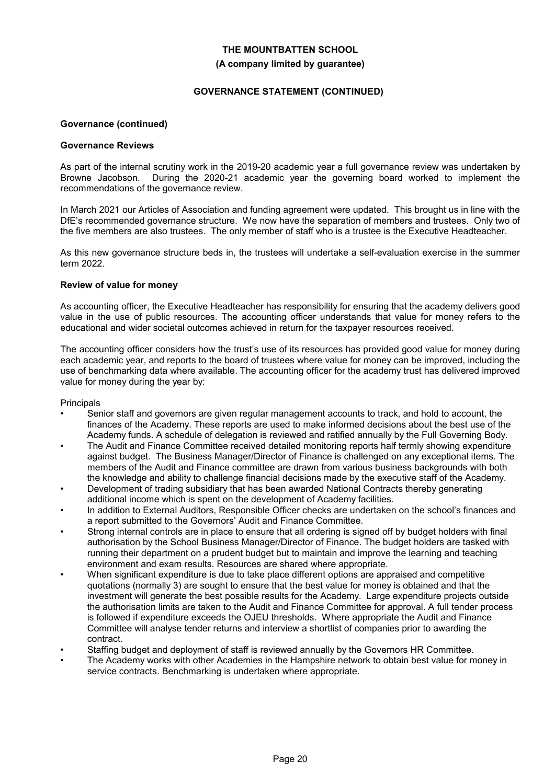#### **(A company limited by guarantee)**

### **GOVERNANCE STATEMENT (CONTINUED)**

#### **Governance (continued)**

#### **Governance Reviews**

As part of the internal scrutiny work in the 2019-20 academic year a full governance review was undertaken by Browne Jacobson. During the 2020-21 academic year the governing board worked to implement the recommendations of the governance review.

In March 2021 our Articles of Association and funding agreement were updated. This brought us in line with the DfE's recommended governance structure. We now have the separation of members and trustees. Only two of the five members are also trustees. The only member of staff who is a trustee is the Executive Headteacher.

As this new governance structure beds in, the trustees will undertake a self-evaluation exercise in the summer term 2022.

#### **Review of value for money**

As accounting officer, the Executive Headteacher has responsibility for ensuring that the academy delivers good value in the use of public resources. The accounting officer understands that value for money refers to the educational and wider societal outcomes achieved in return for the taxpayer resources received.

The accounting officer considers how the trust's use of its resources has provided good value for money during each academic year, and reports to the board of trustees where value for money can be improved, including the use of benchmarking data where available. The accounting officer for the academy trust has delivered improved value for money during the year by:

#### **Principals**

- Senior staff and governors are given regular management accounts to track, and hold to account, the finances of the Academy. These reports are used to make informed decisions about the best use of the Academy funds. A schedule of delegation is reviewed and ratified annually by the Full Governing Body.
- The Audit and Finance Committee received detailed monitoring reports half termly showing expenditure against budget. The Business Manager/Director of Finance is challenged on any exceptional items. The members of the Audit and Finance committee are drawn from various business backgrounds with both the knowledge and ability to challenge financial decisions made by the executive staff of the Academy.
- Development of trading subsidiary that has been awarded National Contracts thereby generating additional income which is spent on the development of Academy facilities.
- In addition to External Auditors, Responsible Officer checks are undertaken on the school's finances and a report submitted to the Governors' Audit and Finance Committee.
- Strong internal controls are in place to ensure that all ordering is signed off by budget holders with final authorisation by the School Business Manager/Director of Finance. The budget holders are tasked with running their department on a prudent budget but to maintain and improve the learning and teaching environment and exam results. Resources are shared where appropriate.
- When significant expenditure is due to take place different options are appraised and competitive quotations (normally 3) are sought to ensure that the best value for money is obtained and that the investment will generate the best possible results for the Academy. Large expenditure projects outside the authorisation limits are taken to the Audit and Finance Committee for approval. A full tender process is followed if expenditure exceeds the OJEU thresholds. Where appropriate the Audit and Finance Committee will analyse tender returns and interview a shortlist of companies prior to awarding the contract.
- Staffing budget and deployment of staff is reviewed annually by the Governors HR Committee.
- The Academy works with other Academies in the Hampshire network to obtain best value for money in service contracts. Benchmarking is undertaken where appropriate.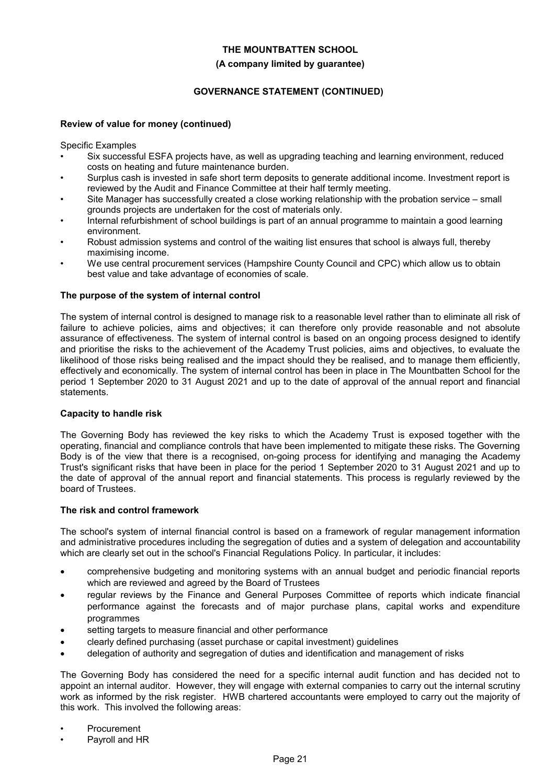#### **(A company limited by guarantee)**

# **GOVERNANCE STATEMENT (CONTINUED)**

#### **Review of value for money (continued)**

Specific Examples

- Six successful ESFA projects have, as well as upgrading teaching and learning environment, reduced costs on heating and future maintenance burden.
- Surplus cash is invested in safe short term deposits to generate additional income. Investment report is reviewed by the Audit and Finance Committee at their half termly meeting.
- Site Manager has successfully created a close working relationship with the probation service small grounds projects are undertaken for the cost of materials only.
- Internal refurbishment of school buildings is part of an annual programme to maintain a good learning environment.
- Robust admission systems and control of the waiting list ensures that school is always full, thereby maximising income.
- We use central procurement services (Hampshire County Council and CPC) which allow us to obtain best value and take advantage of economies of scale.

#### **The purpose of the system of internal control**

The system of internal control is designed to manage risk to a reasonable level rather than to eliminate all risk of failure to achieve policies, aims and objectives; it can therefore only provide reasonable and not absolute assurance of effectiveness. The system of internal control is based on an ongoing process designed to identify and prioritise the risks to the achievement of the Academy Trust policies, aims and objectives, to evaluate the likelihood of those risks being realised and the impact should they be realised, and to manage them efficiently, effectively and economically. The system of internal control has been in place in The Mountbatten School for the period 1 September 2020 to 31 August 2021 and up to the date of approval of the annual report and financial statements.

#### **Capacity to handle risk**

The Governing Body has reviewed the key risks to which the Academy Trust is exposed together with the operating, financial and compliance controls that have been implemented to mitigate these risks. The Governing Body is of the view that there is a recognised, on-going process for identifying and managing the Academy Trust's significant risks that have been in place for the period 1 September 2020 to 31 August 2021 and up to the date of approval of the annual report and financial statements. This process is regularly reviewed by the board of Trustees.

#### **The risk and control framework**

The school's system of internal financial control is based on a framework of regular management information and administrative procedures including the segregation of duties and a system of delegation and accountability which are clearly set out in the school's Financial Regulations Policy. In particular, it includes:

- comprehensive budgeting and monitoring systems with an annual budget and periodic financial reports which are reviewed and agreed by the Board of Trustees
- regular reviews by the Finance and General Purposes Committee of reports which indicate financial performance against the forecasts and of major purchase plans, capital works and expenditure programmes
- setting targets to measure financial and other performance
- clearly defined purchasing (asset purchase or capital investment) guidelines
- delegation of authority and segregation of duties and identification and management of risks

The Governing Body has considered the need for a specific internal audit function and has decided not to appoint an internal auditor. However, they will engage with external companies to carry out the internal scrutiny work as informed by the risk register. HWB chartered accountants were employed to carry out the majority of this work. This involved the following areas:

- **Procurement**
- Pavroll and HR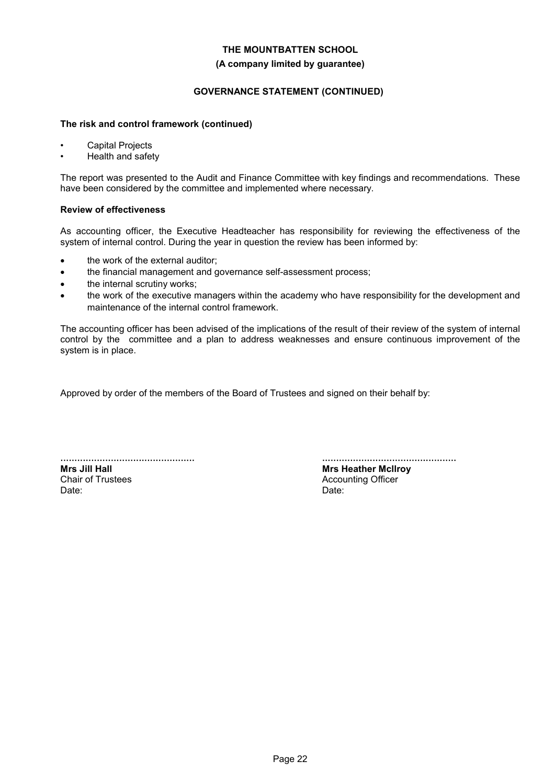#### **(A company limited by guarantee)**

# **GOVERNANCE STATEMENT (CONTINUED)**

#### **The risk and control framework (continued)**

- Capital Projects
- Health and safety

The report was presented to the Audit and Finance Committee with key findings and recommendations. These have been considered by the committee and implemented where necessary.

#### **Review of effectiveness**

As accounting officer, the Executive Headteacher has responsibility for reviewing the effectiveness of the system of internal control. During the year in question the review has been informed by:

- the work of the external auditor;
- the financial management and governance self-assessment process;
- the internal scrutiny works;
- the work of the executive managers within the academy who have responsibility for the development and maintenance of the internal control framework.

The accounting officer has been advised of the implications of the result of their review of the system of internal control by the committee and a plan to address weaknesses and ensure continuous improvement of the system is in place.

Approved by order of the members of the Board of Trustees and signed on their behalf by:

................................................ **Mrs Jill Hall** Chair of Trustees Date:

................................................

**Mrs Heather Mcllroy** Accounting Officer Date: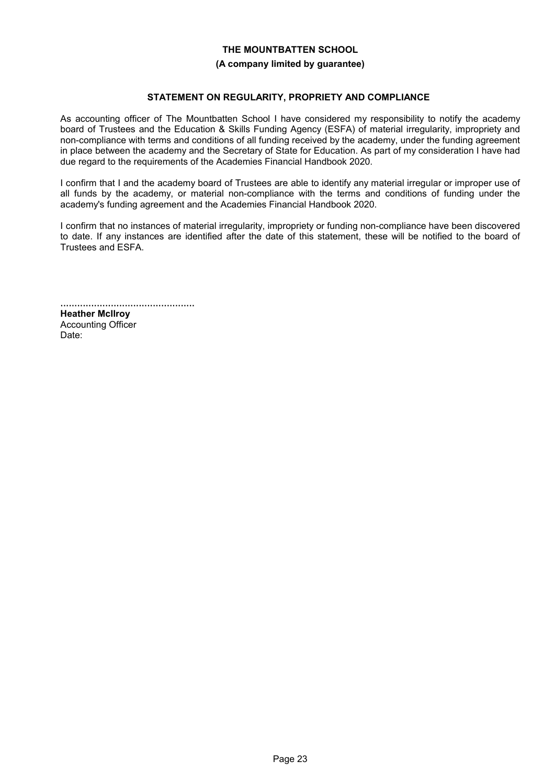#### **(A company limited by guarantee)**

### **STATEMENT ON REGULARITY, PROPRIETY AND COMPLIANCE**

As accounting officer of The Mountbatten School I have considered my responsibility to notify the academy board of Trustees and the Education & Skills Funding Agency (ESFA) of material irregularity, impropriety and non-compliance with terms and conditions of all funding received by the academy, under the funding agreement in place between the academy and the Secretary of State for Education. As part of my consideration I have had due regard to the requirements of the Academies Financial Handbook 2020.

I confirm that I and the academy board of Trustees are able to identify any material irregular or improper use of all funds by the academy, or material non-compliance with the terms and conditions of funding under the academy's funding agreement and the Academies Financial Handbook 2020.

I confirm that no instances of material irregularity, impropriety or funding non-compliance have been discovered to date. If any instances are identified after the date of this statement, these will be notified to the board of Trustees and ESFA.

................................................

**Heather Mcllroy** Accounting Officer Date: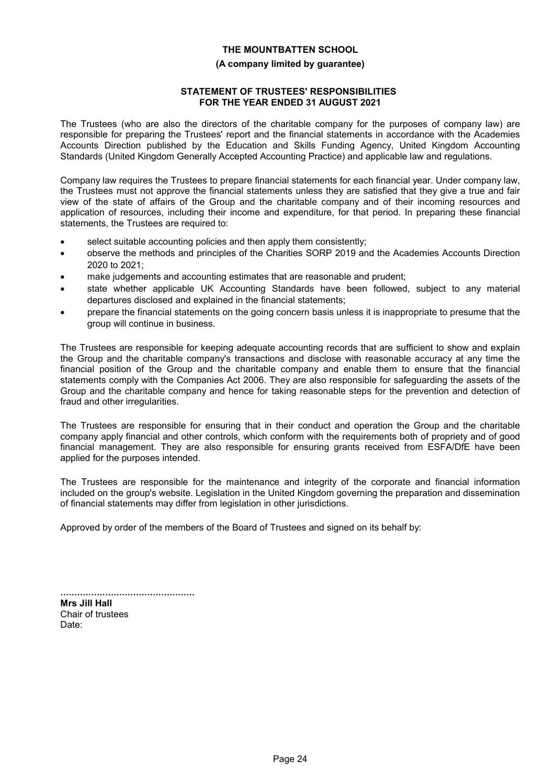#### **(A company limited by guarantee)**

# **STATEMENT OF TRUSTEES' RESPONSIBILITIES FOR THE YEAR ENDED 31 AUGUST 2021**

The Trustees (who are also the directors of the charitable company for the purposes of company law) are responsible for preparing the Trustees' report and the financial statements in accordance with the Academies Accounts Direction published by the Education and Skills Funding Agency, United Kingdom Accounting Standards (United Kingdom Generally Accepted Accounting Practice) and applicable law and regulations.

Company law requires the Trustees to prepare financial statements for each financial year. Under company law, the Trustees must not approve the financial statements unless they are satisfied that they give a true and fair view of the state of affairs of the Group and the charitable company and of their incoming resources and application of resources, including their income and expenditure, for that period. In preparing these financial statements, the Trustees are required to:

- select suitable accounting policies and then apply them consistently;
- observe the methods and principles of the Charities SORP 2019 and the Academies Accounts Direction 2020 to 2021;
- make judgements and accounting estimates that are reasonable and prudent;
- state whether applicable UK Accounting Standards have been followed, subject to any material departures disclosed and explained in the financial statements;
- prepare the financial statements on the going concern basis unless it is inappropriate to presume that the group will continue in business.

The Trustees are responsible for keeping adequate accounting records that are sufficient to show and explain the Group and the charitable company's transactions and disclose with reasonable accuracy at any time the financial position of the Group and the charitable company and enable them to ensure that the financial statements comply with the Companies Act 2006. They are also responsible for safeguarding the assets of the Group and the charitable company and hence for taking reasonable steps for the prevention and detection of fraud and other irregularities.

The Trustees are responsible for ensuring that in their conduct and operation the Group and the charitable company apply financial and other controls, which conform with the requirements both of propriety and of good financial management. They are also responsible for ensuring grants received from ESFA/DfE have been applied for the purposes intended.

The Trustees are responsible for the maintenance and integrity of the corporate and financial information included on the group's website. Legislation in the United Kingdom governing the preparation and dissemination of financial statements may differ from legislation in other jurisdictions.

Approved by order of the members of the Board of Trustees and signed on its behalf by:

................................................ **Mrs Jill Hall** Chair of trustees Date: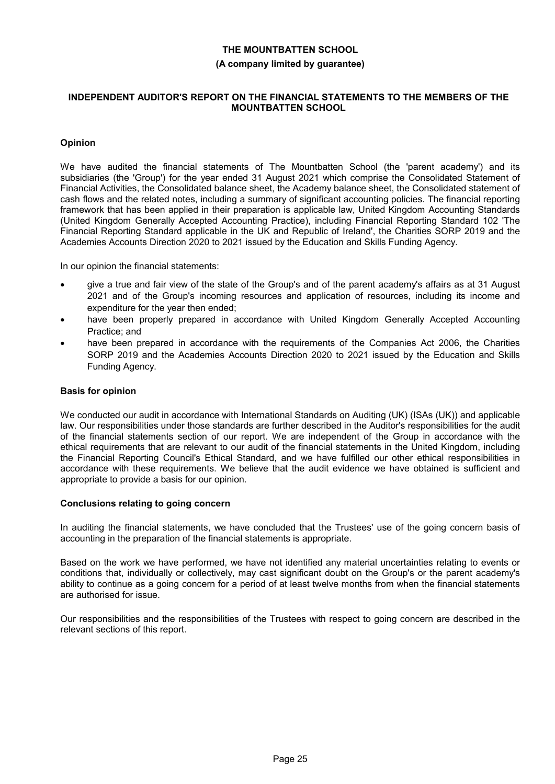#### **(A company limited by guarantee)**

#### **INDEPENDENT AUDITOR'S REPORT ON THE FINANCIAL STATEMENTS TO THE MEMBERS OF THE MOUNTBATTEN SCHOOL**

# **Opinion**

We have audited the financial statements of The Mountbatten School (the 'parent academy') and its subsidiaries (the 'Group') for the year ended 31 August 2021 which comprise the Consolidated Statement of Financial Activities, the Consolidated balance sheet, the Academy balance sheet, the Consolidated statement of cash flows and the related notes, including a summary of significant accounting policies. The financial reporting framework that has been applied in their preparation is applicable law, United Kingdom Accounting Standards (United Kingdom Generally Accepted Accounting Practice), including Financial Reporting Standard 102 'The Financial Reporting Standard applicable in the UK and Republic of Ireland', the Charities SORP 2019 and the Academies Accounts Direction 2020 to 2021 issued by the Education and Skills Funding Agency.

In our opinion the financial statements:

- give a true and fair view of the state of the Group's and of the parent academy's affairs as at 31 August 2021 and of the Group's incoming resources and application of resources, including its income and expenditure for the year then ended;
- have been properly prepared in accordance with United Kingdom Generally Accepted Accounting Practice; and
- have been prepared in accordance with the requirements of the Companies Act 2006, the Charities SORP 2019 and the Academies Accounts Direction 2020 to 2021 issued by the Education and Skills Funding Agency.

### **Basis for opinion**

We conducted our audit in accordance with International Standards on Auditing (UK) (ISAs (UK)) and applicable law. Our responsibilities under those standards are further described in the Auditor's responsibilities for the audit of the financial statements section of our report. We are independent of the Group in accordance with the ethical requirements that are relevant to our audit of the financial statements in the United Kingdom, including the Financial Reporting Council's Ethical Standard, and we have fulfilled our other ethical responsibilities in accordance with these requirements. We believe that the audit evidence we have obtained is sufficient and appropriate to provide a basis for our opinion.

#### **Conclusions relating to going concern**

In auditing the financial statements, we have concluded that the Trustees' use of the going concern basis of accounting in the preparation of the financial statements is appropriate.

Based on the work we have performed, we have not identified any material uncertainties relating to events or conditions that, individually or collectively, may cast significant doubt on the Group's or the parent academy's ability to continue as a going concern for a period of at least twelve months from when the financial statements are authorised for issue.

Our responsibilities and the responsibilities of the Trustees with respect to going concern are described in the relevant sections of this report.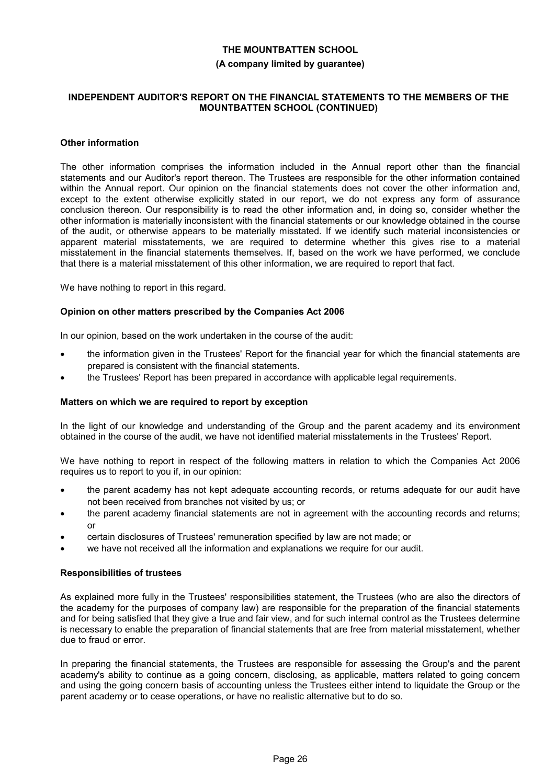#### **(A company limited by guarantee)**

#### **INDEPENDENT AUDITOR'S REPORT ON THE FINANCIAL STATEMENTS TO THE MEMBERS OF THE MOUNTBATTEN SCHOOL (CONTINUED)**

#### **Other information**

The other information comprises the information included in the Annual report other than the financial statements and our Auditor's report thereon. The Trustees are responsible for the other information contained within the Annual report. Our opinion on the financial statements does not cover the other information and, except to the extent otherwise explicitly stated in our report, we do not express any form of assurance conclusion thereon. Our responsibility is to read the other information and, in doing so, consider whether the other information is materially inconsistent with the financial statements or our knowledge obtained in the course of the audit, or otherwise appears to be materially misstated. If we identify such material inconsistencies or apparent material misstatements, we are required to determine whether this gives rise to a material misstatement in the financial statements themselves. If, based on the work we have performed, we conclude that there is a material misstatement of this other information, we are required to report that fact.

We have nothing to report in this regard.

#### **Opinion on other matters prescribed by the Companies Act 2006**

In our opinion, based on the work undertaken in the course of the audit:

- the information given in the Trustees' Report for the financial year for which the financial statements are prepared is consistent with the financial statements.
- the Trustees' Report has been prepared in accordance with applicable legal requirements.

#### **Matters on which we are required to report by exception**

In the light of our knowledge and understanding of the Group and the parent academy and its environment obtained in the course of the audit, we have not identified material misstatements in the Trustees' Report.

We have nothing to report in respect of the following matters in relation to which the Companies Act 2006 requires us to report to you if, in our opinion:

- the parent academy has not kept adequate accounting records, or returns adequate for our audit have not been received from branches not visited by us; or
- the parent academy financial statements are not in agreement with the accounting records and returns; or
- certain disclosures of Trustees' remuneration specified by law are not made; or
- we have not received all the information and explanations we require for our audit.

#### **Responsibilities of trustees**

As explained more fully in the Trustees' responsibilities statement, the Trustees (who are also the directors of the academy for the purposes of company law) are responsible for the preparation of the financial statements and for being satisfied that they give a true and fair view, and for such internal control as the Trustees determine is necessary to enable the preparation of financial statements that are free from material misstatement, whether due to fraud or error.

In preparing the financial statements, the Trustees are responsible for assessing the Group's and the parent academy's ability to continue as a going concern, disclosing, as applicable, matters related to going concern and using the going concern basis of accounting unless the Trustees either intend to liquidate the Group or the parent academy or to cease operations, or have no realistic alternative but to do so.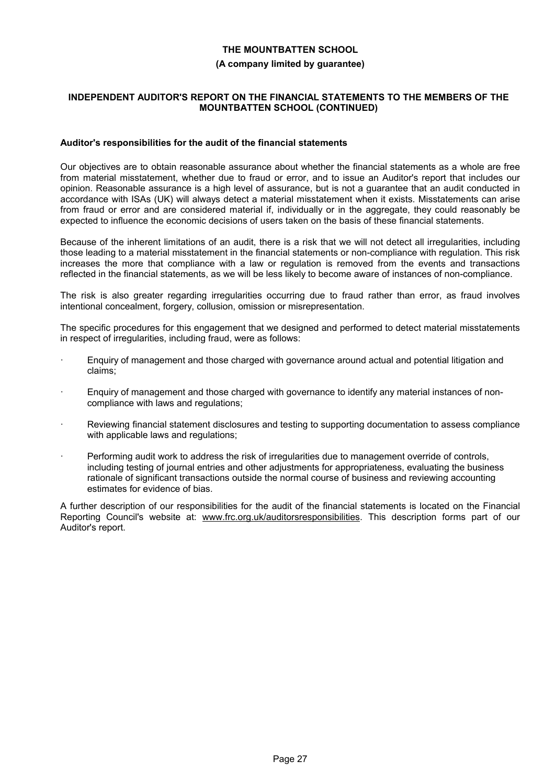#### **(A company limited by guarantee)**

#### **INDEPENDENT AUDITOR'S REPORT ON THE FINANCIAL STATEMENTS TO THE MEMBERS OF THE MOUNTBATTEN SCHOOL (CONTINUED)**

#### **Auditor's responsibilities for the audit of the financial statements**

Our objectives are to obtain reasonable assurance about whether the financial statements as a whole are free from material misstatement, whether due to fraud or error, and to issue an Auditor's report that includes our opinion. Reasonable assurance is a high level of assurance, but is not a guarantee that an audit conducted in accordance with ISAs (UK) will always detect a material misstatement when it exists. Misstatements can arise from fraud or error and are considered material if, individually or in the aggregate, they could reasonably be expected to influence the economic decisions of users taken on the basis of these financial statements.

Because of the inherent limitations of an audit, there is a risk that we will not detect all irregularities, including those leading to a material misstatement in the financial statements or non-compliance with regulation. This risk increases the more that compliance with a law or regulation is removed from the events and transactions reflected in the financial statements, as we will be less likely to become aware of instances of non-compliance.

The risk is also greater regarding irregularities occurring due to fraud rather than error, as fraud involves intentional concealment, forgery, collusion, omission or misrepresentation.

The specific procedures for this engagement that we designed and performed to detect material misstatements in respect of irregularities, including fraud, were as follows:

- Enquiry of management and those charged with governance around actual and potential litigation and claims;
- Enquiry of management and those charged with governance to identify any material instances of noncompliance with laws and regulations;
- Reviewing financial statement disclosures and testing to supporting documentation to assess compliance with applicable laws and regulations;
- Performing audit work to address the risk of irregularities due to management override of controls, including testing of journal entries and other adjustments for appropriateness, evaluating the business rationale of significant transactions outside the normal course of business and reviewing accounting estimates for evidence of bias.

A further description of our responsibilities for the audit of the financial statements is located on the Financial Reporting Council's website at: www.frc.org.uk/auditorsresponsibilities. This description forms part of our Auditor's report.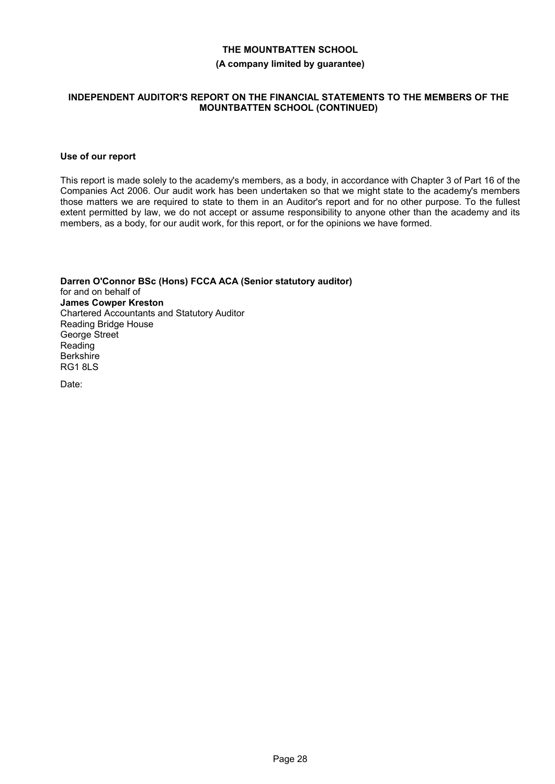#### **(A company limited by guarantee)**

#### **INDEPENDENT AUDITOR'S REPORT ON THE FINANCIAL STATEMENTS TO THE MEMBERS OF THE MOUNTBATTEN SCHOOL (CONTINUED)**

#### **Use of our report**

This report is made solely to the academy's members, as a body, in accordance with Chapter 3 of Part 16 of the Companies Act 2006. Our audit work has been undertaken so that we might state to the academy's members those matters we are required to state to them in an Auditor's report and for no other purpose. To the fullest extent permitted by law, we do not accept or assume responsibility to anyone other than the academy and its members, as a body, for our audit work, for this report, or for the opinions we have formed.

**Darren O'Connor BSc (Hons) FCCA ACA (Senior statutory auditor)** for and on behalf of **James Cowper Kreston** Chartered Accountants and Statutory Auditor Reading Bridge House George Street Reading Berkshire RG1 8LS

Date: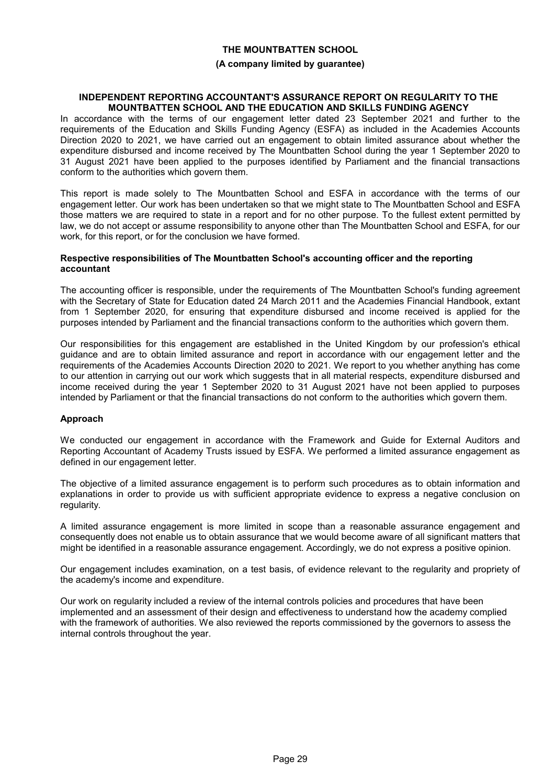#### **(A company limited by guarantee)**

#### **INDEPENDENT REPORTING ACCOUNTANT'S ASSURANCE REPORT ON REGULARITY TO THE MOUNTBATTEN SCHOOL AND THE EDUCATION AND SKILLS FUNDING AGENCY**

In accordance with the terms of our engagement letter dated 23 September 2021 and further to the requirements of the Education and Skills Funding Agency (ESFA) as included in the Academies Accounts Direction 2020 to 2021, we have carried out an engagement to obtain limited assurance about whether the expenditure disbursed and income received by The Mountbatten School during the year 1 September 2020 to 31 August 2021 have been applied to the purposes identified by Parliament and the financial transactions conform to the authorities which govern them.

This report is made solely to The Mountbatten School and ESFA in accordance with the terms of our engagement letter. Our work has been undertaken so that we might state to The Mountbatten School and ESFA those matters we are required to state in a report and for no other purpose. To the fullest extent permitted by law, we do not accept or assume responsibility to anyone other than The Mountbatten School and ESFA, for our work, for this report, or for the conclusion we have formed.

#### **Respective responsibilities of The Mountbatten School's accounting officer and the reporting accountant**

The accounting officer is responsible, under the requirements of The Mountbatten School's funding agreement with the Secretary of State for Education dated 24 March 2011 and the Academies Financial Handbook, extant from 1 September 2020, for ensuring that expenditure disbursed and income received is applied for the purposes intended by Parliament and the financial transactions conform to the authorities which govern them.

Our responsibilities for this engagement are established in the United Kingdom by our profession's ethical guidance and are to obtain limited assurance and report in accordance with our engagement letter and the requirements of the Academies Accounts Direction 2020 to 2021. We report to you whether anything has come to our attention in carrying out our work which suggests that in all material respects, expenditure disbursed and income received during the year 1 September 2020 to 31 August 2021 have not been applied to purposes intended by Parliament or that the financial transactions do not conform to the authorities which govern them.

# **Approach**

We conducted our engagement in accordance with the Framework and Guide for External Auditors and Reporting Accountant of Academy Trusts issued by ESFA. We performed a limited assurance engagement as defined in our engagement letter.

The objective of a limited assurance engagement is to perform such procedures as to obtain information and explanations in order to provide us with sufficient appropriate evidence to express a negative conclusion on regularity.

A limited assurance engagement is more limited in scope than a reasonable assurance engagement and consequently does not enable us to obtain assurance that we would become aware of all significant matters that might be identified in a reasonable assurance engagement. Accordingly, we do not express a positive opinion.

Our engagement includes examination, on a test basis, of evidence relevant to the regularity and propriety of the academy's income and expenditure.

Our work on regularity included a review of the internal controls policies and procedures that have been implemented and an assessment of their design and effectiveness to understand how the academy complied with the framework of authorities. We also reviewed the reports commissioned by the governors to assess the internal controls throughout the year.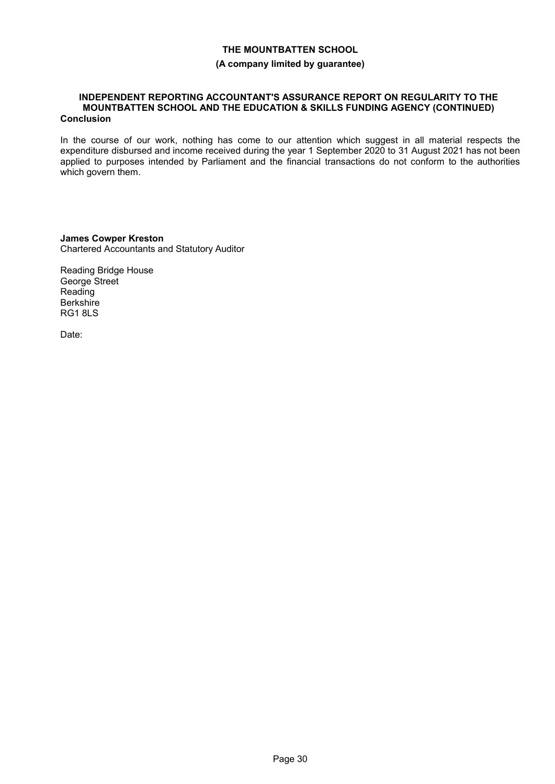#### **(A company limited by guarantee)**

#### **INDEPENDENT REPORTING ACCOUNTANT'S ASSURANCE REPORT ON REGULARITY TO THE MOUNTBATTEN SCHOOL AND THE EDUCATION & SKILLS FUNDING AGENCY (CONTINUED) Conclusion**

In the course of our work, nothing has come to our attention which suggest in all material respects the expenditure disbursed and income received during the year 1 September 2020 to 31 August 2021 has not been applied to purposes intended by Parliament and the financial transactions do not conform to the authorities which govern them.

**James Cowper Kreston** Chartered Accountants and Statutory Auditor

Reading Bridge House George Street Reading **Berkshire** RG1 8LS

Date: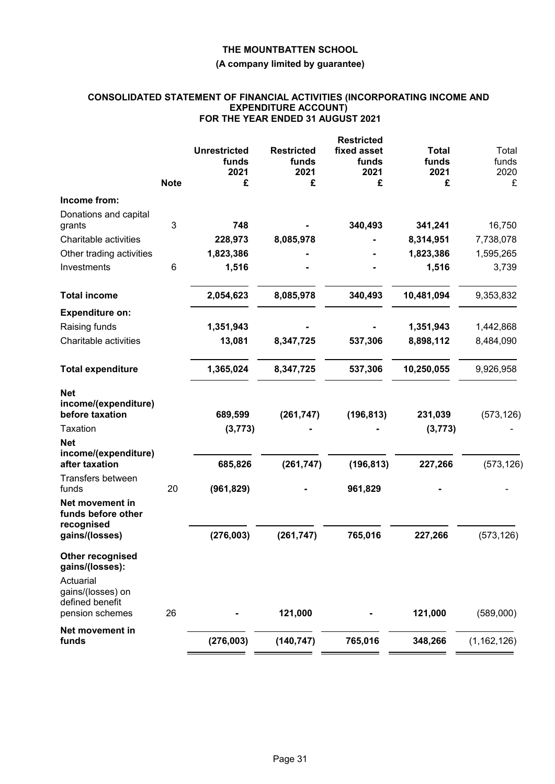# **(A company limited by guarantee)**

### **CONSOLIDATED STATEMENT OF FINANCIAL ACTIVITIES (INCORPORATING INCOME AND EXPENDITURE ACCOUNT) FOR THE YEAR ENDED 31 AUGUST 2021**

|                                |             |                     |                   | <b>Restricted</b> |              |               |
|--------------------------------|-------------|---------------------|-------------------|-------------------|--------------|---------------|
|                                |             | <b>Unrestricted</b> | <b>Restricted</b> | fixed asset       | <b>Total</b> | Total         |
|                                |             | funds               | funds             | funds             | funds        | funds         |
|                                |             | 2021                | 2021              | 2021              | 2021         | 2020          |
|                                | <b>Note</b> | £                   | £                 | £                 | £            | £             |
| Income from:                   |             |                     |                   |                   |              |               |
| Donations and capital          |             |                     |                   |                   |              |               |
| grants                         | 3           | 748                 |                   | 340,493           | 341,241      | 16,750        |
| Charitable activities          |             | 228,973             | 8,085,978         |                   | 8,314,951    | 7,738,078     |
| Other trading activities       |             | 1,823,386           |                   |                   | 1,823,386    | 1,595,265     |
| Investments                    | 6           | 1,516               |                   |                   | 1,516        | 3,739         |
| <b>Total income</b>            |             | 2,054,623           | 8,085,978         | 340,493           | 10,481,094   | 9,353,832     |
| <b>Expenditure on:</b>         |             |                     |                   |                   |              |               |
| Raising funds                  |             | 1,351,943           |                   |                   | 1,351,943    | 1,442,868     |
| Charitable activities          |             | 13,081              | 8,347,725         | 537,306           | 8,898,112    | 8,484,090     |
|                                |             |                     |                   |                   |              |               |
| <b>Total expenditure</b>       |             | 1,365,024           | 8,347,725         | 537,306           | 10,250,055   | 9,926,958     |
| <b>Net</b>                     |             |                     |                   |                   |              |               |
| income/(expenditure)           |             |                     |                   |                   |              |               |
| before taxation                |             | 689,599             | (261, 747)        | (196, 813)        | 231,039      | (573, 126)    |
| Taxation                       |             | (3, 773)            |                   |                   | (3, 773)     |               |
| <b>Net</b>                     |             |                     |                   |                   |              |               |
| income/(expenditure)           |             |                     |                   |                   |              |               |
| after taxation                 |             | 685,826             | (261, 747)        | (196, 813)        | 227,266      | (573, 126)    |
| Transfers between<br>funds     | 20          | (961, 829)          |                   | 961,829           |              |               |
| Net movement in                |             |                     |                   |                   |              |               |
| funds before other             |             |                     |                   |                   |              |               |
| recognised                     |             |                     |                   |                   |              |               |
| gains/(losses)                 |             | (276,003)           | (261, 747)        | 765,016           | 227,266      | (573, 126)    |
| Other recognised               |             |                     |                   |                   |              |               |
| gains/(losses):                |             |                     |                   |                   |              |               |
| Actuarial<br>gains/(losses) on |             |                     |                   |                   |              |               |
| defined benefit                |             |                     |                   |                   |              |               |
| pension schemes                | 26          |                     | 121,000           |                   | 121,000      | (589,000)     |
| Net movement in                |             |                     |                   |                   |              |               |
| funds                          |             | (276,003)           | (140, 747)        | 765,016           | 348,266      | (1, 162, 126) |
|                                |             |                     |                   |                   |              |               |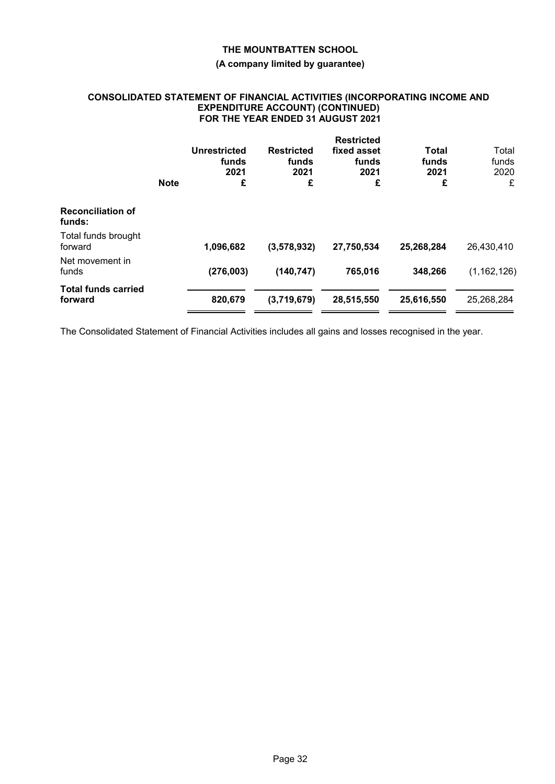# **(A company limited by guarantee)**

### **CONSOLIDATED STATEMENT OF FINANCIAL ACTIVITIES (INCORPORATING INCOME AND EXPENDITURE ACCOUNT) (CONTINUED) FOR THE YEAR ENDED 31 AUGUST 2021**

|                                       | <b>Note</b> | <b>Unrestricted</b><br>funds<br>2021<br>£ | <b>Restricted</b><br>funds<br>2021<br>£ | <b>Restricted</b><br>fixed asset<br>funds<br>2021<br>£ | Total<br>funds<br>2021<br>£ | Total<br>funds<br>2020<br>£ |
|---------------------------------------|-------------|-------------------------------------------|-----------------------------------------|--------------------------------------------------------|-----------------------------|-----------------------------|
| <b>Reconciliation of</b><br>funds:    |             |                                           |                                         |                                                        |                             |                             |
| Total funds brought<br>forward        |             | 1,096,682                                 | (3,578,932)                             | 27,750,534                                             | 25,268,284                  | 26,430,410                  |
| Net movement in<br>funds              |             | (276,003)                                 | (140, 747)                              | 765,016                                                | 348,266                     | (1, 162, 126)               |
| <b>Total funds carried</b><br>forward |             | 820,679                                   | (3,719,679)                             | 28,515,550                                             | 25,616,550                  | 25,268,284                  |

The Consolidated Statement of Financial Activities includes all gains and losses recognised in the year.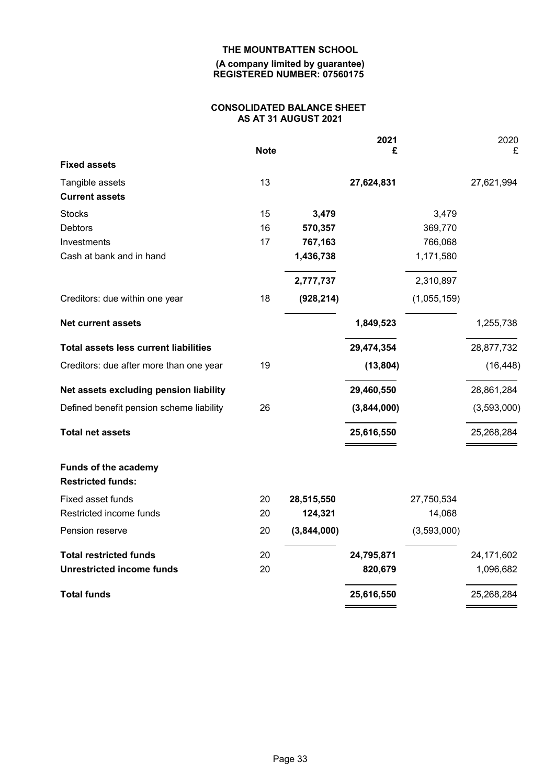#### **(A company limited by guarantee) REGISTERED NUMBER: 07560175**

# **CONSOLIDATED BALANCE SHEET AS AT 31 AUGUST 2021**

|                                                  | <b>Note</b> |             | 2021<br>£   |             | 2020<br>£   |
|--------------------------------------------------|-------------|-------------|-------------|-------------|-------------|
| <b>Fixed assets</b>                              |             |             |             |             |             |
| Tangible assets                                  | 13          |             | 27,624,831  |             | 27,621,994  |
| <b>Current assets</b>                            |             |             |             |             |             |
| <b>Stocks</b>                                    | 15          | 3,479       |             | 3,479       |             |
| <b>Debtors</b>                                   | 16          | 570,357     |             | 369,770     |             |
| Investments                                      | 17          | 767,163     |             | 766,068     |             |
| Cash at bank and in hand                         |             | 1,436,738   |             | 1,171,580   |             |
|                                                  |             | 2,777,737   |             | 2,310,897   |             |
| Creditors: due within one year                   | 18          | (928, 214)  |             | (1,055,159) |             |
| <b>Net current assets</b>                        |             |             | 1,849,523   |             | 1,255,738   |
| <b>Total assets less current liabilities</b>     |             |             | 29,474,354  |             | 28,877,732  |
| Creditors: due after more than one year          | 19          |             | (13, 804)   |             | (16, 448)   |
| Net assets excluding pension liability           |             |             | 29,460,550  |             | 28,861,284  |
| Defined benefit pension scheme liability         | 26          |             | (3,844,000) |             | (3,593,000) |
| <b>Total net assets</b>                          |             |             | 25,616,550  |             | 25,268,284  |
| Funds of the academy<br><b>Restricted funds:</b> |             |             |             |             |             |
| Fixed asset funds                                | 20          | 28,515,550  |             | 27,750,534  |             |
| Restricted income funds                          | 20          | 124,321     |             | 14,068      |             |
| Pension reserve                                  | 20          | (3,844,000) |             | (3,593,000) |             |
| <b>Total restricted funds</b>                    | 20          |             | 24,795,871  |             | 24,171,602  |
| <b>Unrestricted income funds</b>                 | 20          |             | 820,679     |             | 1,096,682   |
| <b>Total funds</b>                               |             |             | 25,616,550  |             | 25,268,284  |
|                                                  |             |             |             |             |             |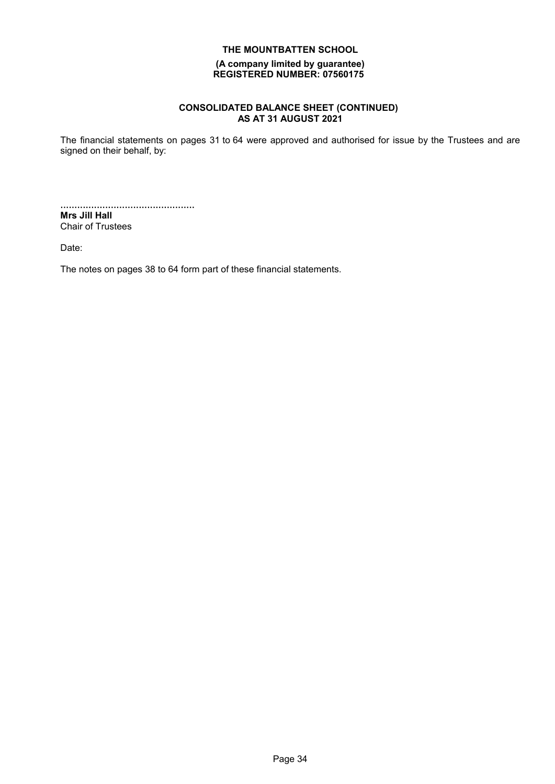#### **(A company limited by guarantee) REGISTERED NUMBER: 07560175**

# **CONSOLIDATED BALANCE SHEET (CONTINUED) AS AT 31 AUGUST 2021**

The financial statements on pages 31 to 64 were approved and authorised for issue by the Trustees and are signed on their behalf, by:

................................................ **Mrs Jill Hall**

Chair of Trustees

Date:

The notes on pages 38 to 64 form part of these financial statements.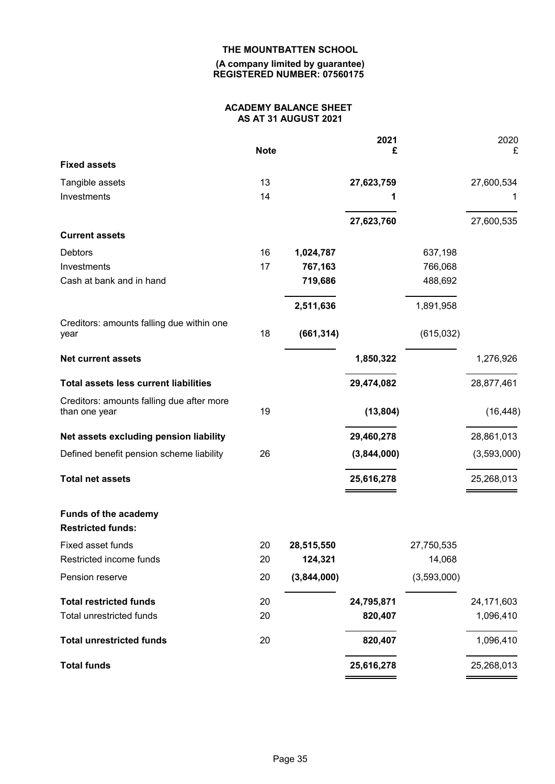#### **(A company limited by guarantee) REGISTERED NUMBER: 07560175**

# **ACADEMY BALANCE SHEET AS AT 31 AUGUST 2021**

|                                                            | <b>Note</b> |             | 2021<br>£   |             | 2020<br>£   |
|------------------------------------------------------------|-------------|-------------|-------------|-------------|-------------|
| <b>Fixed assets</b>                                        |             |             |             |             |             |
| Tangible assets                                            | 13          |             | 27,623,759  |             | 27,600,534  |
| Investments                                                | 14          |             |             |             |             |
|                                                            |             |             | 27,623,760  |             | 27,600,535  |
| <b>Current assets</b>                                      |             |             |             |             |             |
| <b>Debtors</b>                                             | 16          | 1,024,787   |             | 637,198     |             |
| Investments                                                | 17          | 767,163     |             | 766,068     |             |
| Cash at bank and in hand                                   |             | 719,686     |             | 488,692     |             |
|                                                            |             | 2,511,636   |             | 1,891,958   |             |
| Creditors: amounts falling due within one<br>year          | 18          | (661, 314)  |             | (615,032)   |             |
| <b>Net current assets</b>                                  |             |             | 1,850,322   |             | 1,276,926   |
| <b>Total assets less current liabilities</b>               |             |             | 29,474,082  |             | 28,877,461  |
| Creditors: amounts falling due after more<br>than one year | 19          |             | (13, 804)   |             | (16, 448)   |
| Net assets excluding pension liability                     |             |             | 29,460,278  |             | 28,861,013  |
| Defined benefit pension scheme liability                   | 26          |             | (3,844,000) |             | (3,593,000) |
| <b>Total net assets</b>                                    |             |             | 25,616,278  |             | 25,268,013  |
| Funds of the academy<br><b>Restricted funds:</b>           |             |             |             |             |             |
| Fixed asset funds                                          | 20          | 28,515,550  |             | 27,750,535  |             |
| Restricted income funds                                    | 20          | 124,321     |             | 14,068      |             |
| Pension reserve                                            | 20          | (3,844,000) |             | (3,593,000) |             |
| <b>Total restricted funds</b>                              | 20          |             | 24,795,871  |             | 24,171,603  |
| Total unrestricted funds                                   | 20          |             | 820,407     |             | 1,096,410   |
| <b>Total unrestricted funds</b>                            | 20          |             | 820,407     |             | 1,096,410   |
| <b>Total funds</b>                                         |             |             | 25,616,278  |             | 25,268,013  |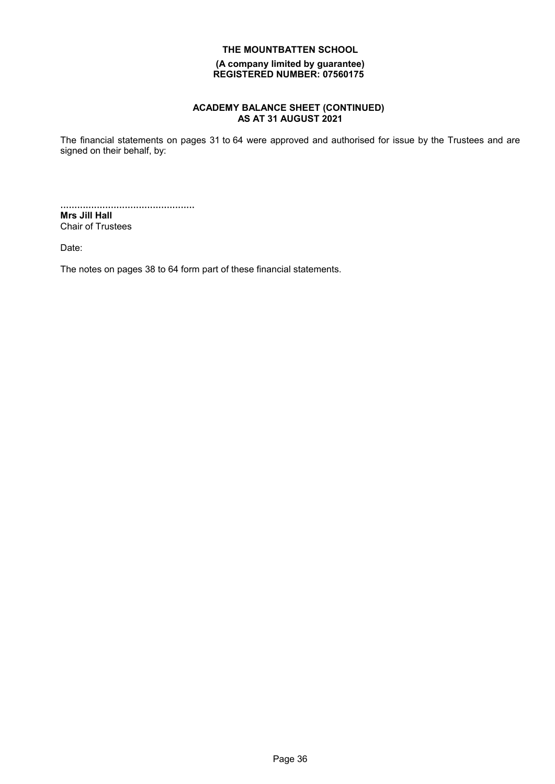### **(A company limited by guarantee) REGISTERED NUMBER: 07560175**

# **ACADEMY BALANCE SHEET (CONTINUED) AS AT 31 AUGUST 2021**

The financial statements on pages 31 to 64 were approved and authorised for issue by the Trustees and are signed on their behalf, by:

................................................ **Mrs Jill Hall**

Chair of Trustees

Date:

The notes on pages 38 to 64 form part of these financial statements.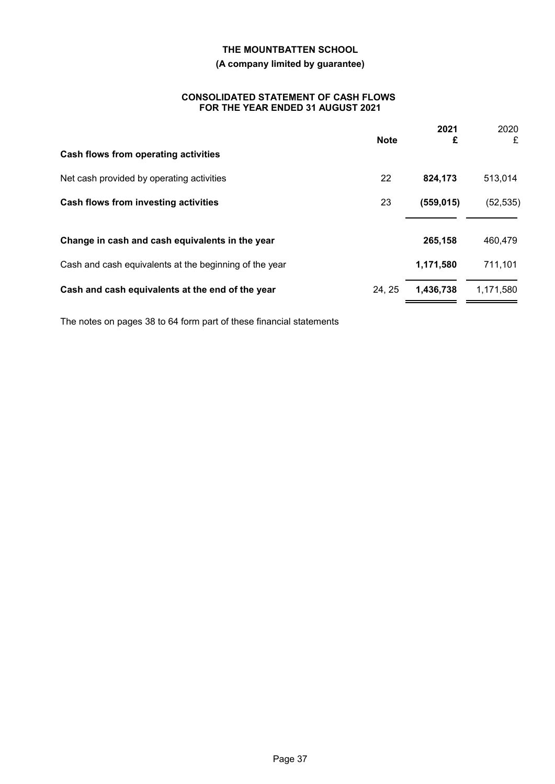# **(A company limited by guarantee)**

#### **CONSOLIDATED STATEMENT OF CASH FLOWS FOR THE YEAR ENDED 31 AUGUST 2021**

|                                                        | <b>Note</b> | 2021<br>£  | 2020<br>£ |
|--------------------------------------------------------|-------------|------------|-----------|
| Cash flows from operating activities                   |             |            |           |
| Net cash provided by operating activities              | 22          | 824,173    | 513,014   |
| Cash flows from investing activities                   | 23          | (559, 015) | (52, 535) |
|                                                        |             |            |           |
| Change in cash and cash equivalents in the year        |             | 265,158    | 460,479   |
| Cash and cash equivalents at the beginning of the year |             | 1,171,580  | 711,101   |
| Cash and cash equivalents at the end of the year       | 24, 25      | 1,436,738  | 1,171,580 |

The notes on pages 38 to 64 form part of these financial statements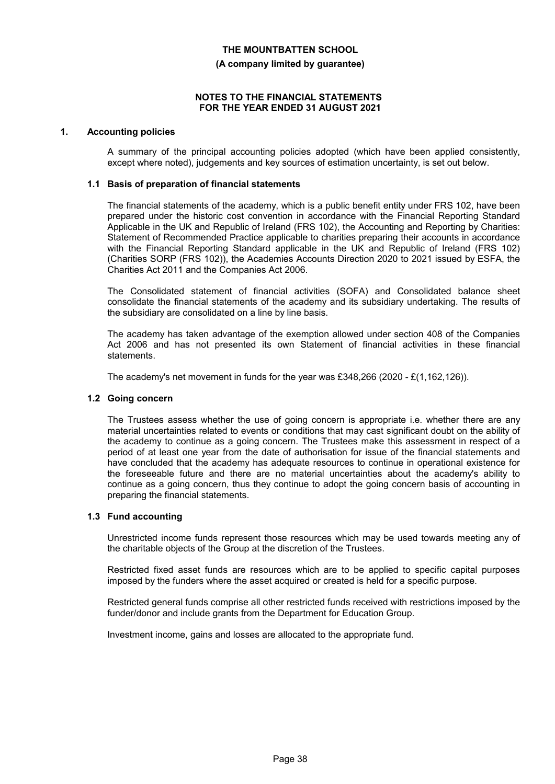#### **(A company limited by guarantee)**

#### **NOTES TO THE FINANCIAL STATEMENTS FOR THE YEAR ENDED 31 AUGUST 2021**

#### **1. Accounting policies**

A summary of the principal accounting policies adopted (which have been applied consistently, except where noted), judgements and key sources of estimation uncertainty, is set out below.

#### **1.1 Basis of preparation of financial statements**

The financial statements of the academy, which is a public benefit entity under FRS 102, have been prepared under the historic cost convention in accordance with the Financial Reporting Standard Applicable in the UK and Republic of Ireland (FRS 102), the Accounting and Reporting by Charities: Statement of Recommended Practice applicable to charities preparing their accounts in accordance with the Financial Reporting Standard applicable in the UK and Republic of Ireland (FRS 102) (Charities SORP (FRS 102)), the Academies Accounts Direction 2020 to 2021 issued by ESFA, the Charities Act 2011 and the Companies Act 2006.

The Consolidated statement of financial activities (SOFA) and Consolidated balance sheet consolidate the financial statements of the academy and its subsidiary undertaking. The results of the subsidiary are consolidated on a line by line basis.

The academy has taken advantage of the exemption allowed under section 408 of the Companies Act 2006 and has not presented its own Statement of financial activities in these financial statements.

The academy's net movement in funds for the year was £348,266 (2020 - £(1,162,126)).

#### **1.2 Going concern**

The Trustees assess whether the use of going concern is appropriate i.e. whether there are any material uncertainties related to events or conditions that may cast significant doubt on the ability of the academy to continue as a going concern. The Trustees make this assessment in respect of a period of at least one year from the date of authorisation for issue of the financial statements and have concluded that the academy has adequate resources to continue in operational existence for the foreseeable future and there are no material uncertainties about the academy's ability to continue as a going concern, thus they continue to adopt the going concern basis of accounting in preparing the financial statements.

#### **1.3 Fund accounting**

Unrestricted income funds represent those resources which may be used towards meeting any of the charitable objects of the Group at the discretion of the Trustees.

Restricted fixed asset funds are resources which are to be applied to specific capital purposes imposed by the funders where the asset acquired or created is held for a specific purpose.

Restricted general funds comprise all other restricted funds received with restrictions imposed by the funder/donor and include grants from the Department for Education Group.

Investment income, gains and losses are allocated to the appropriate fund.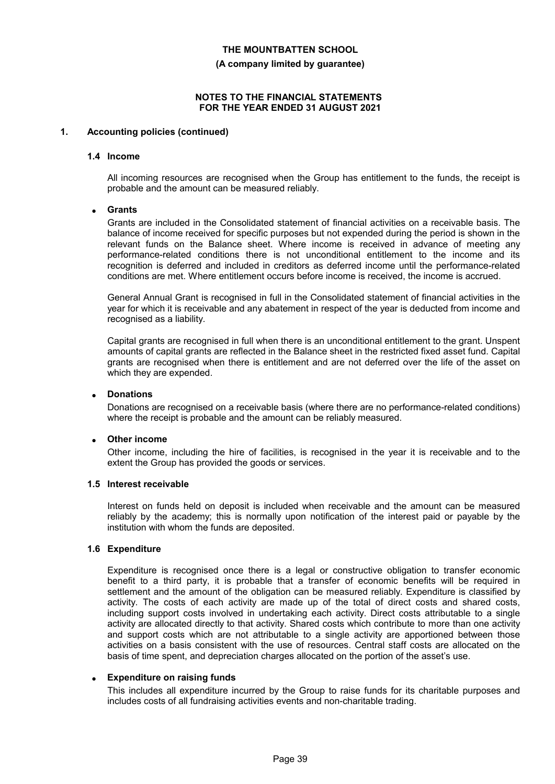**(A company limited by guarantee)**

#### **NOTES TO THE FINANCIAL STATEMENTS FOR THE YEAR ENDED 31 AUGUST 2021**

#### **1. Accounting policies (continued)**

#### **1.4 Income**

All incoming resources are recognised when the Group has entitlement to the funds, the receipt is probable and the amount can be measured reliably.

#### **Grants**

Grants are included in the Consolidated statement of financial activities on a receivable basis. The balance of income received for specific purposes but not expended during the period is shown in the relevant funds on the Balance sheet. Where income is received in advance of meeting any performance-related conditions there is not unconditional entitlement to the income and its recognition is deferred and included in creditors as deferred income until the performance-related conditions are met. Where entitlement occurs before income is received, the income is accrued.

General Annual Grant is recognised in full in the Consolidated statement of financial activities in the year for which it is receivable and any abatement in respect of the year is deducted from income and recognised as a liability.

Capital grants are recognised in full when there is an unconditional entitlement to the grant. Unspent amounts of capital grants are reflected in the Balance sheet in the restricted fixed asset fund. Capital grants are recognised when there is entitlement and are not deferred over the life of the asset on which they are expended.

#### **Donations**

Donations are recognised on a receivable basis (where there are no performance-related conditions) where the receipt is probable and the amount can be reliably measured.

#### **Other income**

Other income, including the hire of facilities, is recognised in the year it is receivable and to the extent the Group has provided the goods or services.

#### **1.5 Interest receivable**

Interest on funds held on deposit is included when receivable and the amount can be measured reliably by the academy; this is normally upon notification of the interest paid or payable by the institution with whom the funds are deposited.

#### **1.6 Expenditure**

Expenditure is recognised once there is a legal or constructive obligation to transfer economic benefit to a third party, it is probable that a transfer of economic benefits will be required in settlement and the amount of the obligation can be measured reliably. Expenditure is classified by activity. The costs of each activity are made up of the total of direct costs and shared costs, including support costs involved in undertaking each activity. Direct costs attributable to a single activity are allocated directly to that activity. Shared costs which contribute to more than one activity and support costs which are not attributable to a single activity are apportioned between those activities on a basis consistent with the use of resources. Central staff costs are allocated on the basis of time spent, and depreciation charges allocated on the portion of the asset's use.

#### **Expenditure on raising funds**

This includes all expenditure incurred by the Group to raise funds for its charitable purposes and includes costs of all fundraising activities events and non-charitable trading.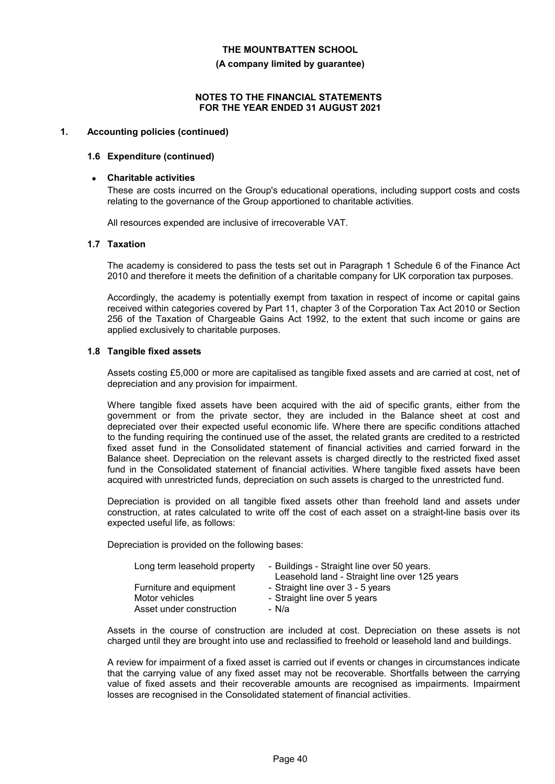**(A company limited by guarantee)**

#### **NOTES TO THE FINANCIAL STATEMENTS FOR THE YEAR ENDED 31 AUGUST 2021**

#### **1. Accounting policies (continued)**

#### **1.6 Expenditure (continued)**

#### **Charitable activities**

These are costs incurred on the Group's educational operations, including support costs and costs relating to the governance of the Group apportioned to charitable activities.

All resources expended are inclusive of irrecoverable VAT.

#### **1.7 Taxation**

The academy is considered to pass the tests set out in Paragraph 1 Schedule 6 of the Finance Act 2010 and therefore it meets the definition of a charitable company for UK corporation tax purposes.

Accordingly, the academy is potentially exempt from taxation in respect of income or capital gains received within categories covered by Part 11, chapter 3 of the Corporation Tax Act 2010 or Section 256 of the Taxation of Chargeable Gains Act 1992, to the extent that such income or gains are applied exclusively to charitable purposes.

#### **1.8 Tangible fixed assets**

Assets costing £5,000 or more are capitalised as tangible fixed assets and are carried at cost, net of depreciation and any provision for impairment.

Where tangible fixed assets have been acquired with the aid of specific grants, either from the government or from the private sector, they are included in the Balance sheet at cost and depreciated over their expected useful economic life. Where there are specific conditions attached to the funding requiring the continued use of the asset, the related grants are credited to a restricted fixed asset fund in the Consolidated statement of financial activities and carried forward in the Balance sheet. Depreciation on the relevant assets is charged directly to the restricted fixed asset fund in the Consolidated statement of financial activities. Where tangible fixed assets have been acquired with unrestricted funds, depreciation on such assets is charged to the unrestricted fund.

Depreciation is provided on all tangible fixed assets other than freehold land and assets under construction, at rates calculated to write off the cost of each asset on a straight-line basis over its expected useful life, as follows:

Depreciation is provided on the following bases:

| Long term leasehold property | - Buildings - Straight line over 50 years.<br>Leasehold land - Straight line over 125 years |
|------------------------------|---------------------------------------------------------------------------------------------|
| Furniture and equipment      | - Straight line over 3 - 5 years                                                            |
| Motor vehicles               | - Straight line over 5 years                                                                |
| Asset under construction     | - N/a                                                                                       |

Assets in the course of construction are included at cost. Depreciation on these assets is not charged until they are brought into use and reclassified to freehold or leasehold land and buildings.

A review for impairment of a fixed asset is carried out if events or changes in circumstances indicate that the carrying value of any fixed asset may not be recoverable. Shortfalls between the carrying value of fixed assets and their recoverable amounts are recognised as impairments. Impairment losses are recognised in the Consolidated statement of financial activities.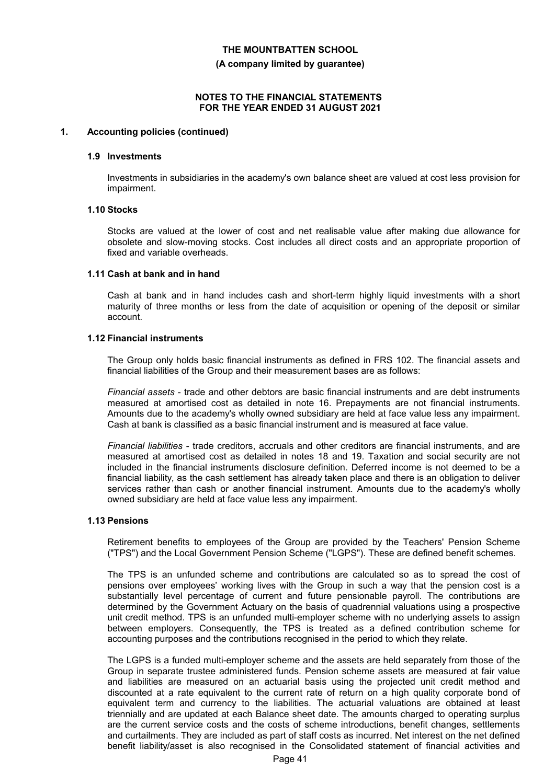**(A company limited by guarantee)**

#### **NOTES TO THE FINANCIAL STATEMENTS FOR THE YEAR ENDED 31 AUGUST 2021**

#### **1. Accounting policies (continued)**

#### **1.9 Investments**

Investments in subsidiaries in the academy's own balance sheet are valued at cost less provision for impairment.

#### **1.10 Stocks**

Stocks are valued at the lower of cost and net realisable value after making due allowance for obsolete and slow-moving stocks. Cost includes all direct costs and an appropriate proportion of fixed and variable overheads.

#### **1.11 Cash at bank and in hand**

Cash at bank and in hand includes cash and short-term highly liquid investments with a short maturity of three months or less from the date of acquisition or opening of the deposit or similar account.

#### **1.12 Financial instruments**

The Group only holds basic financial instruments as defined in FRS 102. The financial assets and financial liabilities of the Group and their measurement bases are as follows:

*Financial assets* - trade and other debtors are basic financial instruments and are debt instruments measured at amortised cost as detailed in note 16. Prepayments are not financial instruments. Amounts due to the academy's wholly owned subsidiary are held at face value less any impairment. Cash at bank is classified as a basic financial instrument and is measured at face value.

*Financial liabilities* - trade creditors, accruals and other creditors are financial instruments, and are measured at amortised cost as detailed in notes 18 and 19. Taxation and social security are not included in the financial instruments disclosure definition. Deferred income is not deemed to be a financial liability, as the cash settlement has already taken place and there is an obligation to deliver services rather than cash or another financial instrument. Amounts due to the academy's wholly owned subsidiary are held at face value less any impairment.

#### **1.13 Pensions**

Retirement benefits to employees of the Group are provided by the Teachers' Pension Scheme ("TPS") and the Local Government Pension Scheme ("LGPS"). These are defined benefit schemes.

The TPS is an unfunded scheme and contributions are calculated so as to spread the cost of pensions over employees' working lives with the Group in such a way that the pension cost is a substantially level percentage of current and future pensionable payroll. The contributions are determined by the Government Actuary on the basis of quadrennial valuations using a prospective unit credit method. TPS is an unfunded multi-employer scheme with no underlying assets to assign between employers. Consequently, the TPS is treated as a defined contribution scheme for accounting purposes and the contributions recognised in the period to which they relate.

The LGPS is a funded multi-employer scheme and the assets are held separately from those of the Group in separate trustee administered funds. Pension scheme assets are measured at fair value and liabilities are measured on an actuarial basis using the projected unit credit method and discounted at a rate equivalent to the current rate of return on a high quality corporate bond of equivalent term and currency to the liabilities. The actuarial valuations are obtained at least triennially and are updated at each Balance sheet date. The amounts charged to operating surplus are the current service costs and the costs of scheme introductions, benefit changes, settlements and curtailments. They are included as part of staff costs as incurred. Net interest on the net defined benefit liability/asset is also recognised in the Consolidated statement of financial activities and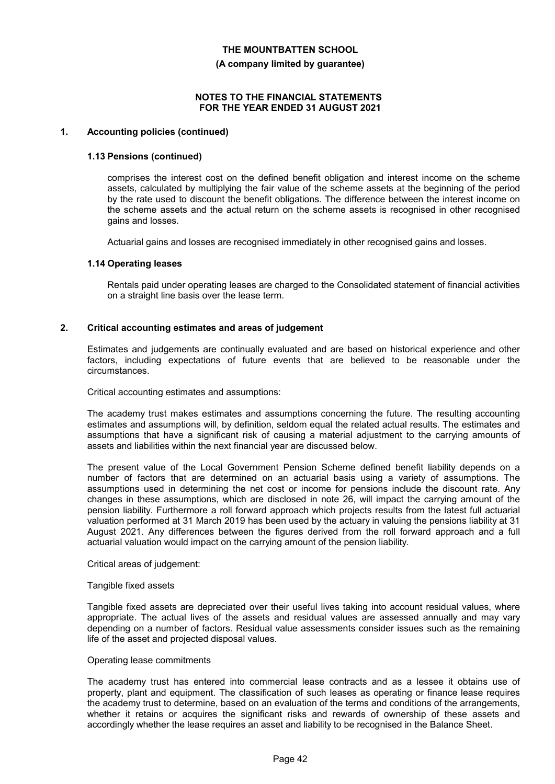**(A company limited by guarantee)**

#### **NOTES TO THE FINANCIAL STATEMENTS FOR THE YEAR ENDED 31 AUGUST 2021**

#### **1. Accounting policies (continued)**

#### **1.13 Pensions (continued)**

comprises the interest cost on the defined benefit obligation and interest income on the scheme assets, calculated by multiplying the fair value of the scheme assets at the beginning of the period by the rate used to discount the benefit obligations. The difference between the interest income on the scheme assets and the actual return on the scheme assets is recognised in other recognised gains and losses.

Actuarial gains and losses are recognised immediately in other recognised gains and losses.

#### **1.14 Operating leases**

Rentals paid under operating leases are charged to the Consolidated statement of financial activities on a straight line basis over the lease term.

#### **2. Critical accounting estimates and areas of judgement**

Estimates and judgements are continually evaluated and are based on historical experience and other factors, including expectations of future events that are believed to be reasonable under the circumstances.

Critical accounting estimates and assumptions:

The academy trust makes estimates and assumptions concerning the future. The resulting accounting estimates and assumptions will, by definition, seldom equal the related actual results. The estimates and assumptions that have a significant risk of causing a material adjustment to the carrying amounts of assets and liabilities within the next financial year are discussed below.

The present value of the Local Government Pension Scheme defined benefit liability depends on a number of factors that are determined on an actuarial basis using a variety of assumptions. The assumptions used in determining the net cost or income for pensions include the discount rate. Any changes in these assumptions, which are disclosed in note 26, will impact the carrying amount of the pension liability. Furthermore a roll forward approach which projects results from the latest full actuarial valuation performed at 31 March 2019 has been used by the actuary in valuing the pensions liability at 31 August 2021. Any differences between the figures derived from the roll forward approach and a full actuarial valuation would impact on the carrying amount of the pension liability.

#### Critical areas of judgement:

#### Tangible fixed assets

Tangible fixed assets are depreciated over their useful lives taking into account residual values, where appropriate. The actual lives of the assets and residual values are assessed annually and may vary depending on a number of factors. Residual value assessments consider issues such as the remaining life of the asset and projected disposal values.

#### Operating lease commitments

The academy trust has entered into commercial lease contracts and as a lessee it obtains use of property, plant and equipment. The classification of such leases as operating or finance lease requires the academy trust to determine, based on an evaluation of the terms and conditions of the arrangements, whether it retains or acquires the significant risks and rewards of ownership of these assets and accordingly whether the lease requires an asset and liability to be recognised in the Balance Sheet.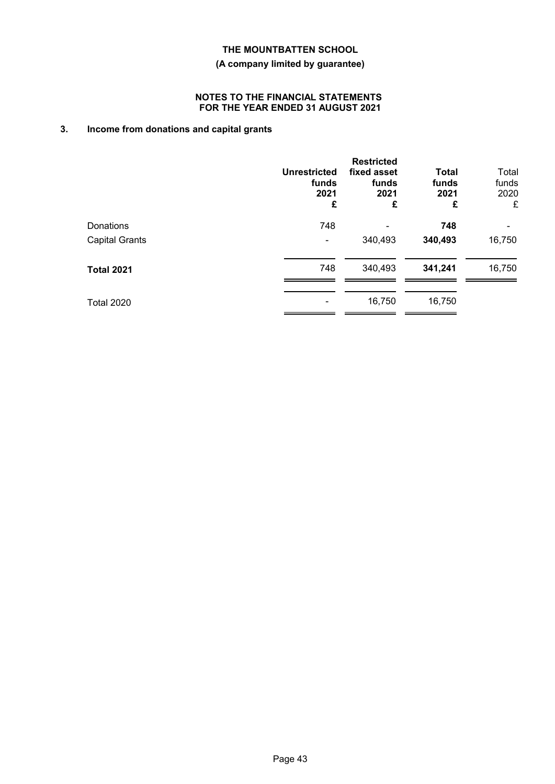# **(A company limited by guarantee)**

### **NOTES TO THE FINANCIAL STATEMENTS FOR THE YEAR ENDED 31 AUGUST 2021**

# **3. Income from donations and capital grants**

|                       | <b>Unrestricted</b><br>funds<br>2021<br>£ | <b>Restricted</b><br>fixed asset<br>funds<br>2021<br>£ | <b>Total</b><br>funds<br>2021<br>£ | Total<br>funds<br>2020<br>£ |
|-----------------------|-------------------------------------------|--------------------------------------------------------|------------------------------------|-----------------------------|
| Donations             | 748                                       |                                                        | 748                                |                             |
| <b>Capital Grants</b> |                                           | 340,493                                                | 340,493                            | 16,750                      |
| <b>Total 2021</b>     | 748                                       | 340,493                                                | 341,241                            | 16,750                      |
| <b>Total 2020</b>     |                                           | 16,750                                                 | 16,750                             |                             |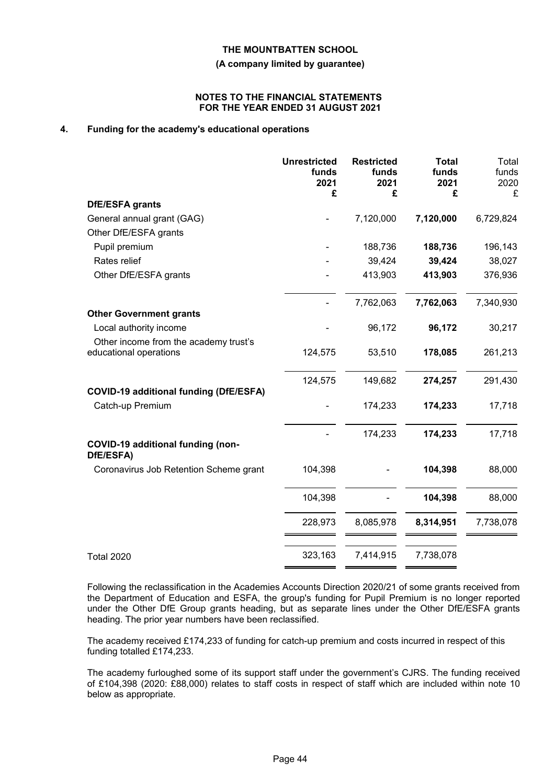**(A company limited by guarantee)**

#### **NOTES TO THE FINANCIAL STATEMENTS FOR THE YEAR ENDED 31 AUGUST 2021**

# **4. Funding for the academy's educational operations**

|                                                                 | <b>Unrestricted</b><br>funds<br>2021<br>£ | <b>Restricted</b><br>funds<br>2021<br>£ | <b>Total</b><br>funds<br>2021<br>£ | Total<br>funds<br>2020<br>£ |
|-----------------------------------------------------------------|-------------------------------------------|-----------------------------------------|------------------------------------|-----------------------------|
| DfE/ESFA grants                                                 |                                           |                                         |                                    |                             |
| General annual grant (GAG)                                      |                                           | 7,120,000                               | 7,120,000                          | 6,729,824                   |
| Other DfE/ESFA grants                                           |                                           |                                         |                                    |                             |
| Pupil premium                                                   |                                           | 188,736                                 | 188,736                            | 196,143                     |
| Rates relief                                                    |                                           | 39,424                                  | 39,424                             | 38,027                      |
| Other DfE/ESFA grants                                           |                                           | 413,903                                 | 413,903                            | 376,936                     |
|                                                                 |                                           | 7,762,063                               | 7,762,063                          | 7,340,930                   |
| <b>Other Government grants</b>                                  |                                           |                                         |                                    |                             |
| Local authority income                                          |                                           | 96,172                                  | 96,172                             | 30,217                      |
| Other income from the academy trust's<br>educational operations | 124,575                                   | 53,510                                  | 178,085                            | 261,213                     |
|                                                                 | 124,575                                   | 149,682                                 | 274,257                            | 291,430                     |
| <b>COVID-19 additional funding (DfE/ESFA)</b>                   |                                           |                                         |                                    |                             |
| Catch-up Premium                                                |                                           | 174,233                                 | 174,233                            | 17,718                      |
|                                                                 |                                           | 174,233                                 | 174,233                            | 17,718                      |
| COVID-19 additional funding (non-<br>DfE/ESFA)                  |                                           |                                         |                                    |                             |
| Coronavirus Job Retention Scheme grant                          | 104,398                                   |                                         | 104,398                            | 88,000                      |
|                                                                 | 104,398                                   |                                         | 104,398                            | 88,000                      |
|                                                                 | 228,973                                   | 8,085,978                               | 8,314,951                          | 7,738,078                   |
| <b>Total 2020</b>                                               | 323,163                                   | 7,414,915                               | 7,738,078                          |                             |

Following the reclassification in the Academies Accounts Direction 2020/21 of some grants received from the Department of Education and ESFA, the group's funding for Pupil Premium is no longer reported under the Other DfE Group grants heading, but as separate lines under the Other DfE/ESFA grants heading. The prior year numbers have been reclassified.

The academy received £174,233 of funding for catch-up premium and costs incurred in respect of this funding totalled £174,233.

The academy furloughed some of its support staff under the government's CJRS. The funding received of £104,398 (2020: £88,000) relates to staff costs in respect of staff which are included within note 10 below as appropriate.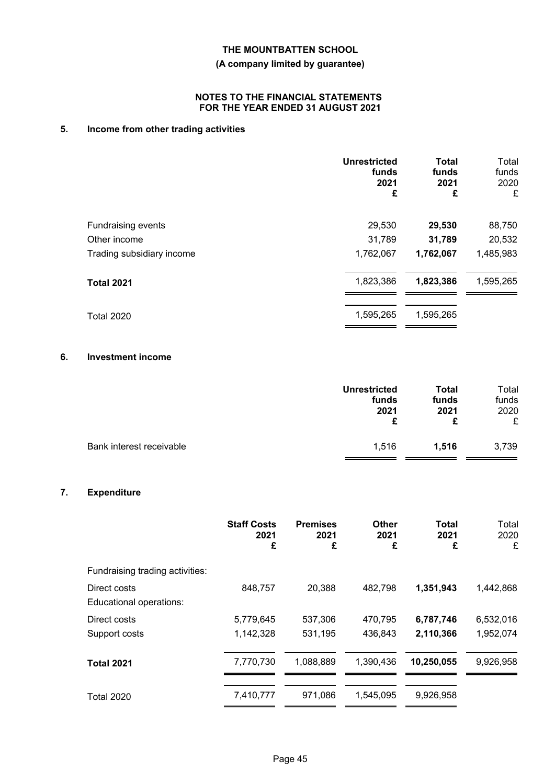# **(A company limited by guarantee)**

### **NOTES TO THE FINANCIAL STATEMENTS FOR THE YEAR ENDED 31 AUGUST 2021**

# **5. Income from other trading activities**

|                           | <b>Unrestricted</b><br>funds<br>2021<br>£ | <b>Total</b><br>funds<br>2021<br>£ | Total<br>funds<br>2020<br>£ |
|---------------------------|-------------------------------------------|------------------------------------|-----------------------------|
| Fundraising events        | 29,530                                    | 29,530                             | 88,750                      |
| Other income              | 31,789                                    | 31,789                             | 20,532                      |
| Trading subsidiary income | 1,762,067                                 | 1,762,067                          | 1,485,983                   |
| <b>Total 2021</b>         | 1,823,386                                 | 1,823,386                          | 1,595,265                   |
| <b>Total 2020</b>         | 1,595,265                                 | 1,595,265                          |                             |

# **6. Investment income**

|                          | <b>Unrestricted</b><br>funds<br>2021 | <b>Total</b><br>funds<br>2021<br>£ | Total<br>funds<br>2020<br>£ |
|--------------------------|--------------------------------------|------------------------------------|-----------------------------|
| Bank interest receivable | 1,516                                | 1.516                              | 3,739                       |

# **7. Expenditure**

|                                         | <b>Staff Costs</b><br>2021<br>£ | <b>Premises</b><br>2021<br>£ | <b>Other</b><br>2021<br>£ | <b>Total</b><br>2021<br>£ | Total<br>2020<br>£ |
|-----------------------------------------|---------------------------------|------------------------------|---------------------------|---------------------------|--------------------|
| Fundraising trading activities:         |                                 |                              |                           |                           |                    |
| Direct costs<br>Educational operations: | 848,757                         | 20,388                       | 482,798                   | 1,351,943                 | 1,442,868          |
| Direct costs                            | 5,779,645                       | 537,306                      | 470,795                   | 6,787,746                 | 6,532,016          |
| Support costs                           | 1,142,328                       | 531,195                      | 436,843                   | 2,110,366                 | 1,952,074          |
| <b>Total 2021</b>                       | 7,770,730                       | 1,088,889                    | 1,390,436                 | 10,250,055                | 9,926,958          |
| <b>Total 2020</b>                       | 7,410,777                       | 971,086                      | 1,545,095                 | 9,926,958                 |                    |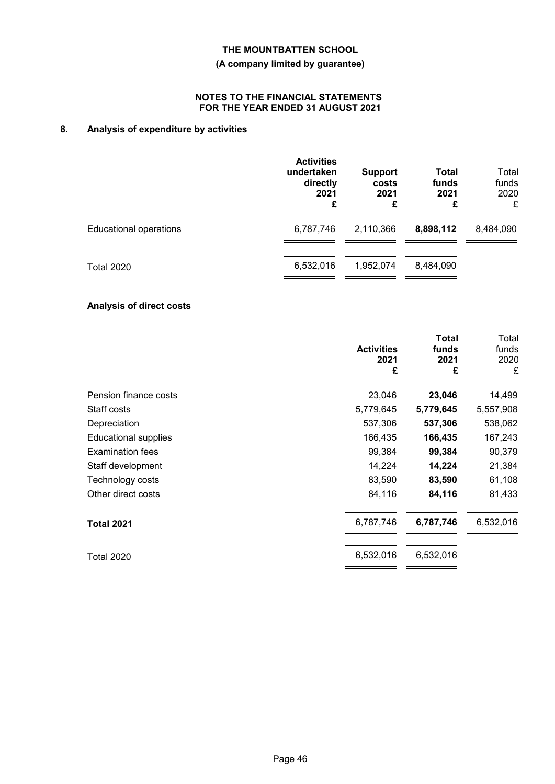# **(A company limited by guarantee)**

### **NOTES TO THE FINANCIAL STATEMENTS FOR THE YEAR ENDED 31 AUGUST 2021**

# **8. Analysis of expenditure by activities**

|                               | <b>Activities</b><br>undertaken<br>directly<br>2021<br>£ | <b>Support</b><br>costs<br>2021<br>£ | Total<br>funds<br>2021<br>£ | Total<br>funds<br>2020<br>£ |
|-------------------------------|----------------------------------------------------------|--------------------------------------|-----------------------------|-----------------------------|
| <b>Educational operations</b> | 6,787,746                                                | 2,110,366                            | 8,898,112                   | 8,484,090                   |
| <b>Total 2020</b>             | 6,532,016                                                | 1,952,074                            | 8,484,090                   |                             |

# **Analysis of direct costs**

|                             | <b>Activities</b><br>2021<br>£ | <b>Total</b><br>funds<br>2021<br>£ | Total<br>funds<br>2020<br>£ |
|-----------------------------|--------------------------------|------------------------------------|-----------------------------|
| Pension finance costs       | 23,046                         | 23,046                             | 14,499                      |
| Staff costs                 | 5,779,645                      | 5,779,645                          | 5,557,908                   |
| Depreciation                | 537,306                        | 537,306                            | 538,062                     |
| <b>Educational supplies</b> | 166,435                        | 166,435                            | 167,243                     |
| <b>Examination fees</b>     | 99,384                         | 99,384                             | 90,379                      |
| Staff development           | 14,224                         | 14,224                             | 21,384                      |
| Technology costs            | 83,590                         | 83,590                             | 61,108                      |
| Other direct costs          | 84,116                         | 84,116                             | 81,433                      |
| <b>Total 2021</b>           | 6,787,746                      | 6,787,746                          | 6,532,016                   |
| <b>Total 2020</b>           | 6,532,016                      | 6,532,016                          |                             |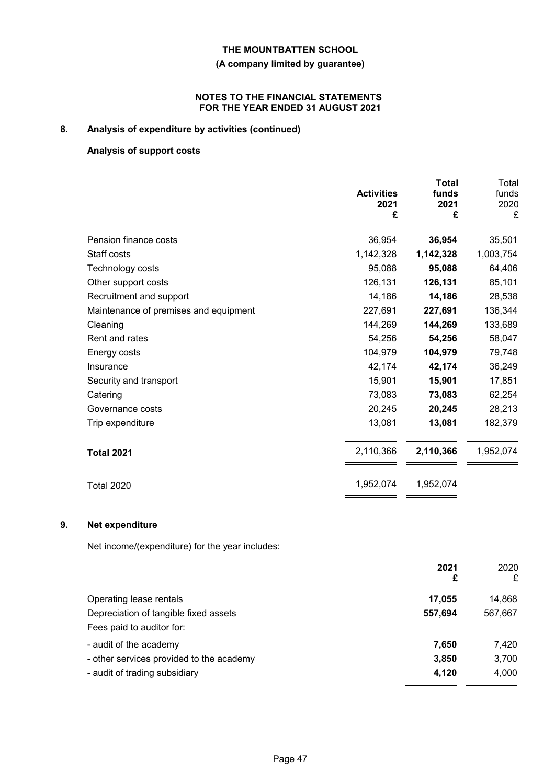# **(A company limited by guarantee)**

### **NOTES TO THE FINANCIAL STATEMENTS FOR THE YEAR ENDED 31 AUGUST 2021**

# **8. Analysis of expenditure by activities (continued)**

# **Analysis of support costs**

|                                       | <b>Activities</b><br>2021<br>£ | <b>Total</b><br>funds<br>2021<br>£ | Total<br>funds<br>2020<br>£ |
|---------------------------------------|--------------------------------|------------------------------------|-----------------------------|
| Pension finance costs                 | 36,954                         | 36,954                             | 35,501                      |
| Staff costs                           | 1,142,328                      | 1,142,328                          | 1,003,754                   |
| Technology costs                      | 95,088                         | 95,088                             | 64,406                      |
| Other support costs                   | 126,131                        | 126,131                            | 85,101                      |
| Recruitment and support               | 14,186                         | 14,186                             | 28,538                      |
| Maintenance of premises and equipment | 227,691                        | 227,691                            | 136,344                     |
| Cleaning                              | 144,269                        | 144,269                            | 133,689                     |
| Rent and rates                        | 54,256                         | 54,256                             | 58,047                      |
| Energy costs                          | 104,979                        | 104,979                            | 79,748                      |
| Insurance                             | 42,174                         | 42,174                             | 36,249                      |
| Security and transport                | 15,901                         | 15,901                             | 17,851                      |
| Catering                              | 73,083                         | 73,083                             | 62,254                      |
| Governance costs                      | 20,245                         | 20,245                             | 28,213                      |
| Trip expenditure                      | 13,081                         | 13,081                             | 182,379                     |
| <b>Total 2021</b>                     | 2,110,366                      | 2,110,366                          | 1,952,074                   |
| <b>Total 2020</b>                     | 1,952,074                      | 1,952,074                          |                             |

# **9. Net expenditure**

Net income/(expenditure) for the year includes:

|                                          | 2021<br>£ | 2020<br>£ |
|------------------------------------------|-----------|-----------|
| Operating lease rentals                  | 17,055    | 14,868    |
| Depreciation of tangible fixed assets    | 557,694   | 567,667   |
| Fees paid to auditor for:                |           |           |
| - audit of the academy                   | 7,650     | 7,420     |
| - other services provided to the academy | 3,850     | 3,700     |
| - audit of trading subsidiary            | 4,120     | 4,000     |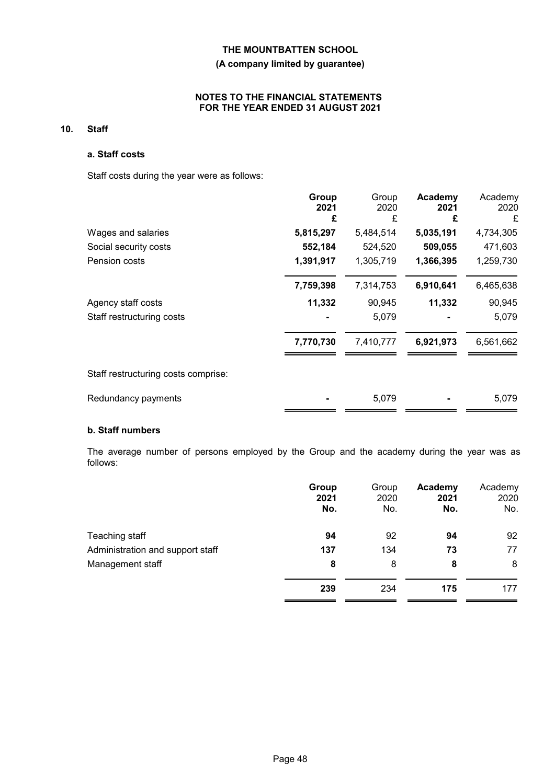# **(A company limited by guarantee)**

# **NOTES TO THE FINANCIAL STATEMENTS FOR THE YEAR ENDED 31 AUGUST 2021**

# **10. Staff**

# **a. Staff costs**

Staff costs during the year were as follows:

|                                     | Group<br>2021<br>£ | Group<br>2020<br>£ | Academy<br>2021<br>£ | Academy<br>2020<br>£ |
|-------------------------------------|--------------------|--------------------|----------------------|----------------------|
| Wages and salaries                  | 5,815,297          | 5,484,514          | 5,035,191            | 4,734,305            |
| Social security costs               | 552,184            | 524,520            | 509,055              | 471,603              |
| Pension costs                       | 1,391,917          | 1,305,719          | 1,366,395            | 1,259,730            |
|                                     | 7,759,398          | 7,314,753          | 6,910,641            | 6,465,638            |
| Agency staff costs                  | 11,332             | 90,945             | 11,332               | 90,945               |
| Staff restructuring costs           |                    | 5,079              |                      | 5,079                |
|                                     | 7,770,730          | 7,410,777          | 6,921,973            | 6,561,662            |
| Staff restructuring costs comprise: |                    |                    |                      |                      |
| Redundancy payments                 |                    | 5,079              |                      | 5,079                |

# **b. Staff numbers**

The average number of persons employed by the Group and the academy during the year was as follows:

|                                  | Group<br>2021<br>No. | Group<br>2020<br>No. | Academy<br>2021<br>No. | Academy<br>2020<br>No. |
|----------------------------------|----------------------|----------------------|------------------------|------------------------|
| Teaching staff                   | 94                   | 92                   | 94                     | 92                     |
| Administration and support staff | 137                  | 134                  | 73                     | 77                     |
| Management staff                 | 8                    | 8                    | 8                      | 8                      |
|                                  | 239                  | 234                  | 175                    | 177                    |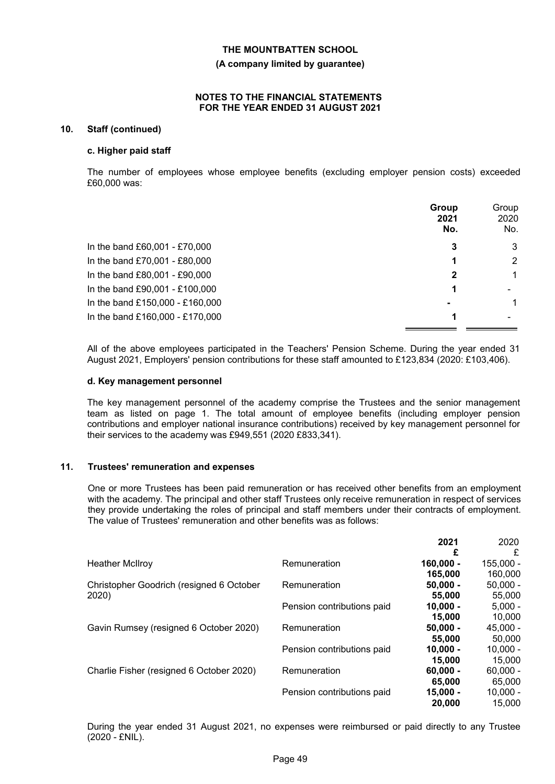#### **(A company limited by guarantee)**

#### **NOTES TO THE FINANCIAL STATEMENTS FOR THE YEAR ENDED 31 AUGUST 2021**

#### **10. Staff (continued)**

#### **c. Higher paid staff**

The number of employees whose employee benefits (excluding employer pension costs) exceeded £60,000 was:

|                                 | Group<br>2021<br>No. | Group<br>2020<br>No. |
|---------------------------------|----------------------|----------------------|
| In the band £60,001 - £70,000   | 3                    | 3                    |
| In the band £70,001 - £80,000   |                      | 2                    |
| In the band £80,001 - £90,000   | 2                    | 1                    |
| In the band £90,001 - £100,000  |                      |                      |
| In the band £150,000 - £160,000 | $\blacksquare$       |                      |
| In the band £160,000 - £170,000 |                      |                      |

All of the above employees participated in the Teachers' Pension Scheme. During the year ended 31 August 2021, Employers' pension contributions for these staff amounted to £123,834 (2020: £103,406).

#### **d. Key management personnel**

The key management personnel of the academy comprise the Trustees and the senior management team as listed on page 1. The total amount of employee benefits (including employer pension contributions and employer national insurance contributions) received by key management personnel for their services to the academy was £949,551 (2020 £833,341).

#### **11. Trustees' remuneration and expenses**

One or more Trustees has been paid remuneration or has received other benefits from an employment with the academy. The principal and other staff Trustees only receive remuneration in respect of services they provide undertaking the roles of principal and staff members under their contracts of employment. The value of Trustees' remuneration and other benefits was as follows:

|                                          |                            | 2021        | 2020        |
|------------------------------------------|----------------------------|-------------|-------------|
|                                          |                            | £           | £           |
| <b>Heather McIlroy</b>                   | Remuneration               | $160,000 -$ | $155,000 -$ |
|                                          |                            | 165,000     | 160,000     |
| Christopher Goodrich (resigned 6 October | Remuneration               | $50,000 -$  | $50,000 -$  |
| 2020)                                    |                            | 55,000      | 55,000      |
|                                          | Pension contributions paid | $10.000 -$  | $5.000 -$   |
|                                          |                            | 15,000      | 10,000      |
| Gavin Rumsey (resigned 6 October 2020)   | Remuneration               | $50,000 -$  | $45,000 -$  |
|                                          |                            | 55,000      | 50,000      |
|                                          | Pension contributions paid | $10.000 -$  | $10.000 -$  |
|                                          |                            | 15,000      | 15.000      |
| Charlie Fisher (resigned 6 October 2020) | Remuneration               | $60,000 -$  | $60,000 -$  |
|                                          |                            | 65,000      | 65,000      |
|                                          | Pension contributions paid | $15,000 -$  | $10,000 -$  |
|                                          |                            | 20,000      | 15.000      |

During the year ended 31 August 2021, no expenses were reimbursed or paid directly to any Trustee (2020 - £NIL).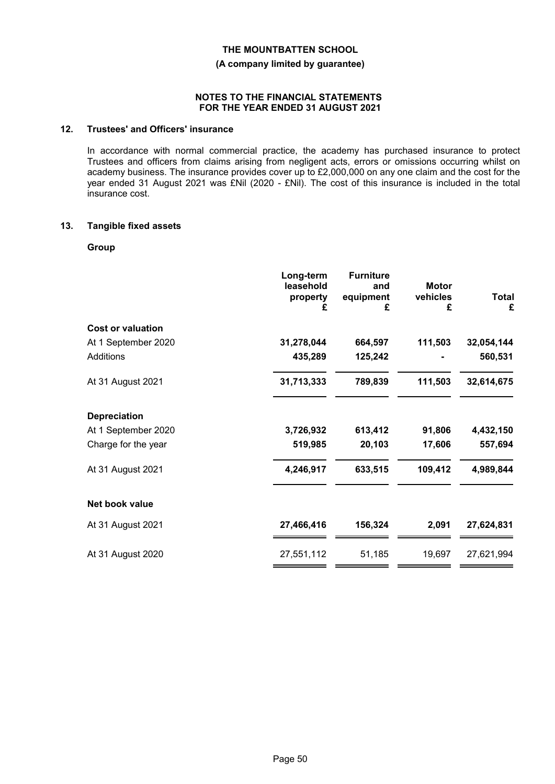**(A company limited by guarantee)**

#### **NOTES TO THE FINANCIAL STATEMENTS FOR THE YEAR ENDED 31 AUGUST 2021**

# **12. Trustees' and Officers' insurance**

In accordance with normal commercial practice, the academy has purchased insurance to protect Trustees and officers from claims arising from negligent acts, errors or omissions occurring whilst on academy business. The insurance provides cover up to £2,000,000 on any one claim and the cost for the year ended 31 August 2021 was £Nil (2020 - £Nil). The cost of this insurance is included in the total insurance cost.

#### **13. Tangible fixed assets**

#### **Group**

|                          | Long-term<br>leasehold<br>property<br>£ | <b>Furniture</b><br>and<br>equipment<br>£ | <b>Motor</b><br>vehicles<br>£ | <b>Total</b><br>£ |
|--------------------------|-----------------------------------------|-------------------------------------------|-------------------------------|-------------------|
| <b>Cost or valuation</b> |                                         |                                           |                               |                   |
| At 1 September 2020      | 31,278,044                              | 664,597                                   | 111,503                       | 32,054,144        |
| <b>Additions</b>         | 435,289                                 | 125,242                                   |                               | 560,531           |
| At 31 August 2021        | 31,713,333                              | 789,839                                   | 111,503                       | 32,614,675        |
| <b>Depreciation</b>      |                                         |                                           |                               |                   |
| At 1 September 2020      | 3,726,932                               | 613,412                                   | 91,806                        | 4,432,150         |
| Charge for the year      | 519,985                                 | 20,103                                    | 17,606                        | 557,694           |
| At 31 August 2021        | 4,246,917                               | 633,515                                   | 109,412                       | 4,989,844         |
| Net book value           |                                         |                                           |                               |                   |
| At 31 August 2021        | 27,466,416                              | 156,324                                   | 2,091                         | 27,624,831        |
| At 31 August 2020        | 27,551,112                              | 51,185                                    | 19,697                        | 27,621,994        |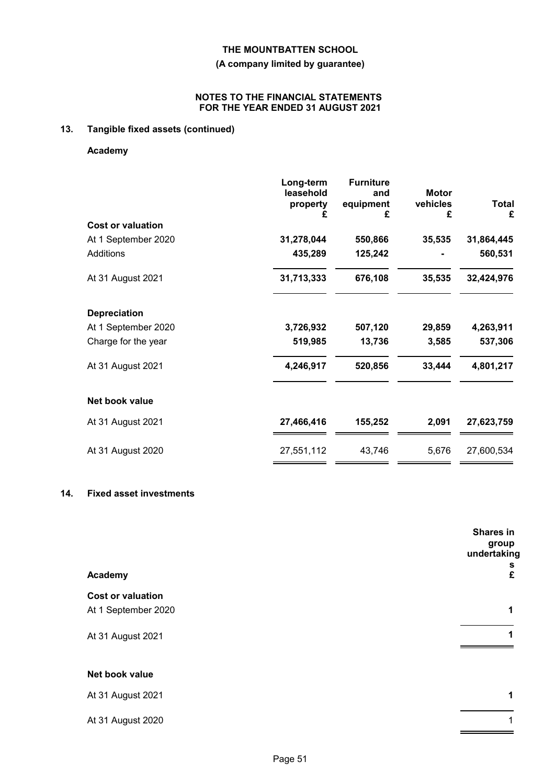**(A company limited by guarantee)**

# **NOTES TO THE FINANCIAL STATEMENTS FOR THE YEAR ENDED 31 AUGUST 2021**

# **13. Tangible fixed assets (continued)**

**Academy**

|                          | Long-term<br>leasehold<br>property<br>£ | <b>Furniture</b><br>and<br>equipment<br>£ | <b>Motor</b><br>vehicles<br>£ | <b>Total</b><br>£ |
|--------------------------|-----------------------------------------|-------------------------------------------|-------------------------------|-------------------|
| <b>Cost or valuation</b> |                                         |                                           |                               |                   |
| At 1 September 2020      | 31,278,044                              | 550,866                                   | 35,535                        | 31,864,445        |
| Additions                | 435,289                                 | 125,242                                   |                               | 560,531           |
| At 31 August 2021        | 31,713,333                              | 676,108                                   | 35,535                        | 32,424,976        |
| <b>Depreciation</b>      |                                         |                                           |                               |                   |
| At 1 September 2020      | 3,726,932                               | 507,120                                   | 29,859                        | 4,263,911         |
| Charge for the year      | 519,985                                 | 13,736                                    | 3,585                         | 537,306           |
| At 31 August 2021        | 4,246,917                               | 520,856                                   | 33,444                        | 4,801,217         |
| Net book value           |                                         |                                           |                               |                   |
| At 31 August 2021        | 27,466,416                              | 155,252                                   | 2,091                         | 27,623,759        |
| At 31 August 2020        | 27,551,112                              | 43,746                                    | 5,676                         | 27,600,534        |

# **14. Fixed asset investments**

|                          | Shares in<br>group<br>undertaking |
|--------------------------|-----------------------------------|
| Academy                  | s<br>£                            |
| <b>Cost or valuation</b> |                                   |
| At 1 September 2020      | 1                                 |
| At 31 August 2021        |                                   |
| Net book value           |                                   |
| At 31 August 2021        | 1                                 |
| At 31 August 2020        |                                   |
|                          |                                   |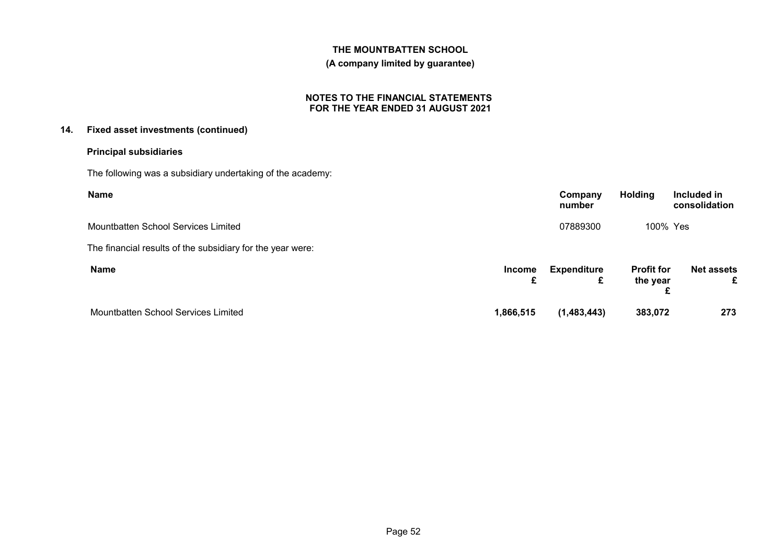### **(A company limited by guarantee)**

### **NOTES TO THE FINANCIAL STATEMENTS FOR THE YEAR ENDED 31 AUGUST 2021**

# **14. Fixed asset investments (continued)**

# **Principal subsidiaries**

The following was a subsidiary undertaking of the academy:

| <b>Name</b>                                                |               | Company<br>number       | <b>Holding</b>                     | Included in<br>consolidation |
|------------------------------------------------------------|---------------|-------------------------|------------------------------------|------------------------------|
| Mountbatten School Services Limited                        |               | 07889300                | 100% Yes                           |                              |
| The financial results of the subsidiary for the year were: |               |                         |                                    |                              |
| <b>Name</b>                                                | <b>Income</b> | <b>Expenditure</b><br>£ | <b>Profit for</b><br>the year<br>£ | <b>Net assets</b><br>£       |
| Mountbatten School Services Limited                        | 1,866,515     | (1,483,443)             | 383,072                            | 273                          |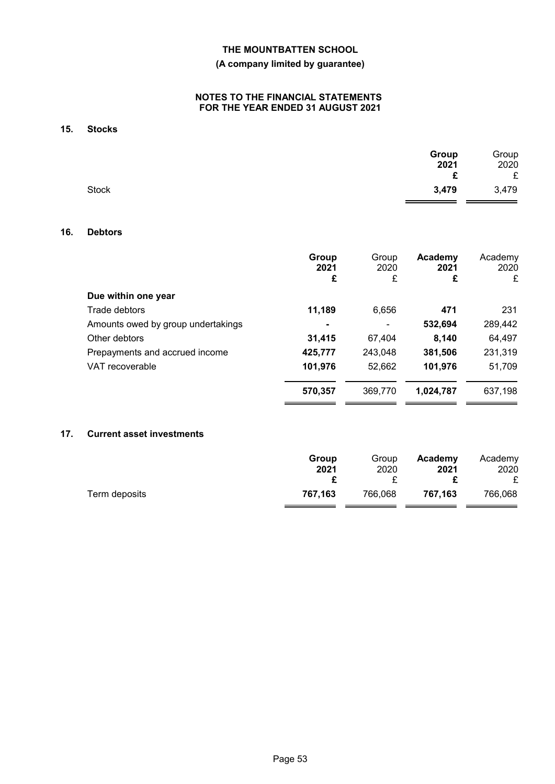# **(A company limited by guarantee)**

### **NOTES TO THE FINANCIAL STATEMENTS FOR THE YEAR ENDED 31 AUGUST 2021**

# **15. Stocks**

|              | Group | Group |
|--------------|-------|-------|
|              | 2021  | 2020  |
|              | £     | £     |
| <b>Stock</b> | 3,479 | 3,479 |

 $\blacksquare$ 

# **16. Debtors**

|                                    | Group<br>2021<br>£ | Group<br>2020<br>£ | Academy<br>2021<br>£ | Academy<br>2020<br>£ |
|------------------------------------|--------------------|--------------------|----------------------|----------------------|
| Due within one year                |                    |                    |                      |                      |
| Trade debtors                      | 11,189             | 6,656              | 471                  | 231                  |
| Amounts owed by group undertakings |                    |                    | 532,694              | 289,442              |
| Other debtors                      | 31,415             | 67,404             | 8,140                | 64,497               |
| Prepayments and accrued income     | 425,777            | 243,048            | 381,506              | 231,319              |
| VAT recoverable                    | 101,976            | 52,662             | 101,976              | 51,709               |
|                                    | 570,357            | 369,770            | 1,024,787            | 637,198              |
|                                    |                    |                    |                      |                      |

### **17. Current asset investments**

|               | Group   | Group   | Academy | Academy |
|---------------|---------|---------|---------|---------|
|               | 2021    | 2020    | 2021    | 2020    |
| Term deposits | 767.163 | 766,068 | 767.163 | 766,068 |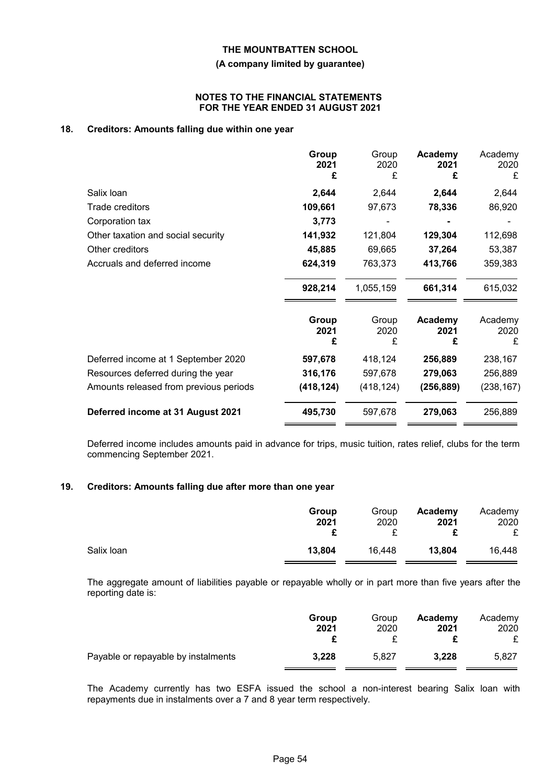#### **(A company limited by guarantee)**

#### **NOTES TO THE FINANCIAL STATEMENTS FOR THE YEAR ENDED 31 AUGUST 2021**

# **18. Creditors: Amounts falling due within one year**

|                                        | Group<br>2021<br>£ | Group<br>2020<br>£ | Academy<br>2021<br>£ | Academy<br>2020<br>£ |
|----------------------------------------|--------------------|--------------------|----------------------|----------------------|
| Salix Ioan                             | 2,644              | 2,644              | 2,644                | 2,644                |
| Trade creditors                        | 109,661            | 97,673             | 78,336               | 86,920               |
| Corporation tax                        | 3,773              |                    |                      |                      |
| Other taxation and social security     | 141,932            | 121,804            | 129,304              | 112,698              |
| Other creditors                        | 45,885             | 69,665             | 37,264               | 53,387               |
| Accruals and deferred income           | 624,319            | 763,373            | 413,766              | 359,383              |
|                                        | 928,214            | 1,055,159          | 661,314              | 615,032              |
|                                        | Group<br>2021<br>£ | Group<br>2020<br>£ | Academy<br>2021<br>£ | Academy<br>2020<br>£ |
| Deferred income at 1 September 2020    | 597,678            | 418,124            | 256,889              | 238,167              |
| Resources deferred during the year     | 316,176            | 597,678            | 279,063              | 256,889              |
| Amounts released from previous periods | (418, 124)         | (418, 124)         | (256, 889)           | (238, 167)           |
| Deferred income at 31 August 2021      | 495,730            | 597,678            | 279,063              | 256,889              |

Deferred income includes amounts paid in advance for trips, music tuition, rates relief, clubs for the term commencing September 2021.

# **19. Creditors: Amounts falling due after more than one year**

|            | Group<br>2021 | Group<br>2020 | Academy<br>2021 | Academy<br>2020<br>£ |
|------------|---------------|---------------|-----------------|----------------------|
| Salix Ioan | 13,804        | 16,448        | 13,804          | 16,448               |

The aggregate amount of liabilities payable or repayable wholly or in part more than five years after the reporting date is:

|                                     | Group | Group | Academy | Academy |
|-------------------------------------|-------|-------|---------|---------|
|                                     | 2021  | 2020  | 2021    | 2020    |
| Payable or repayable by instalments | 3,228 | 5.827 | 3,228   | 5.827   |

The Academy currently has two ESFA issued the school a non-interest bearing Salix loan with repayments due in instalments over a 7 and 8 year term respectively.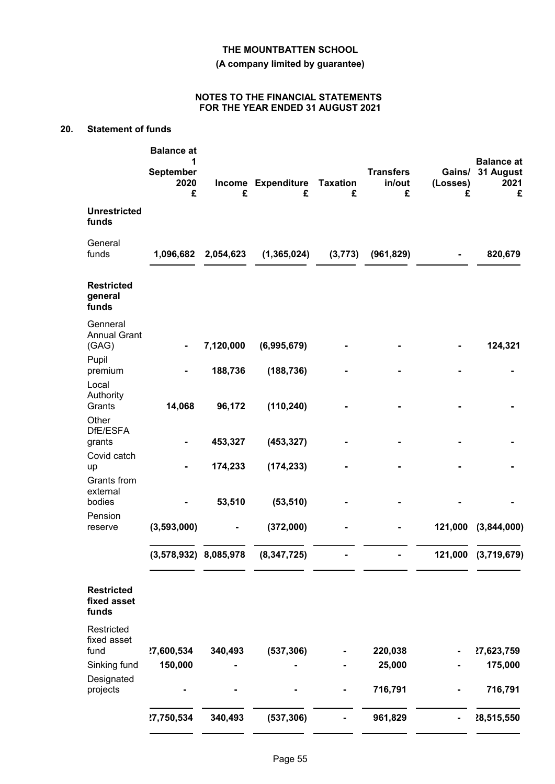**(A company limited by guarantee)**

### **NOTES TO THE FINANCIAL STATEMENTS FOR THE YEAR ENDED 31 AUGUST 2021**

# **20. Statement of funds**

|                                           | <b>Balance</b> at<br>1<br><b>September</b><br>2020<br>£ | £         | Income Expenditure<br>£ | <b>Taxation</b><br>£ | <b>Transfers</b><br>in/out<br>£ | Gains/<br>(Losses)<br>£ | <b>Balance at</b><br>31 August<br>2021<br>£ |
|-------------------------------------------|---------------------------------------------------------|-----------|-------------------------|----------------------|---------------------------------|-------------------------|---------------------------------------------|
| <b>Unrestricted</b><br>funds              |                                                         |           |                         |                      |                                 |                         |                                             |
| General<br>funds                          | 1,096,682                                               | 2,054,623 | (1, 365, 024)           | (3, 773)             | (961, 829)                      |                         | 820,679                                     |
| <b>Restricted</b><br>general<br>funds     |                                                         |           |                         |                      |                                 |                         |                                             |
| Genneral<br><b>Annual Grant</b><br>(GAG)  |                                                         | 7,120,000 | (6,995,679)             |                      |                                 |                         | 124,321                                     |
| Pupil                                     |                                                         |           |                         |                      |                                 |                         |                                             |
| premium                                   |                                                         | 188,736   | (188, 736)              |                      |                                 |                         |                                             |
| Local<br>Authority<br>Grants              | 14,068                                                  | 96,172    | (110, 240)              |                      |                                 |                         |                                             |
| Other<br>DfE/ESFA                         |                                                         |           |                         |                      |                                 |                         |                                             |
| grants                                    |                                                         | 453,327   | (453, 327)              |                      |                                 |                         |                                             |
| Covid catch<br>up                         |                                                         | 174,233   | (174, 233)              |                      |                                 |                         |                                             |
| Grants from                               |                                                         |           |                         |                      |                                 |                         |                                             |
| external<br>bodies                        |                                                         | 53,510    | (53, 510)               |                      |                                 |                         |                                             |
| Pension<br>reserve                        | (3,593,000)                                             |           | (372,000)               |                      |                                 | 121,000                 | (3,844,000)                                 |
|                                           | $(3,578,932)$ 8,085,978                                 |           | (8, 347, 725)           |                      |                                 | 121,000                 | (3,719,679)                                 |
|                                           |                                                         |           |                         |                      |                                 |                         |                                             |
| <b>Restricted</b><br>fixed asset<br>funds |                                                         |           |                         |                      |                                 |                         |                                             |
| Restricted<br>fixed asset                 |                                                         |           |                         |                      |                                 |                         |                                             |
| fund<br>Sinking fund                      | ?7,600,534<br>150,000                                   | 340,493   | (537, 306)              |                      | 220,038<br>25,000               |                         | 27,623,759<br>175,000                       |
| Designated                                |                                                         |           |                         |                      |                                 |                         |                                             |
| projects                                  |                                                         |           |                         |                      | 716,791                         |                         | 716,791                                     |
|                                           | ?7,750,534                                              | 340,493   | (537, 306)              |                      | 961,829                         |                         | 28,515,550                                  |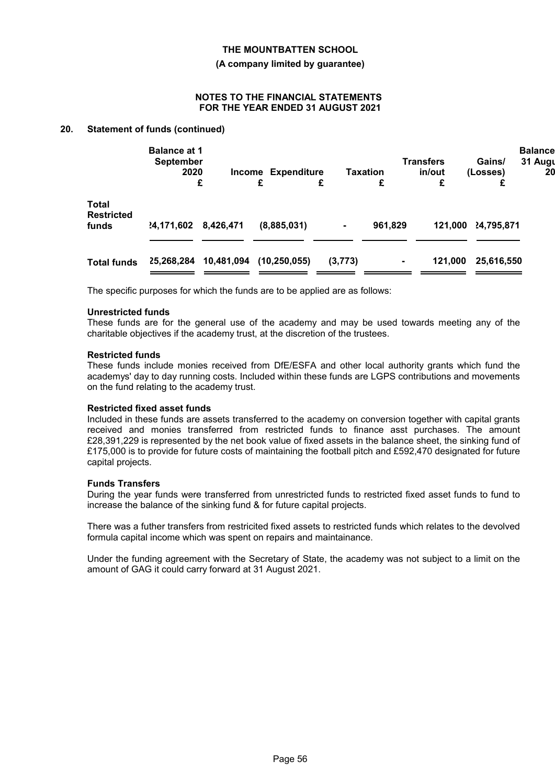#### **(A company limited by guarantee)**

#### **NOTES TO THE FINANCIAL STATEMENTS FOR THE YEAR ENDED 31 AUGUST 2021**

# **20. Statement of funds (continued)**

|                                            | <b>Balance at 1</b><br><b>September</b><br>2020 |            | <b>Income Expenditure</b> |         | Taxation       | <b>Transfers</b><br>in/out | Gains/<br>(Losses) | <b>Balance</b><br>31 Augu<br>20 |
|--------------------------------------------|-------------------------------------------------|------------|---------------------------|---------|----------------|----------------------------|--------------------|---------------------------------|
|                                            |                                                 | £          | £                         | £       | £              | £                          |                    |                                 |
| <b>Total</b><br><b>Restricted</b><br>funds | 4,171,602                                       | 8,426,471  | (8,885,031)               | ۰       | 961,829        | 121,000                    | 24,795,871         |                                 |
| <b>Total funds</b>                         | 25,268,284                                      | 10,481,094 | (10, 250, 055)            | (3,773) | $\blacksquare$ | 121,000                    | 25,616,550         |                                 |

The specific purposes for which the funds are to be applied are as follows:

#### **Unrestricted funds**

These funds are for the general use of the academy and may be used towards meeting any of the charitable objectives if the academy trust, at the discretion of the trustees.

#### **Restricted funds**

These funds include monies received from DfE/ESFA and other local authority grants which fund the academys' day to day running costs. Included within these funds are LGPS contributions and movements on the fund relating to the academy trust.

#### **Restricted fixed asset funds**

Included in these funds are assets transferred to the academy on conversion together with capital grants received and monies transferred from restricted funds to finance asst purchases. The amount £28,391,229 is represented by the net book value of fixed assets in the balance sheet, the sinking fund of £175,000 is to provide for future costs of maintaining the football pitch and £592,470 designated for future capital projects.

#### **Funds Transfers**

During the year funds were transferred from unrestricted funds to restricted fixed asset funds to fund to increase the balance of the sinking fund & for future capital projects.

There was a futher transfers from restricited fixed assets to restricted funds which relates to the devolved formula capital income which was spent on repairs and maintainance.

Under the funding agreement with the Secretary of State, the academy was not subject to a limit on the amount of GAG it could carry forward at 31 August 2021.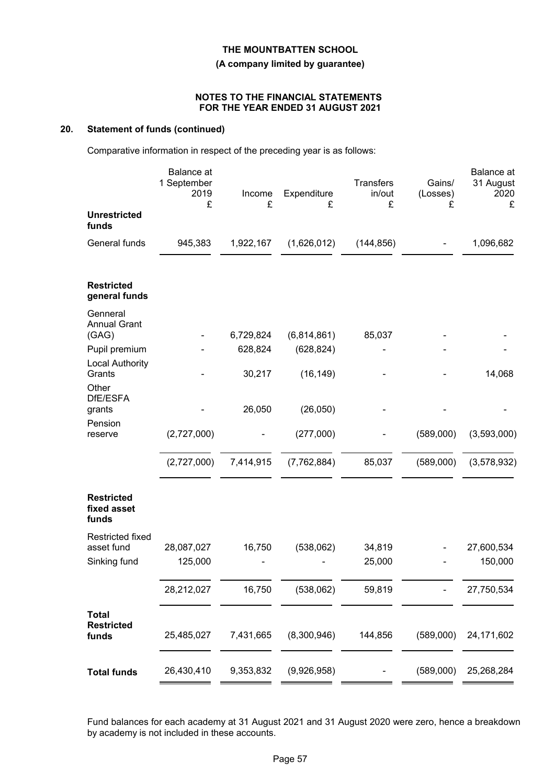# **(A company limited by guarantee)**

#### **NOTES TO THE FINANCIAL STATEMENTS FOR THE YEAR ENDED 31 AUGUST 2021**

# **20. Statement of funds (continued)**

Comparative information in respect of the preceding year is as follows:

| £<br>£<br>£<br><b>Unrestricted</b>                                                                           | £           |
|--------------------------------------------------------------------------------------------------------------|-------------|
| funds                                                                                                        |             |
| General funds<br>945,383<br>1,922,167<br>(1,626,012)<br>(144, 856)                                           | 1,096,682   |
| <b>Restricted</b><br>general funds                                                                           |             |
| Genneral<br><b>Annual Grant</b><br>6,729,824<br>(6,814,861)<br>85,037<br>(GAG)                               |             |
| 628,824<br>(628, 824)<br>Pupil premium                                                                       |             |
| <b>Local Authority</b>                                                                                       |             |
| Grants<br>30,217<br>(16, 149)                                                                                | 14,068      |
| Other<br>DfE/ESFA                                                                                            |             |
| 26,050<br>(26,050)<br>grants                                                                                 |             |
| Pension                                                                                                      |             |
| (2,727,000)<br>(277,000)<br>(589,000)<br>reserve                                                             | (3,593,000) |
| (2,727,000)<br>7,414,915<br>(7, 762, 884)<br>85,037<br>(589,000)                                             | (3,578,932) |
| <b>Restricted</b><br>fixed asset<br>funds                                                                    |             |
| <b>Restricted fixed</b>                                                                                      |             |
| asset fund<br>28,087,027<br>16,750<br>(538,062)<br>34,819                                                    | 27,600,534  |
| 25,000<br>Sinking fund<br>125,000                                                                            | 150,000     |
| 59,819<br>28,212,027<br>16,750<br>(538,062)                                                                  | 27,750,534  |
| <b>Total</b><br><b>Restricted</b><br>(8,300,946)<br>144,856<br>(589,000)<br>funds<br>25,485,027<br>7,431,665 | 24,171,602  |
| 26,430,410<br>(9,926,958)<br>(589,000)<br>9,353,832<br><b>Total funds</b>                                    | 25,268,284  |

Fund balances for each academy at 31 August 2021 and 31 August 2020 were zero, hence a breakdown by academy is not included in these accounts.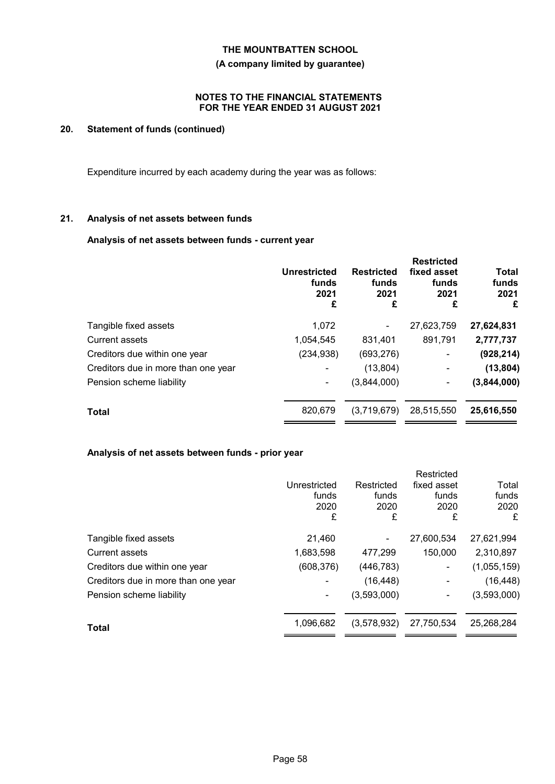**(A company limited by guarantee)**

### **NOTES TO THE FINANCIAL STATEMENTS FOR THE YEAR ENDED 31 AUGUST 2021**

# **20. Statement of funds (continued)**

Expenditure incurred by each academy during the year was as follows:

### **21. Analysis of net assets between funds**

# **Analysis of net assets between funds - current year**

|                                     | <b>Unrestricted</b><br>funds<br>2021<br>£ | <b>Restricted</b><br>funds<br>2021<br>£ | <b>Restricted</b><br>fixed asset<br>funds<br>2021<br>£ | Total<br>funds<br>2021<br>£ |
|-------------------------------------|-------------------------------------------|-----------------------------------------|--------------------------------------------------------|-----------------------------|
| Tangible fixed assets               | 1,072                                     |                                         | 27,623,759                                             | 27,624,831                  |
| Current assets                      | 1,054,545                                 | 831,401                                 | 891,791                                                | 2,777,737                   |
| Creditors due within one year       | (234, 938)                                | (693, 276)                              |                                                        | (928, 214)                  |
| Creditors due in more than one year |                                           | (13, 804)                               | -                                                      | (13, 804)                   |
| Pension scheme liability            | ۰                                         | (3,844,000)                             |                                                        | (3,844,000)                 |
| <b>Total</b>                        | 820,679                                   | (3,719,679)                             | 28,515,550                                             | 25,616,550                  |
|                                     |                                           |                                         |                                                        |                             |

# **Analysis of net assets between funds - prior year**

|                                     | Unrestricted<br>funds<br>2020<br>£ | Restricted<br>funds<br>2020<br>£ | Restricted<br>fixed asset<br>funds<br>2020<br>£ | Total<br>funds<br>2020<br>£ |
|-------------------------------------|------------------------------------|----------------------------------|-------------------------------------------------|-----------------------------|
| Tangible fixed assets               | 21,460                             |                                  | 27,600,534                                      | 27,621,994                  |
| <b>Current assets</b>               | 1,683,598                          | 477,299                          | 150,000                                         | 2,310,897                   |
| Creditors due within one year       | (608, 376)                         | (446, 783)                       |                                                 | (1,055,159)                 |
| Creditors due in more than one year |                                    | (16, 448)                        |                                                 | (16, 448)                   |
| Pension scheme liability            |                                    | (3,593,000)                      |                                                 | (3,593,000)                 |
| Total                               | 1,096,682                          | (3,578,932)                      | 27,750,534                                      | 25,268,284                  |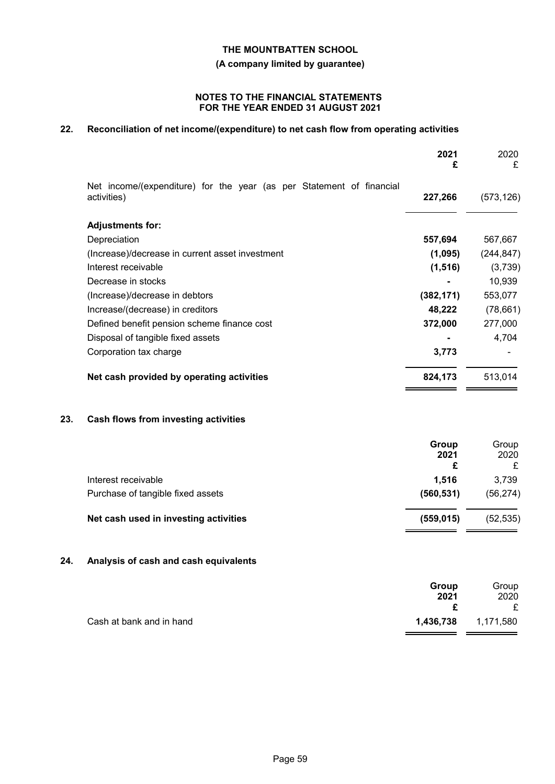**(A company limited by guarantee)**

### **NOTES TO THE FINANCIAL STATEMENTS FOR THE YEAR ENDED 31 AUGUST 2021**

# **22. Reconciliation of net income/(expenditure) to net cash flow from operating activities**

|     |                                                                                     | 2021<br>£          | 2020<br>£          |
|-----|-------------------------------------------------------------------------------------|--------------------|--------------------|
|     | Net income/(expenditure) for the year (as per Statement of financial<br>activities) | 227,266            | (573, 126)         |
|     | <b>Adjustments for:</b>                                                             |                    |                    |
|     | Depreciation                                                                        | 557,694            | 567,667            |
|     | (Increase)/decrease in current asset investment                                     | (1,095)            | (244, 847)         |
|     | Interest receivable                                                                 | (1, 516)           | (3,739)            |
|     | Decrease in stocks                                                                  |                    | 10,939             |
|     | (Increase)/decrease in debtors                                                      | (382, 171)         | 553,077            |
|     | Increase/(decrease) in creditors                                                    | 48,222             | (78, 661)          |
|     | Defined benefit pension scheme finance cost                                         | 372,000            | 277,000            |
|     | Disposal of tangible fixed assets                                                   |                    | 4,704              |
|     | Corporation tax charge                                                              | 3,773              |                    |
|     | Net cash provided by operating activities                                           | 824,173            | 513,014            |
| 23. | Cash flows from investing activities                                                |                    |                    |
|     |                                                                                     | Group<br>2021<br>£ | Group<br>2020<br>£ |
|     | Interest receivable                                                                 | 1,516              | 3,739              |
|     | Purchase of tangible fixed assets                                                   | (560, 531)         | (56, 274)          |
|     | Net cash used in investing activities                                               | (559, 015)         | (52, 535)          |

# **24. Analysis of cash and cash equivalents**

|                          | Group<br>2021 | Group<br>2020<br>£ |
|--------------------------|---------------|--------------------|
| Cash at bank and in hand | 1,436,738     | 1,171,580          |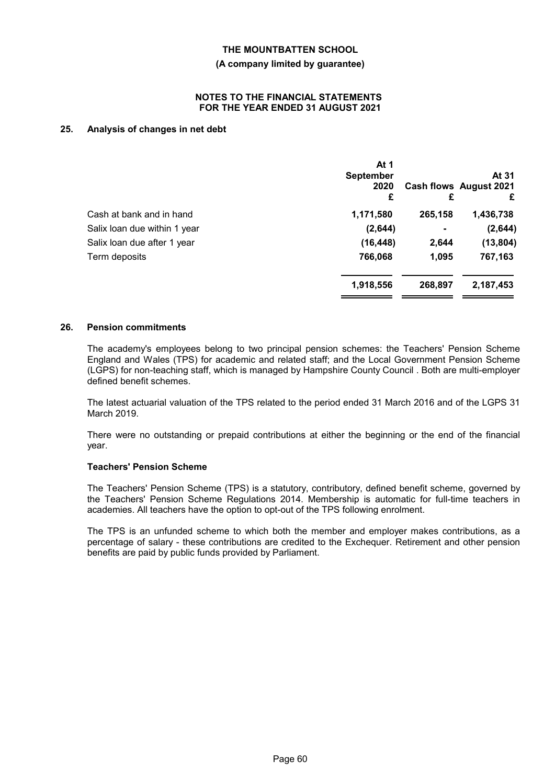#### **(A company limited by guarantee)**

#### **NOTES TO THE FINANCIAL STATEMENTS FOR THE YEAR ENDED 31 AUGUST 2021**

# **25. Analysis of changes in net debt**

|                              | At 1<br><b>September</b><br>2020<br>£ | £              | At 31<br>Cash flows August 2021<br>£ |
|------------------------------|---------------------------------------|----------------|--------------------------------------|
| Cash at bank and in hand     | 1,171,580                             | 265,158        | 1,436,738                            |
| Salix loan due within 1 year | (2,644)                               | $\blacksquare$ | (2,644)                              |
| Salix loan due after 1 year  | (16, 448)                             | 2,644          | (13, 804)                            |
| Term deposits                | 766,068                               | 1,095          | 767,163                              |
|                              | 1,918,556                             | 268,897        | 2,187,453                            |

#### **26. Pension commitments**

The academy's employees belong to two principal pension schemes: the Teachers' Pension Scheme England and Wales (TPS) for academic and related staff; and the Local Government Pension Scheme (LGPS) for non-teaching staff, which is managed by Hampshire County Council . Both are multi-employer defined benefit schemes.

The latest actuarial valuation of the TPS related to the period ended 31 March 2016 and of the LGPS 31 March 2019.

There were no outstanding or prepaid contributions at either the beginning or the end of the financial year.

# **Teachers' Pension Scheme**

The Teachers' Pension Scheme (TPS) is a statutory, contributory, defined benefit scheme, governed by the Teachers' Pension Scheme Regulations 2014. Membership is automatic for full-time teachers in academies. All teachers have the option to opt-out of the TPS following enrolment.

The TPS is an unfunded scheme to which both the member and employer makes contributions, as a percentage of salary - these contributions are credited to the Exchequer. Retirement and other pension benefits are paid by public funds provided by Parliament.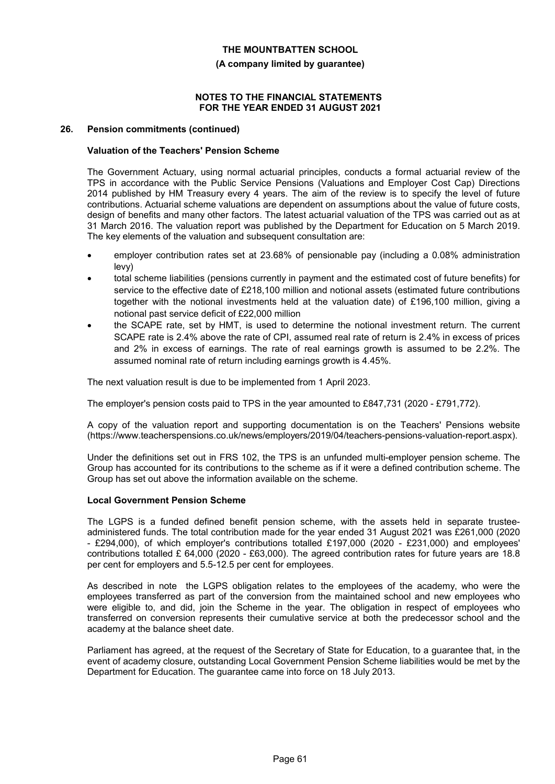#### **(A company limited by guarantee)**

#### **NOTES TO THE FINANCIAL STATEMENTS FOR THE YEAR ENDED 31 AUGUST 2021**

#### **26. Pension commitments (continued)**

### **Valuation of the Teachers' Pension Scheme**

The Government Actuary, using normal actuarial principles, conducts a formal actuarial review of the TPS in accordance with the Public Service Pensions (Valuations and Employer Cost Cap) Directions 2014 published by HM Treasury every 4 years. The aim of the review is to specify the level of future contributions. Actuarial scheme valuations are dependent on assumptions about the value of future costs, design of benefits and many other factors. The latest actuarial valuation of the TPS was carried out as at 31 March 2016. The valuation report was published by the Department for Education on 5 March 2019. The key elements of the valuation and subsequent consultation are:

- employer contribution rates set at 23.68% of pensionable pay (including a 0.08% administration levy)
- total scheme liabilities (pensions currently in payment and the estimated cost of future benefits) for service to the effective date of £218,100 million and notional assets (estimated future contributions together with the notional investments held at the valuation date) of £196,100 million, giving a notional past service deficit of £22,000 million
- the SCAPE rate, set by HMT, is used to determine the notional investment return. The current SCAPE rate is 2.4% above the rate of CPI, assumed real rate of return is 2.4% in excess of prices and 2% in excess of earnings. The rate of real earnings growth is assumed to be 2.2%. The assumed nominal rate of return including earnings growth is 4.45%.

The next valuation result is due to be implemented from 1 April 2023.

The employer's pension costs paid to TPS in the year amounted to £847,731 (2020 - £791,772).

A copy of the valuation report and supporting documentation is on the Teachers' Pensions website (https://www.teacherspensions.co.uk/news/employers/2019/04/teachers-pensions-valuation-report.aspx).

Under the definitions set out in FRS 102, the TPS is an unfunded multi-employer pension scheme. The Group has accounted for its contributions to the scheme as if it were a defined contribution scheme. The Group has set out above the information available on the scheme.

#### **Local Government Pension Scheme**

The LGPS is a funded defined benefit pension scheme, with the assets held in separate trusteeadministered funds. The total contribution made for the year ended 31 August 2021 was £261,000 (2020 - £294,000), of which employer's contributions totalled £197,000 (2020 - £231,000) and employees' contributions totalled £ 64,000 (2020 - £63,000). The agreed contribution rates for future years are 18.8 per cent for employers and 5.5-12.5 per cent for employees.

As described in note the LGPS obligation relates to the employees of the academy, who were the employees transferred as part of the conversion from the maintained school and new employees who were eligible to, and did, join the Scheme in the year. The obligation in respect of employees who transferred on conversion represents their cumulative service at both the predecessor school and the academy at the balance sheet date.

Parliament has agreed, at the request of the Secretary of State for Education, to a guarantee that, in the event of academy closure, outstanding Local Government Pension Scheme liabilities would be met by the Department for Education. The guarantee came into force on 18 July 2013.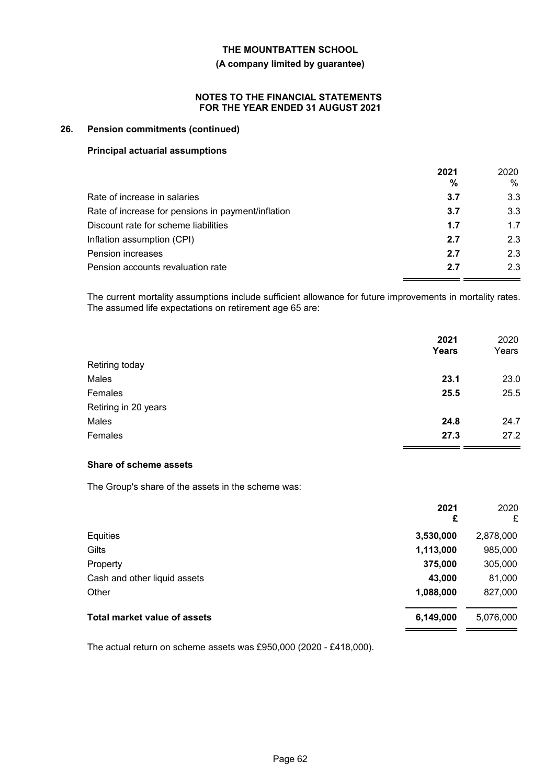#### **(A company limited by guarantee)**

#### **NOTES TO THE FINANCIAL STATEMENTS FOR THE YEAR ENDED 31 AUGUST 2021**

### **26. Pension commitments (continued)**

### **Principal actuarial assumptions**

|                                                    | 2021<br>% | 2020<br>$\%$ |
|----------------------------------------------------|-----------|--------------|
| Rate of increase in salaries                       | 3.7       | 3.3          |
| Rate of increase for pensions in payment/inflation | 3.7       | 3.3          |
| Discount rate for scheme liabilities               | 1.7       | 1.7          |
| Inflation assumption (CPI)                         | 2.7       | 2.3          |
| Pension increases                                  | 2.7       | 2.3          |
| Pension accounts revaluation rate                  | 2.7       | 2.3          |

The current mortality assumptions include sufficient allowance for future improvements in mortality rates. The assumed life expectations on retirement age 65 are:

|                      | 2021<br>Years | 2020<br>Years |
|----------------------|---------------|---------------|
| Retiring today       |               |               |
| Males                | 23.1          | 23.0          |
| Females              | 25.5          | 25.5          |
| Retiring in 20 years |               |               |
| Males                | 24.8          | 24.7          |
| Females              | 27.3          | 27.2          |

# **Share of scheme assets**

The Group's share of the assets in the scheme was:

|                              | 2021<br>£ | 2020<br>£ |
|------------------------------|-----------|-----------|
| Equities                     | 3,530,000 | 2,878,000 |
| Gilts                        | 1,113,000 | 985,000   |
| Property                     | 375,000   | 305,000   |
| Cash and other liquid assets | 43,000    | 81,000    |
| Other                        | 1,088,000 | 827,000   |
| Total market value of assets | 6,149,000 | 5,076,000 |

The actual return on scheme assets was £950,000 (2020 - £418,000).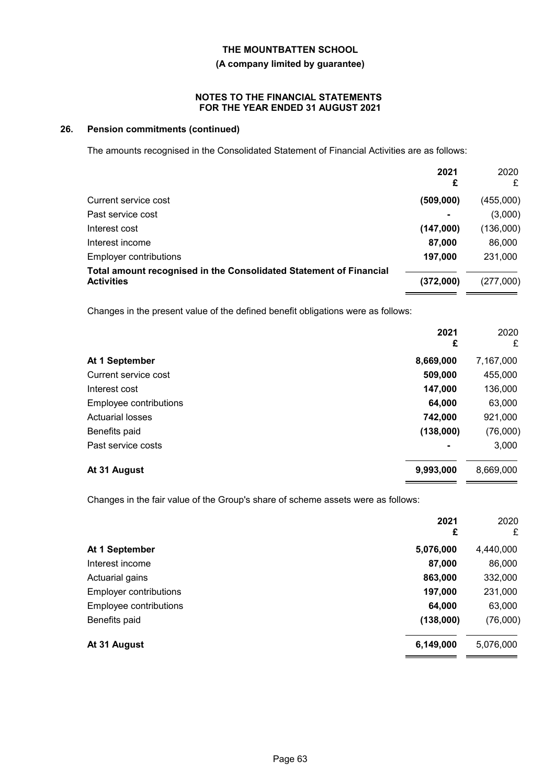# **(A company limited by guarantee)**

### **NOTES TO THE FINANCIAL STATEMENTS FOR THE YEAR ENDED 31 AUGUST 2021**

# **26. Pension commitments (continued)**

The amounts recognised in the Consolidated Statement of Financial Activities are as follows:

|                                                                                         | 2021<br>£ | 2020<br>£ |
|-----------------------------------------------------------------------------------------|-----------|-----------|
| Current service cost                                                                    | (509,000) | (455,000) |
| Past service cost                                                                       |           | (3,000)   |
| Interest cost                                                                           | (147,000) | (136,000) |
| Interest income                                                                         | 87,000    | 86,000    |
| <b>Employer contributions</b>                                                           | 197,000   | 231,000   |
| Total amount recognised in the Consolidated Statement of Financial<br><b>Activities</b> | (372,000) | (277,000) |
| Changes in the present value of the defined benefit obligations were as follows:        |           |           |
|                                                                                         | 2021<br>£ | 2020<br>£ |
| At 1 September                                                                          | 8,669,000 | 7,167,000 |
| Current service cost                                                                    | 509,000   | 455,000   |
| Interest cost                                                                           | 147,000   | 136,000   |
| Employee contributions                                                                  | 64,000    | 63,000    |
| <b>Actuarial losses</b>                                                                 | 742,000   | 921,000   |
| Benefits paid                                                                           | (138,000) | (76,000)  |
| Past service costs                                                                      |           | 3,000     |
| At 31 August                                                                            | 9,993,000 | 8,669,000 |

Changes in the fair value of the Group's share of scheme assets were as follows:

| 2021<br>£ | 2020<br>£ |
|-----------|-----------|
| 5,076,000 | 4,440,000 |
| 87,000    | 86,000    |
| 863,000   | 332,000   |
| 197,000   | 231,000   |
| 64,000    | 63,000    |
| (138,000) | (76,000)  |
| 6,149,000 | 5,076,000 |
|           |           |